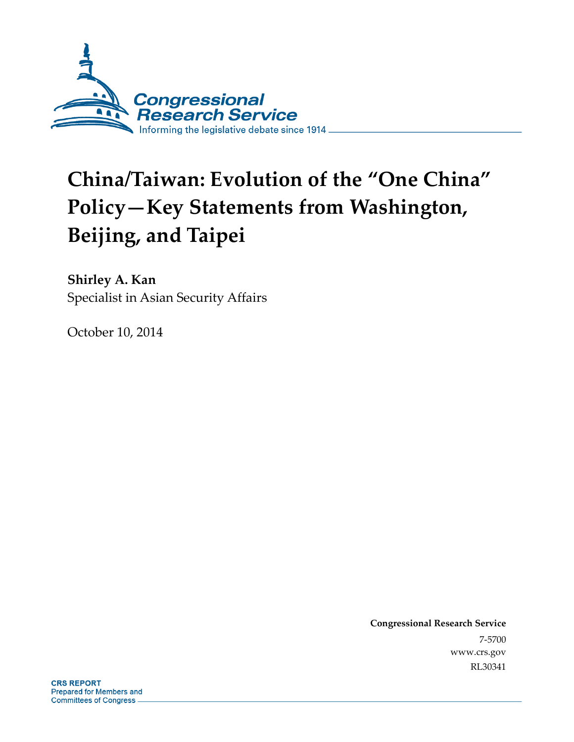

# **China/Taiwan: Evolution of the "One China" Policy—Key Statements from Washington, Beijing, and Taipei**

**Shirley A. Kan**  Specialist in Asian Security Affairs

October 10, 2014

**Congressional Research Service**  7-5700 www.crs.gov RL30341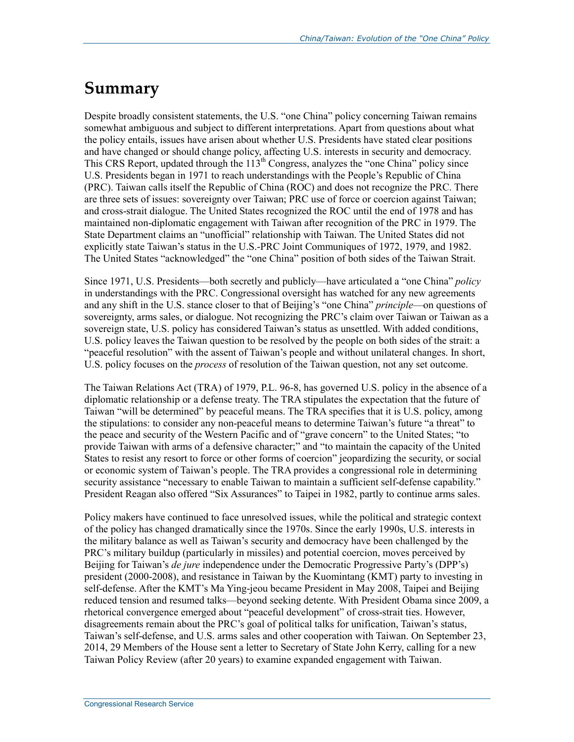## **Summary**

Despite broadly consistent statements, the U.S. "one China" policy concerning Taiwan remains somewhat ambiguous and subject to different interpretations. Apart from questions about what the policy entails, issues have arisen about whether U.S. Presidents have stated clear positions and have changed or should change policy, affecting U.S. interests in security and democracy. This CRS Report, updated through the 113<sup>th</sup> Congress, analyzes the "one China" policy since U.S. Presidents began in 1971 to reach understandings with the People's Republic of China (PRC). Taiwan calls itself the Republic of China (ROC) and does not recognize the PRC. There are three sets of issues: sovereignty over Taiwan; PRC use of force or coercion against Taiwan; and cross-strait dialogue. The United States recognized the ROC until the end of 1978 and has maintained non-diplomatic engagement with Taiwan after recognition of the PRC in 1979. The State Department claims an "unofficial" relationship with Taiwan. The United States did not explicitly state Taiwan's status in the U.S.-PRC Joint Communiques of 1972, 1979, and 1982. The United States "acknowledged" the "one China" position of both sides of the Taiwan Strait.

Since 1971, U.S. Presidents—both secretly and publicly—have articulated a "one China" *policy* in understandings with the PRC. Congressional oversight has watched for any new agreements and any shift in the U.S. stance closer to that of Beijing's "one China" *principle*—on questions of sovereignty, arms sales, or dialogue. Not recognizing the PRC's claim over Taiwan or Taiwan as a sovereign state, U.S. policy has considered Taiwan's status as unsettled. With added conditions, U.S. policy leaves the Taiwan question to be resolved by the people on both sides of the strait: a "peaceful resolution" with the assent of Taiwan's people and without unilateral changes. In short, U.S. policy focuses on the *process* of resolution of the Taiwan question, not any set outcome.

The Taiwan Relations Act (TRA) of 1979, P.L. 96-8, has governed U.S. policy in the absence of a diplomatic relationship or a defense treaty. The TRA stipulates the expectation that the future of Taiwan "will be determined" by peaceful means. The TRA specifies that it is U.S. policy, among the stipulations: to consider any non-peaceful means to determine Taiwan's future "a threat" to the peace and security of the Western Pacific and of "grave concern" to the United States; "to provide Taiwan with arms of a defensive character;" and "to maintain the capacity of the United States to resist any resort to force or other forms of coercion" jeopardizing the security, or social or economic system of Taiwan's people. The TRA provides a congressional role in determining security assistance "necessary to enable Taiwan to maintain a sufficient self-defense capability." President Reagan also offered "Six Assurances" to Taipei in 1982, partly to continue arms sales.

Policy makers have continued to face unresolved issues, while the political and strategic context of the policy has changed dramatically since the 1970s. Since the early 1990s, U.S. interests in the military balance as well as Taiwan's security and democracy have been challenged by the PRC's military buildup (particularly in missiles) and potential coercion, moves perceived by Beijing for Taiwan's *de jure* independence under the Democratic Progressive Party's (DPP's) president (2000-2008), and resistance in Taiwan by the Kuomintang (KMT) party to investing in self-defense. After the KMT's Ma Ying-jeou became President in May 2008, Taipei and Beijing reduced tension and resumed talks—beyond seeking detente. With President Obama since 2009, a rhetorical convergence emerged about "peaceful development" of cross-strait ties. However, disagreements remain about the PRC's goal of political talks for unification, Taiwan's status, Taiwan's self-defense, and U.S. arms sales and other cooperation with Taiwan. On September 23, 2014, 29 Members of the House sent a letter to Secretary of State John Kerry, calling for a new Taiwan Policy Review (after 20 years) to examine expanded engagement with Taiwan.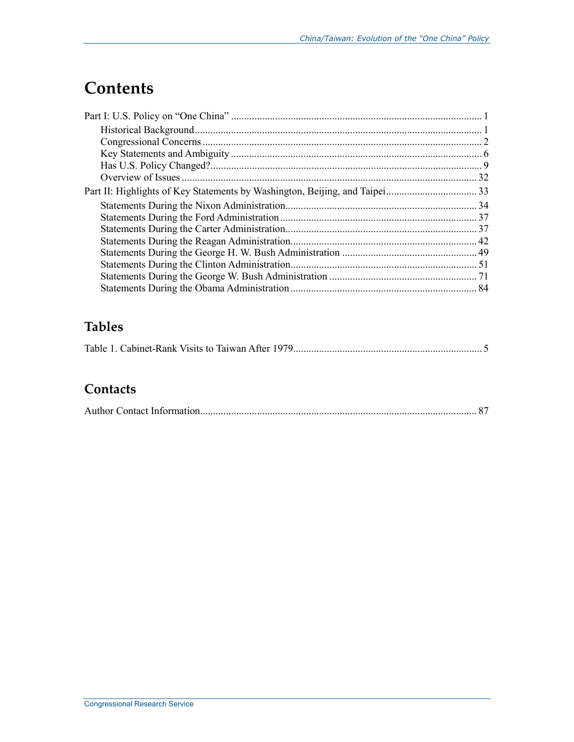## **Contents**

| .32 |
|-----|
|     |
|     |
|     |
|     |
|     |
|     |
|     |
|     |
|     |

## **Tables**

|--|--|--|--|--|--|

## **Contacts**

|--|--|--|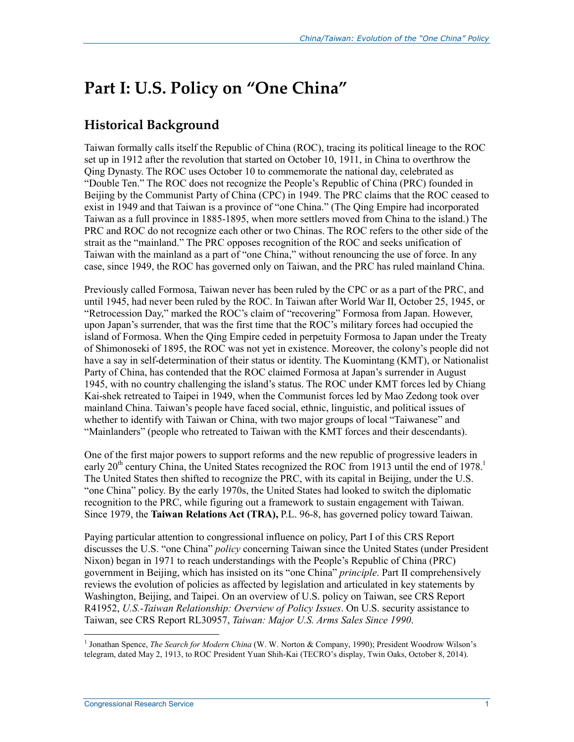## **Part I: U.S. Policy on "One China"**

## **Historical Background**

Taiwan formally calls itself the Republic of China (ROC), tracing its political lineage to the ROC set up in 1912 after the revolution that started on October 10, 1911, in China to overthrow the Qing Dynasty. The ROC uses October 10 to commemorate the national day, celebrated as "Double Ten." The ROC does not recognize the People's Republic of China (PRC) founded in Beijing by the Communist Party of China (CPC) in 1949. The PRC claims that the ROC ceased to exist in 1949 and that Taiwan is a province of "one China." (The Qing Empire had incorporated Taiwan as a full province in 1885-1895, when more settlers moved from China to the island.) The PRC and ROC do not recognize each other or two Chinas. The ROC refers to the other side of the strait as the "mainland." The PRC opposes recognition of the ROC and seeks unification of Taiwan with the mainland as a part of "one China," without renouncing the use of force. In any case, since 1949, the ROC has governed only on Taiwan, and the PRC has ruled mainland China.

Previously called Formosa, Taiwan never has been ruled by the CPC or as a part of the PRC, and until 1945, had never been ruled by the ROC. In Taiwan after World War II, October 25, 1945, or "Retrocession Day," marked the ROC's claim of "recovering" Formosa from Japan. However, upon Japan's surrender, that was the first time that the ROC's military forces had occupied the island of Formosa. When the Qing Empire ceded in perpetuity Formosa to Japan under the Treaty of Shimonoseki of 1895, the ROC was not yet in existence. Moreover, the colony's people did not have a say in self-determination of their status or identity. The Kuomintang (KMT), or Nationalist Party of China, has contended that the ROC claimed Formosa at Japan's surrender in August 1945, with no country challenging the island's status. The ROC under KMT forces led by Chiang Kai-shek retreated to Taipei in 1949, when the Communist forces led by Mao Zedong took over mainland China. Taiwan's people have faced social, ethnic, linguistic, and political issues of whether to identify with Taiwan or China, with two major groups of local "Taiwanese" and "Mainlanders" (people who retreated to Taiwan with the KMT forces and their descendants).

One of the first major powers to support reforms and the new republic of progressive leaders in early  $20<sup>th</sup>$  century China, the United States recognized the ROC from 1913 until the end of 1978.<sup>1</sup> The United States then shifted to recognize the PRC, with its capital in Beijing, under the U.S. "one China" policy. By the early 1970s, the United States had looked to switch the diplomatic recognition to the PRC, while figuring out a framework to sustain engagement with Taiwan. Since 1979, the **Taiwan Relations Act (TRA),** P.L. 96-8, has governed policy toward Taiwan.

Paying particular attention to congressional influence on policy, Part I of this CRS Report discusses the U.S. "one China" *policy* concerning Taiwan since the United States (under President Nixon) began in 1971 to reach understandings with the People's Republic of China (PRC) government in Beijing, which has insisted on its "one China" *principle*. Part II comprehensively reviews the evolution of policies as affected by legislation and articulated in key statements by Washington, Beijing, and Taipei. On an overview of U.S. policy on Taiwan, see CRS Report R41952, *U.S.-Taiwan Relationship: Overview of Policy Issues*. On U.S. security assistance to Taiwan, see CRS Report RL30957, *Taiwan: Major U.S. Arms Sales Since 1990*.

 1 Jonathan Spence, *The Search for Modern China* (W. W. Norton & Company, 1990); President Woodrow Wilson's telegram, dated May 2, 1913, to ROC President Yuan Shih-Kai (TECRO's display, Twin Oaks, October 8, 2014).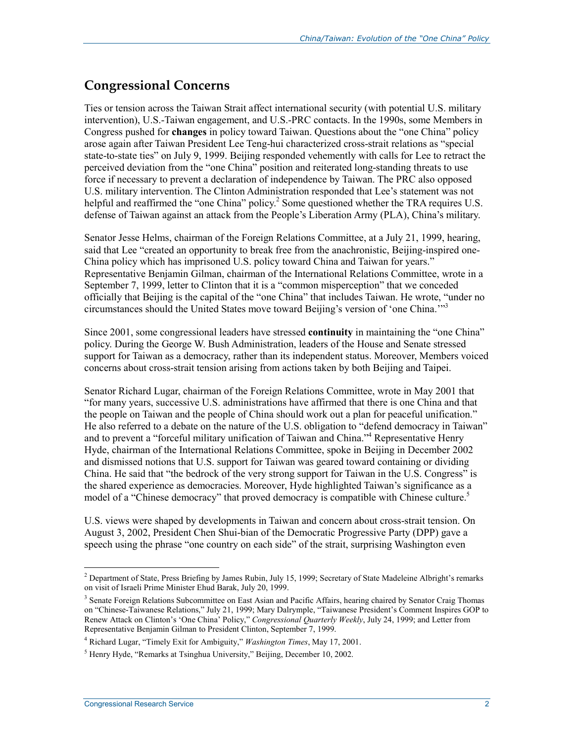### **Congressional Concerns**

Ties or tension across the Taiwan Strait affect international security (with potential U.S. military intervention), U.S.-Taiwan engagement, and U.S.-PRC contacts. In the 1990s, some Members in Congress pushed for **changes** in policy toward Taiwan. Questions about the "one China" policy arose again after Taiwan President Lee Teng-hui characterized cross-strait relations as "special state-to-state ties" on July 9, 1999. Beijing responded vehemently with calls for Lee to retract the perceived deviation from the "one China" position and reiterated long-standing threats to use force if necessary to prevent a declaration of independence by Taiwan. The PRC also opposed U.S. military intervention. The Clinton Administration responded that Lee's statement was not helpful and reaffirmed the "one China" policy.<sup>2</sup> Some questioned whether the TRA requires U.S. defense of Taiwan against an attack from the People's Liberation Army (PLA), China's military.

Senator Jesse Helms, chairman of the Foreign Relations Committee, at a July 21, 1999, hearing, said that Lee "created an opportunity to break free from the anachronistic, Beijing-inspired one-China policy which has imprisoned U.S. policy toward China and Taiwan for years." Representative Benjamin Gilman, chairman of the International Relations Committee, wrote in a September 7, 1999, letter to Clinton that it is a "common misperception" that we conceded officially that Beijing is the capital of the "one China" that includes Taiwan. He wrote, "under no circumstances should the United States move toward Beijing's version of 'one China.'"3

Since 2001, some congressional leaders have stressed **continuity** in maintaining the "one China" policy. During the George W. Bush Administration, leaders of the House and Senate stressed support for Taiwan as a democracy, rather than its independent status. Moreover, Members voiced concerns about cross-strait tension arising from actions taken by both Beijing and Taipei.

Senator Richard Lugar, chairman of the Foreign Relations Committee, wrote in May 2001 that "for many years, successive U.S. administrations have affirmed that there is one China and that the people on Taiwan and the people of China should work out a plan for peaceful unification." He also referred to a debate on the nature of the U.S. obligation to "defend democracy in Taiwan" and to prevent a "forceful military unification of Taiwan and China."<sup>4</sup> Representative Henry Hyde, chairman of the International Relations Committee, spoke in Beijing in December 2002 and dismissed notions that U.S. support for Taiwan was geared toward containing or dividing China. He said that "the bedrock of the very strong support for Taiwan in the U.S. Congress" is the shared experience as democracies. Moreover, Hyde highlighted Taiwan's significance as a model of a "Chinese democracy" that proved democracy is compatible with Chinese culture.<sup>5</sup>

U.S. views were shaped by developments in Taiwan and concern about cross-strait tension. On August 3, 2002, President Chen Shui-bian of the Democratic Progressive Party (DPP) gave a speech using the phrase "one country on each side" of the strait, surprising Washington even

**EXECUTE:**<br><sup>2</sup> Department of State, Press Briefing by James Rubin, July 15, 1999; Secretary of State Madeleine Albright's remarks on visit of Israeli Prime Minister Ehud Barak, July 20, 1999.

<sup>&</sup>lt;sup>3</sup> Senate Foreign Relations Subcommittee on East Asian and Pacific Affairs, hearing chaired by Senator Craig Thomas on "Chinese-Taiwanese Relations," July 21, 1999; Mary Dalrymple, "Taiwanese President's Comment Inspires GOP to Renew Attack on Clinton's 'One China' Policy," *Congressional Quarterly Weekly*, July 24, 1999; and Letter from Representative Benjamin Gilman to President Clinton, September 7, 1999.

<sup>4</sup> Richard Lugar, "Timely Exit for Ambiguity," *Washington Times*, May 17, 2001.

<sup>&</sup>lt;sup>5</sup> Henry Hyde, "Remarks at Tsinghua University," Beijing, December 10, 2002.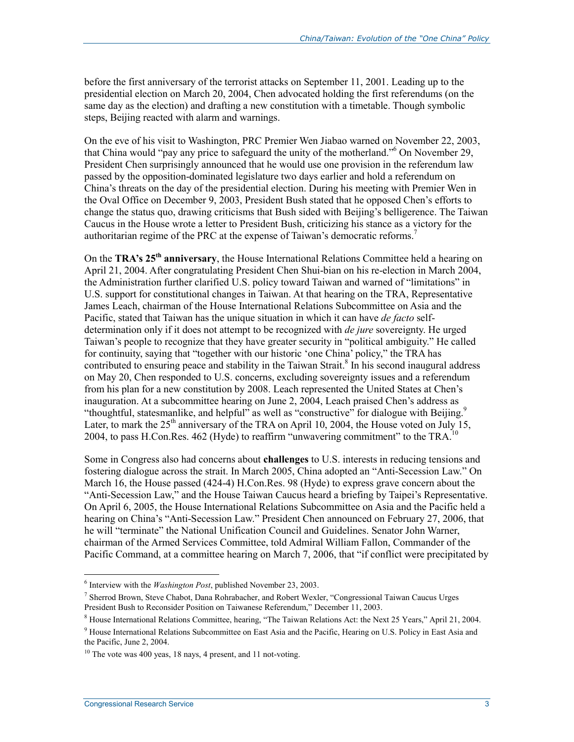before the first anniversary of the terrorist attacks on September 11, 2001. Leading up to the presidential election on March 20, 2004, Chen advocated holding the first referendums (on the same day as the election) and drafting a new constitution with a timetable. Though symbolic steps, Beijing reacted with alarm and warnings.

On the eve of his visit to Washington, PRC Premier Wen Jiabao warned on November 22, 2003, that China would "pay any price to safeguard the unity of the motherland."6 On November 29, President Chen surprisingly announced that he would use one provision in the referendum law passed by the opposition-dominated legislature two days earlier and hold a referendum on China's threats on the day of the presidential election. During his meeting with Premier Wen in the Oval Office on December 9, 2003, President Bush stated that he opposed Chen's efforts to change the status quo, drawing criticisms that Bush sided with Beijing's belligerence. The Taiwan Caucus in the House wrote a letter to President Bush, criticizing his stance as a victory for the authoritarian regime of the PRC at the expense of Taiwan's democratic reforms.7

On the **TRA's 25<sup>th</sup> anniversary**, the House International Relations Committee held a hearing on April 21, 2004. After congratulating President Chen Shui-bian on his re-election in March 2004, the Administration further clarified U.S. policy toward Taiwan and warned of "limitations" in U.S. support for constitutional changes in Taiwan. At that hearing on the TRA, Representative James Leach, chairman of the House International Relations Subcommittee on Asia and the Pacific, stated that Taiwan has the unique situation in which it can have *de facto* selfdetermination only if it does not attempt to be recognized with *de jure* sovereignty. He urged Taiwan's people to recognize that they have greater security in "political ambiguity." He called for continuity, saying that "together with our historic 'one China' policy," the TRA has contributed to ensuring peace and stability in the Taiwan Strait.<sup>8</sup> In his second inaugural address on May 20, Chen responded to U.S. concerns, excluding sovereignty issues and a referendum from his plan for a new constitution by 2008. Leach represented the United States at Chen's inauguration. At a subcommittee hearing on June 2, 2004, Leach praised Chen's address as "thoughtful, statesmanlike, and helpful" as well as "constructive" for dialogue with Beijing.<sup>9</sup> Later, to mark the  $25<sup>th</sup>$  anniversary of the TRA on April 10, 2004, the House voted on July 15, 2004, to pass H.Con.Res. 462 (Hyde) to reaffirm "unwavering commitment" to the TRA.<sup>10</sup>

Some in Congress also had concerns about **challenges** to U.S. interests in reducing tensions and fostering dialogue across the strait. In March 2005, China adopted an "Anti-Secession Law." On March 16, the House passed (424-4) H.Con.Res. 98 (Hyde) to express grave concern about the "Anti-Secession Law," and the House Taiwan Caucus heard a briefing by Taipei's Representative. On April 6, 2005, the House International Relations Subcommittee on Asia and the Pacific held a hearing on China's "Anti-Secession Law." President Chen announced on February 27, 2006, that he will "terminate" the National Unification Council and Guidelines. Senator John Warner, chairman of the Armed Services Committee, told Admiral William Fallon, Commander of the Pacific Command, at a committee hearing on March 7, 2006, that "if conflict were precipitated by

 6 Interview with the *Washington Post*, published November 23, 2003.

<sup>7</sup> Sherrod Brown, Steve Chabot, Dana Rohrabacher, and Robert Wexler, "Congressional Taiwan Caucus Urges President Bush to Reconsider Position on Taiwanese Referendum," December 11, 2003.

<sup>&</sup>lt;sup>8</sup> House International Relations Committee, hearing, "The Taiwan Relations Act: the Next 25 Years," April 21, 2004.

<sup>&</sup>lt;sup>9</sup> House International Relations Subcommittee on East Asia and the Pacific, Hearing on U.S. Policy in East Asia and the Pacific, June 2, 2004.

 $10$  The vote was 400 yeas, 18 nays, 4 present, and 11 not-voting.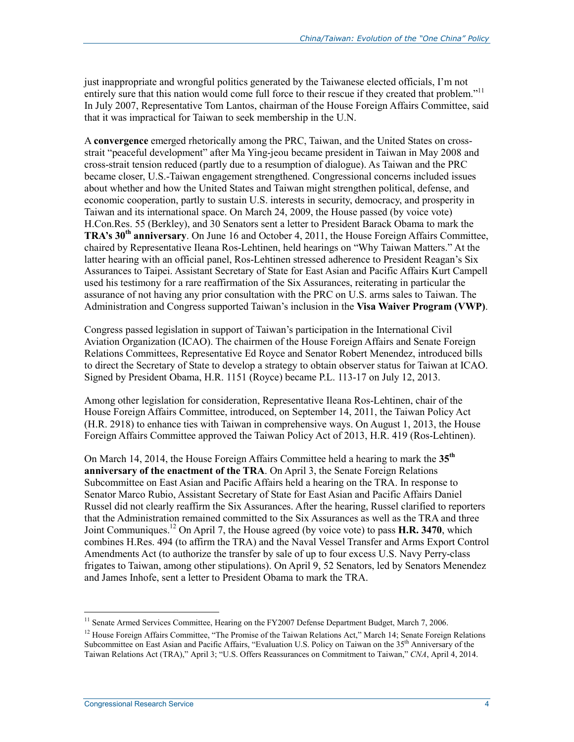just inappropriate and wrongful politics generated by the Taiwanese elected officials, I'm not entirely sure that this nation would come full force to their rescue if they created that problem."<sup>11</sup> In July 2007, Representative Tom Lantos, chairman of the House Foreign Affairs Committee, said that it was impractical for Taiwan to seek membership in the U.N.

A **convergence** emerged rhetorically among the PRC, Taiwan, and the United States on crossstrait "peaceful development" after Ma Ying-jeou became president in Taiwan in May 2008 and cross-strait tension reduced (partly due to a resumption of dialogue). As Taiwan and the PRC became closer, U.S.-Taiwan engagement strengthened. Congressional concerns included issues about whether and how the United States and Taiwan might strengthen political, defense, and economic cooperation, partly to sustain U.S. interests in security, democracy, and prosperity in Taiwan and its international space. On March 24, 2009, the House passed (by voice vote) H.Con.Res. 55 (Berkley), and 30 Senators sent a letter to President Barack Obama to mark the TRA's 30<sup>th</sup> anniversary. On June 16 and October 4, 2011, the House Foreign Affairs Committee, chaired by Representative Ileana Ros-Lehtinen, held hearings on "Why Taiwan Matters." At the latter hearing with an official panel, Ros-Lehtinen stressed adherence to President Reagan's Six Assurances to Taipei. Assistant Secretary of State for East Asian and Pacific Affairs Kurt Campell used his testimony for a rare reaffirmation of the Six Assurances, reiterating in particular the assurance of not having any prior consultation with the PRC on U.S. arms sales to Taiwan. The Administration and Congress supported Taiwan's inclusion in the **Visa Waiver Program (VWP)**.

Congress passed legislation in support of Taiwan's participation in the International Civil Aviation Organization (ICAO). The chairmen of the House Foreign Affairs and Senate Foreign Relations Committees, Representative Ed Royce and Senator Robert Menendez, introduced bills to direct the Secretary of State to develop a strategy to obtain observer status for Taiwan at ICAO. Signed by President Obama, H.R. 1151 (Royce) became P.L. 113-17 on July 12, 2013.

Among other legislation for consideration, Representative Ileana Ros-Lehtinen, chair of the House Foreign Affairs Committee, introduced, on September 14, 2011, the Taiwan Policy Act (H.R. 2918) to enhance ties with Taiwan in comprehensive ways. On August 1, 2013, the House Foreign Affairs Committee approved the Taiwan Policy Act of 2013, H.R. 419 (Ros-Lehtinen).

On March 14, 2014, the House Foreign Affairs Committee held a hearing to mark the **35th anniversary of the enactment of the TRA**. On April 3, the Senate Foreign Relations Subcommittee on East Asian and Pacific Affairs held a hearing on the TRA. In response to Senator Marco Rubio, Assistant Secretary of State for East Asian and Pacific Affairs Daniel Russel did not clearly reaffirm the Six Assurances. After the hearing, Russel clarified to reporters that the Administration remained committed to the Six Assurances as well as the TRA and three Joint Communiques.12 On April 7, the House agreed (by voice vote) to pass **H.R. 3470**, which combines H.Res. 494 (to affirm the TRA) and the Naval Vessel Transfer and Arms Export Control Amendments Act (to authorize the transfer by sale of up to four excess U.S. Navy Perry-class frigates to Taiwan, among other stipulations). On April 9, 52 Senators, led by Senators Menendez and James Inhofe, sent a letter to President Obama to mark the TRA.

<sup>&</sup>lt;sup>11</sup> Senate Armed Services Committee, Hearing on the FY2007 Defense Department Budget, March 7, 2006.

<sup>&</sup>lt;sup>12</sup> House Foreign Affairs Committee, "The Promise of the Taiwan Relations Act," March 14; Senate Foreign Relations Subcommittee on East Asian and Pacific Affairs, "Evaluation U.S. Policy on Taiwan on the 35<sup>th</sup> Anniversary of the Taiwan Relations Act (TRA)," April 3; "U.S. Offers Reassurances on Commitment to Taiwan," *CNA*, April 4, 2014.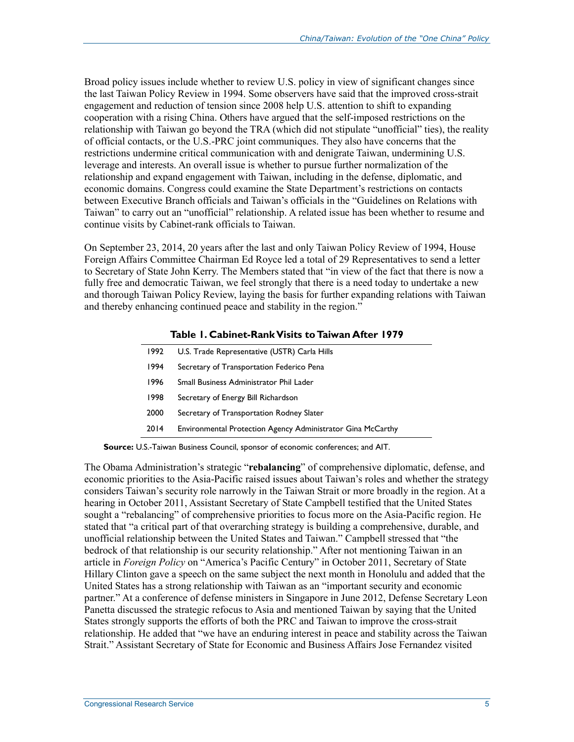Broad policy issues include whether to review U.S. policy in view of significant changes since the last Taiwan Policy Review in 1994. Some observers have said that the improved cross-strait engagement and reduction of tension since 2008 help U.S. attention to shift to expanding cooperation with a rising China. Others have argued that the self-imposed restrictions on the relationship with Taiwan go beyond the TRA (which did not stipulate "unofficial" ties), the reality of official contacts, or the U.S.-PRC joint communiques. They also have concerns that the restrictions undermine critical communication with and denigrate Taiwan, undermining U.S. leverage and interests. An overall issue is whether to pursue further normalization of the relationship and expand engagement with Taiwan, including in the defense, diplomatic, and economic domains. Congress could examine the State Department's restrictions on contacts between Executive Branch officials and Taiwan's officials in the "Guidelines on Relations with Taiwan" to carry out an "unofficial" relationship. A related issue has been whether to resume and continue visits by Cabinet-rank officials to Taiwan.

On September 23, 2014, 20 years after the last and only Taiwan Policy Review of 1994, House Foreign Affairs Committee Chairman Ed Royce led a total of 29 Representatives to send a letter to Secretary of State John Kerry. The Members stated that "in view of the fact that there is now a fully free and democratic Taiwan, we feel strongly that there is a need today to undertake a new and thorough Taiwan Policy Review, laying the basis for further expanding relations with Taiwan and thereby enhancing continued peace and stability in the region."

| 1992 | U.S. Trade Representative (USTR) Carla Hills                |
|------|-------------------------------------------------------------|
| 1994 | Secretary of Transportation Federico Pena                   |
| 1996 | Small Business Administrator Phil Lader                     |
| 1998 | Secretary of Energy Bill Richardson                         |
| 2000 | Secretary of Transportation Rodney Slater                   |
| 2014 | Environmental Protection Agency Administrator Gina McCarthy |
|      |                                                             |

#### **Table 1. Cabinet-Rank Visits to Taiwan After 1979**

 **Source:** U.S.-Taiwan Business Council, sponsor of economic conferences; and AIT.

The Obama Administration's strategic "**rebalancing**" of comprehensive diplomatic, defense, and economic priorities to the Asia-Pacific raised issues about Taiwan's roles and whether the strategy considers Taiwan's security role narrowly in the Taiwan Strait or more broadly in the region. At a hearing in October 2011, Assistant Secretary of State Campbell testified that the United States sought a "rebalancing" of comprehensive priorities to focus more on the Asia-Pacific region. He stated that "a critical part of that overarching strategy is building a comprehensive, durable, and unofficial relationship between the United States and Taiwan." Campbell stressed that "the bedrock of that relationship is our security relationship." After not mentioning Taiwan in an article in *Foreign Policy* on "America's Pacific Century" in October 2011, Secretary of State Hillary Clinton gave a speech on the same subject the next month in Honolulu and added that the United States has a strong relationship with Taiwan as an "important security and economic partner." At a conference of defense ministers in Singapore in June 2012, Defense Secretary Leon Panetta discussed the strategic refocus to Asia and mentioned Taiwan by saying that the United States strongly supports the efforts of both the PRC and Taiwan to improve the cross-strait relationship. He added that "we have an enduring interest in peace and stability across the Taiwan Strait." Assistant Secretary of State for Economic and Business Affairs Jose Fernandez visited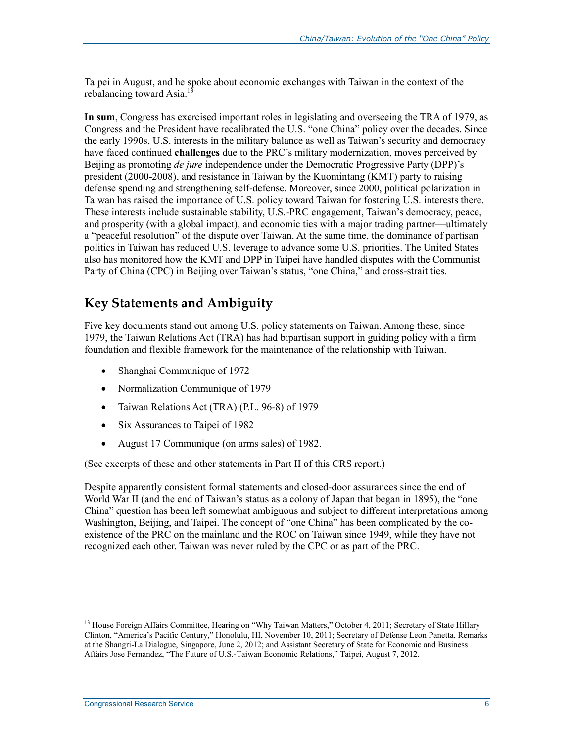Taipei in August, and he spoke about economic exchanges with Taiwan in the context of the rebalancing toward Asia.<sup>1</sup>

**In sum**, Congress has exercised important roles in legislating and overseeing the TRA of 1979, as Congress and the President have recalibrated the U.S. "one China" policy over the decades. Since the early 1990s, U.S. interests in the military balance as well as Taiwan's security and democracy have faced continued **challenges** due to the PRC's military modernization, moves perceived by Beijing as promoting *de jure* independence under the Democratic Progressive Party (DPP)'s president (2000-2008), and resistance in Taiwan by the Kuomintang (KMT) party to raising defense spending and strengthening self-defense. Moreover, since 2000, political polarization in Taiwan has raised the importance of U.S. policy toward Taiwan for fostering U.S. interests there. These interests include sustainable stability, U.S.-PRC engagement, Taiwan's democracy, peace, and prosperity (with a global impact), and economic ties with a major trading partner—ultimately a "peaceful resolution" of the dispute over Taiwan. At the same time, the dominance of partisan politics in Taiwan has reduced U.S. leverage to advance some U.S. priorities. The United States also has monitored how the KMT and DPP in Taipei have handled disputes with the Communist Party of China (CPC) in Beijing over Taiwan's status, "one China," and cross-strait ties.

### **Key Statements and Ambiguity**

Five key documents stand out among U.S. policy statements on Taiwan. Among these, since 1979, the Taiwan Relations Act (TRA) has had bipartisan support in guiding policy with a firm foundation and flexible framework for the maintenance of the relationship with Taiwan.

- Shanghai Communique of 1972
- Normalization Communique of 1979
- Taiwan Relations Act (TRA) (P.L. 96-8) of 1979
- Six Assurances to Taipei of 1982
- August 17 Communique (on arms sales) of 1982.

(See excerpts of these and other statements in Part II of this CRS report.)

Despite apparently consistent formal statements and closed-door assurances since the end of World War II (and the end of Taiwan's status as a colony of Japan that began in 1895), the "one China" question has been left somewhat ambiguous and subject to different interpretations among Washington, Beijing, and Taipei. The concept of "one China" has been complicated by the coexistence of the PRC on the mainland and the ROC on Taiwan since 1949, while they have not recognized each other. Taiwan was never ruled by the CPC or as part of the PRC.

<sup>&</sup>lt;sup>13</sup> House Foreign Affairs Committee, Hearing on "Why Taiwan Matters," October 4, 2011; Secretary of State Hillary Clinton, "America's Pacific Century," Honolulu, HI, November 10, 2011; Secretary of Defense Leon Panetta, Remarks at the Shangri-La Dialogue, Singapore, June 2, 2012; and Assistant Secretary of State for Economic and Business Affairs Jose Fernandez, "The Future of U.S.-Taiwan Economic Relations," Taipei, August 7, 2012.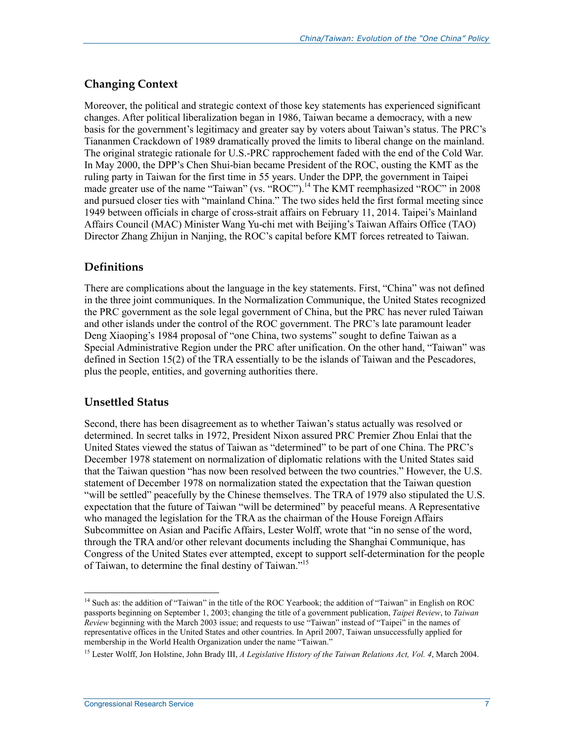#### **Changing Context**

Moreover, the political and strategic context of those key statements has experienced significant changes. After political liberalization began in 1986, Taiwan became a democracy, with a new basis for the government's legitimacy and greater say by voters about Taiwan's status. The PRC's Tiananmen Crackdown of 1989 dramatically proved the limits to liberal change on the mainland. The original strategic rationale for U.S.-PRC rapprochement faded with the end of the Cold War. In May 2000, the DPP's Chen Shui-bian became President of the ROC, ousting the KMT as the ruling party in Taiwan for the first time in 55 years. Under the DPP, the government in Taipei made greater use of the name "Taiwan" (vs. "ROC").<sup>14</sup> The KMT reemphasized "ROC" in 2008 and pursued closer ties with "mainland China." The two sides held the first formal meeting since 1949 between officials in charge of cross-strait affairs on February 11, 2014. Taipei's Mainland Affairs Council (MAC) Minister Wang Yu-chi met with Beijing's Taiwan Affairs Office (TAO) Director Zhang Zhijun in Nanjing, the ROC's capital before KMT forces retreated to Taiwan.

#### **Definitions**

There are complications about the language in the key statements. First, "China" was not defined in the three joint communiques. In the Normalization Communique, the United States recognized the PRC government as the sole legal government of China, but the PRC has never ruled Taiwan and other islands under the control of the ROC government. The PRC's late paramount leader Deng Xiaoping's 1984 proposal of "one China, two systems" sought to define Taiwan as a Special Administrative Region under the PRC after unification. On the other hand, "Taiwan" was defined in Section 15(2) of the TRA essentially to be the islands of Taiwan and the Pescadores, plus the people, entities, and governing authorities there.

#### **Unsettled Status**

Second, there has been disagreement as to whether Taiwan's status actually was resolved or determined. In secret talks in 1972, President Nixon assured PRC Premier Zhou Enlai that the United States viewed the status of Taiwan as "determined" to be part of one China. The PRC's December 1978 statement on normalization of diplomatic relations with the United States said that the Taiwan question "has now been resolved between the two countries." However, the U.S. statement of December 1978 on normalization stated the expectation that the Taiwan question "will be settled" peacefully by the Chinese themselves. The TRA of 1979 also stipulated the U.S. expectation that the future of Taiwan "will be determined" by peaceful means. A Representative who managed the legislation for the TRA as the chairman of the House Foreign Affairs Subcommittee on Asian and Pacific Affairs, Lester Wolff, wrote that "in no sense of the word, through the TRA and/or other relevant documents including the Shanghai Communique, has Congress of the United States ever attempted, except to support self-determination for the people of Taiwan, to determine the final destiny of Taiwan."<sup>15</sup>

<sup>1</sup> <sup>14</sup> Such as: the addition of "Taiwan" in the title of the ROC Yearbook; the addition of "Taiwan" in English on ROC passports beginning on September 1, 2003; changing the title of a government publication, *Taipei Review*, to *Taiwan Review* beginning with the March 2003 issue; and requests to use "Taiwan" instead of "Taipei" in the names of representative offices in the United States and other countries. In April 2007, Taiwan unsuccessfully applied for membership in the World Health Organization under the name "Taiwan."

<sup>15</sup> Lester Wolff, Jon Holstine, John Brady III, *A Legislative History of the Taiwan Relations Act, Vol. 4*, March 2004.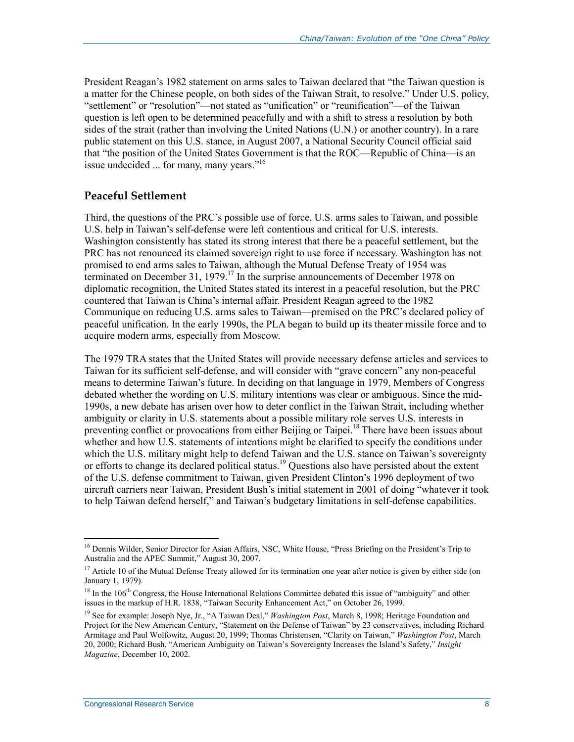President Reagan's 1982 statement on arms sales to Taiwan declared that "the Taiwan question is a matter for the Chinese people, on both sides of the Taiwan Strait, to resolve." Under U.S. policy, "settlement" or "resolution"—not stated as "unification" or "reunification"—of the Taiwan question is left open to be determined peacefully and with a shift to stress a resolution by both sides of the strait (rather than involving the United Nations (U.N.) or another country). In a rare public statement on this U.S. stance, in August 2007, a National Security Council official said that "the position of the United States Government is that the ROC—Republic of China—is an issue undecided ... for many, many years."<sup>16</sup>

#### **Peaceful Settlement**

Third, the questions of the PRC's possible use of force, U.S. arms sales to Taiwan, and possible U.S. help in Taiwan's self-defense were left contentious and critical for U.S. interests. Washington consistently has stated its strong interest that there be a peaceful settlement, but the PRC has not renounced its claimed sovereign right to use force if necessary. Washington has not promised to end arms sales to Taiwan, although the Mutual Defense Treaty of 1954 was terminated on December 31, 1979.<sup>17</sup> In the surprise announcements of December 1978 on diplomatic recognition, the United States stated its interest in a peaceful resolution, but the PRC countered that Taiwan is China's internal affair. President Reagan agreed to the 1982 Communique on reducing U.S. arms sales to Taiwan—premised on the PRC's declared policy of peaceful unification. In the early 1990s, the PLA began to build up its theater missile force and to acquire modern arms, especially from Moscow.

The 1979 TRA states that the United States will provide necessary defense articles and services to Taiwan for its sufficient self-defense, and will consider with "grave concern" any non-peaceful means to determine Taiwan's future. In deciding on that language in 1979, Members of Congress debated whether the wording on U.S. military intentions was clear or ambiguous. Since the mid-1990s, a new debate has arisen over how to deter conflict in the Taiwan Strait, including whether ambiguity or clarity in U.S. statements about a possible military role serves U.S. interests in preventing conflict or provocations from either Beijing or Taipei.<sup>18</sup> There have been issues about whether and how U.S. statements of intentions might be clarified to specify the conditions under which the U.S. military might help to defend Taiwan and the U.S. stance on Taiwan's sovereignty or efforts to change its declared political status.<sup>19</sup> Questions also have persisted about the extent of the U.S. defense commitment to Taiwan, given President Clinton's 1996 deployment of two aircraft carriers near Taiwan, President Bush's initial statement in 2001 of doing "whatever it took to help Taiwan defend herself," and Taiwan's budgetary limitations in self-defense capabilities.

<sup>&</sup>lt;u>.</u> <sup>16</sup> Dennis Wilder, Senior Director for Asian Affairs, NSC, White House, "Press Briefing on the President's Trip to Australia and the APEC Summit," August 30, 2007.

<sup>&</sup>lt;sup>17</sup> Article 10 of the Mutual Defense Treaty allowed for its termination one year after notice is given by either side (on January 1, 1979).

 $18$  In the  $106<sup>th</sup>$  Congress, the House International Relations Committee debated this issue of "ambiguity" and other issues in the markup of H.R. 1838, "Taiwan Security Enhancement Act," on October 26, 1999.

<sup>19</sup> See for example: Joseph Nye, Jr., "A Taiwan Deal," *Washington Post*, March 8, 1998; Heritage Foundation and Project for the New American Century, "Statement on the Defense of Taiwan" by 23 conservatives, including Richard Armitage and Paul Wolfowitz, August 20, 1999; Thomas Christensen, "Clarity on Taiwan," *Washington Post*, March 20, 2000; Richard Bush, "American Ambiguity on Taiwan's Sovereignty Increases the Island's Safety," *Insight Magazine*, December 10, 2002.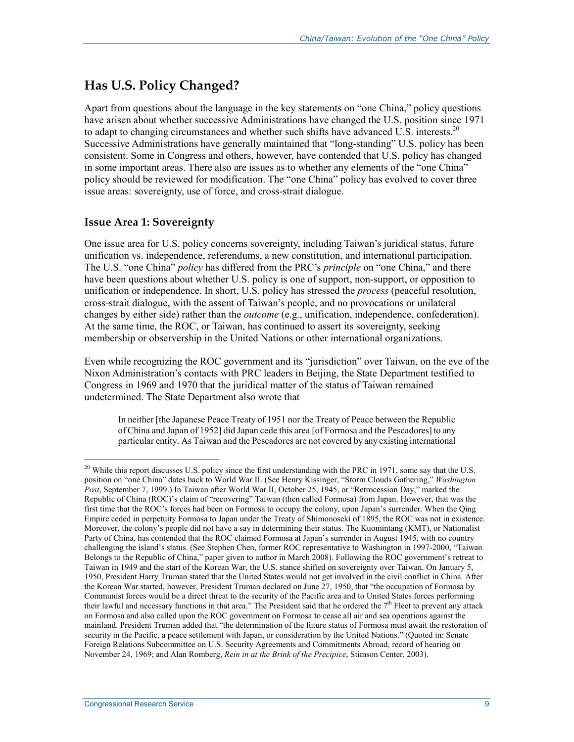### **Has U.S. Policy Changed?**

Apart from questions about the language in the key statements on "one China," policy questions have arisen about whether successive Administrations have changed the U.S. position since 1971 to adapt to changing circumstances and whether such shifts have advanced U.S. interests.<sup>20</sup> Successive Administrations have generally maintained that "long-standing" U.S. policy has been consistent. Some in Congress and others, however, have contended that U.S. policy has changed in some important areas. There also are issues as to whether any elements of the "one China" policy should be reviewed for modification. The "one China" policy has evolved to cover three issue areas: sovereignty, use of force, and cross-strait dialogue.

#### **Issue Area 1: Sovereignty**

One issue area for U.S. policy concerns sovereignty, including Taiwan's juridical status, future unification vs. independence, referendums, a new constitution, and international participation. The U.S. "one China" *policy* has differed from the PRC's *principle* on "one China," and there have been questions about whether U.S. policy is one of support, non-support, or opposition to unification or independence. In short, U.S. policy has stressed the *process* (peaceful resolution, cross-strait dialogue, with the assent of Taiwan's people, and no provocations or unilateral changes by either side) rather than the *outcome* (e.g., unification, independence, confederation). At the same time, the ROC, or Taiwan, has continued to assert its sovereignty, seeking membership or observership in the United Nations or other international organizations.

Even while recognizing the ROC government and its "jurisdiction" over Taiwan, on the eve of the Nixon Administration's contacts with PRC leaders in Beijing, the State Department testified to Congress in 1969 and 1970 that the juridical matter of the status of Taiwan remained undetermined. The State Department also wrote that

In neither [the Japanese Peace Treaty of 1951 nor the Treaty of Peace between the Republic of China and Japan of 1952] did Japan cede this area [of Formosa and the Pescadores] to any particular entity. As Taiwan and the Pescadores are not covered by any existing international

<sup>&</sup>lt;sup>20</sup> While this report discusses U.S. policy since the first understanding with the PRC in 1971, some say that the U.S. position on "one China" dates back to World War II. (See Henry Kissinger, "Storm Clouds Gathering," *Washington Post*, September 7, 1999.) In Taiwan after World War II, October 25, 1945, or "Retrocession Day," marked the Republic of China (ROC)'s claim of "recovering" Taiwan (then called Formosa) from Japan. However, that was the first time that the ROC's forces had been on Formosa to occupy the colony, upon Japan's surrender. When the Qing Empire ceded in perpetuity Formosa to Japan under the Treaty of Shimonoseki of 1895, the ROC was not in existence. Moreover, the colony's people did not have a say in determining their status. The Kuomintang (KMT), or Nationalist Party of China, has contended that the ROC claimed Formosa at Japan's surrender in August 1945, with no country challenging the island's status. (See Stephen Chen, former ROC representative to Washington in 1997-2000, "Taiwan Belongs to the Republic of China," paper given to author in March 2008). Following the ROC government's retreat to Taiwan in 1949 and the start of the Korean War, the U.S. stance shifted on sovereignty over Taiwan. On January 5, 1950, President Harry Truman stated that the United States would not get involved in the civil conflict in China. After the Korean War started, however, President Truman declared on June 27, 1950, that "the occupation of Formosa by Communist forces would be a direct threat to the security of the Pacific area and to United States forces performing their lawful and necessary functions in that area." The President said that he ordered the  $7<sup>th</sup>$  Fleet to prevent any attack on Formosa and also called upon the ROC government on Formosa to cease all air and sea operations against the mainland. President Truman added that "the determination of the future status of Formosa must await the restoration of security in the Pacific, a peace settlement with Japan, or consideration by the United Nations." (Quoted in: Senate Foreign Relations Subcommittee on U.S. Security Agreements and Commitments Abroad, record of hearing on November 24, 1969; and Alan Romberg, *Rein in at the Brink of the Precipice*, Stimson Center, 2003).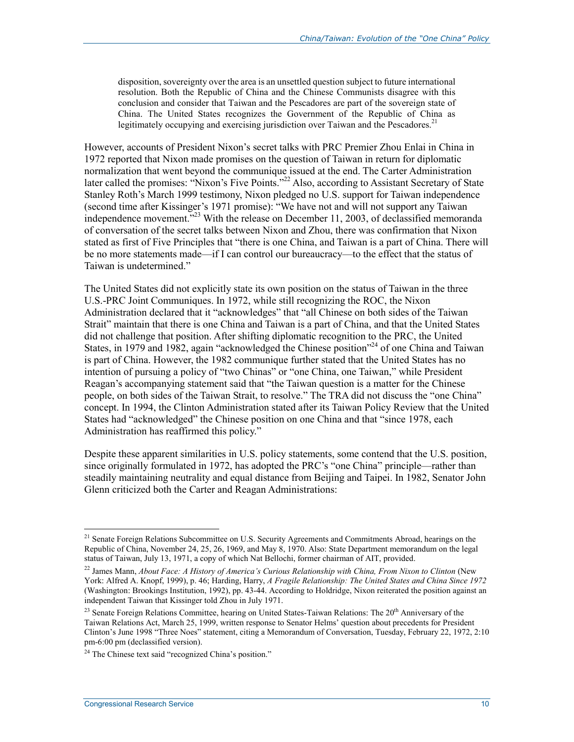disposition, sovereignty over the area is an unsettled question subject to future international resolution. Both the Republic of China and the Chinese Communists disagree with this conclusion and consider that Taiwan and the Pescadores are part of the sovereign state of China. The United States recognizes the Government of the Republic of China as legitimately occupying and exercising jurisdiction over Taiwan and the Pescadores.<sup>21</sup>

However, accounts of President Nixon's secret talks with PRC Premier Zhou Enlai in China in 1972 reported that Nixon made promises on the question of Taiwan in return for diplomatic normalization that went beyond the communique issued at the end. The Carter Administration later called the promises: "Nixon's Five Points."<sup>22</sup> Also, according to Assistant Secretary of State Stanley Roth's March 1999 testimony, Nixon pledged no U.S. support for Taiwan independence (second time after Kissinger's 1971 promise): "We have not and will not support any Taiwan independence movement.<sup>523</sup> With the release on December 11, 2003, of declassified memoranda of conversation of the secret talks between Nixon and Zhou, there was confirmation that Nixon stated as first of Five Principles that "there is one China, and Taiwan is a part of China. There will be no more statements made—if I can control our bureaucracy—to the effect that the status of Taiwan is undetermined."

The United States did not explicitly state its own position on the status of Taiwan in the three U.S.-PRC Joint Communiques. In 1972, while still recognizing the ROC, the Nixon Administration declared that it "acknowledges" that "all Chinese on both sides of the Taiwan Strait" maintain that there is one China and Taiwan is a part of China, and that the United States did not challenge that position. After shifting diplomatic recognition to the PRC, the United States, in 1979 and 1982, again "acknowledged the Chinese position"<sup>24</sup> of one China and Taiwan is part of China. However, the 1982 communique further stated that the United States has no intention of pursuing a policy of "two Chinas" or "one China, one Taiwan," while President Reagan's accompanying statement said that "the Taiwan question is a matter for the Chinese people, on both sides of the Taiwan Strait, to resolve." The TRA did not discuss the "one China" concept. In 1994, the Clinton Administration stated after its Taiwan Policy Review that the United States had "acknowledged" the Chinese position on one China and that "since 1978, each Administration has reaffirmed this policy."

Despite these apparent similarities in U.S. policy statements, some contend that the U.S. position, since originally formulated in 1972, has adopted the PRC's "one China" principle—rather than steadily maintaining neutrality and equal distance from Beijing and Taipei. In 1982, Senator John Glenn criticized both the Carter and Reagan Administrations:

<sup>&</sup>lt;sup>21</sup> Senate Foreign Relations Subcommittee on U.S. Security Agreements and Commitments Abroad, hearings on the Republic of China, November 24, 25, 26, 1969, and May 8, 1970. Also: State Department memorandum on the legal status of Taiwan, July 13, 1971, a copy of which Nat Bellochi, former chairman of AIT, provided.

<sup>22</sup> James Mann, *About Face: A History of America's Curious Relationship with China, From Nixon to Clinton* (New York: Alfred A. Knopf, 1999), p. 46; Harding, Harry, *A Fragile Relationship: The United States and China Since 1972* (Washington: Brookings Institution, 1992), pp. 43-44. According to Holdridge, Nixon reiterated the position against an independent Taiwan that Kissinger told Zhou in July 1971.

<sup>&</sup>lt;sup>23</sup> Senate Foreign Relations Committee, hearing on United States-Taiwan Relations: The  $20<sup>th</sup>$  Anniversary of the Taiwan Relations Act, March 25, 1999, written response to Senator Helms' question about precedents for President Clinton's June 1998 "Three Noes" statement, citing a Memorandum of Conversation, Tuesday, February 22, 1972, 2:10 pm-6:00 pm (declassified version).

<sup>&</sup>lt;sup>24</sup> The Chinese text said "recognized China's position."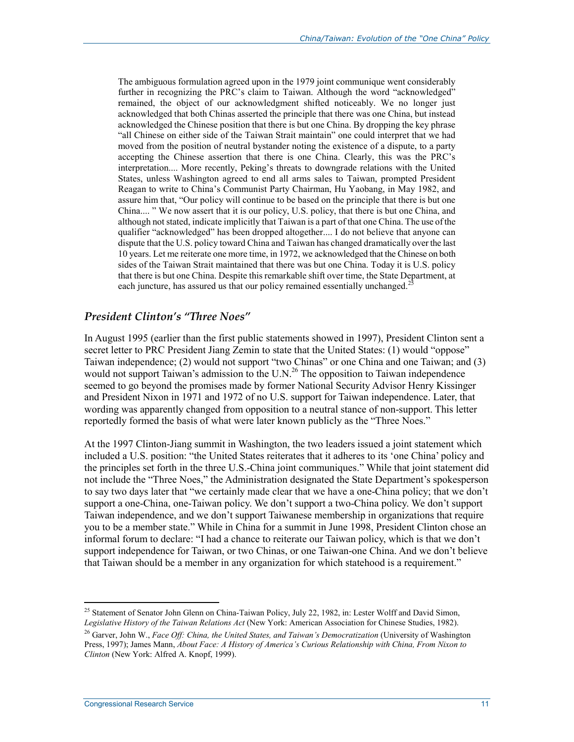The ambiguous formulation agreed upon in the 1979 joint communique went considerably further in recognizing the PRC's claim to Taiwan. Although the word "acknowledged" remained, the object of our acknowledgment shifted noticeably. We no longer just acknowledged that both Chinas asserted the principle that there was one China, but instead acknowledged the Chinese position that there is but one China. By dropping the key phrase "all Chinese on either side of the Taiwan Strait maintain" one could interpret that we had moved from the position of neutral bystander noting the existence of a dispute, to a party accepting the Chinese assertion that there is one China. Clearly, this was the PRC's interpretation.... More recently, Peking's threats to downgrade relations with the United States, unless Washington agreed to end all arms sales to Taiwan, prompted President Reagan to write to China's Communist Party Chairman, Hu Yaobang, in May 1982, and assure him that, "Our policy will continue to be based on the principle that there is but one China.... " We now assert that it is our policy, U.S. policy, that there is but one China, and although not stated, indicate implicitly that Taiwan is a part of that one China. The use of the qualifier "acknowledged" has been dropped altogether.... I do not believe that anyone can dispute that the U.S. policy toward China and Taiwan has changed dramatically over the last 10 years. Let me reiterate one more time, in 1972, we acknowledged that the Chinese on both sides of the Taiwan Strait maintained that there was but one China. Today it is U.S. policy that there is but one China. Despite this remarkable shift over time, the State Department, at each juncture, has assured us that our policy remained essentially unchanged.<sup>25</sup>

#### *President Clinton's "Three Noes"*

In August 1995 (earlier than the first public statements showed in 1997), President Clinton sent a secret letter to PRC President Jiang Zemin to state that the United States: (1) would "oppose" Taiwan independence; (2) would not support "two Chinas" or one China and one Taiwan; and (3) would not support Taiwan's admission to the U.N.<sup>26</sup> The opposition to Taiwan independence seemed to go beyond the promises made by former National Security Advisor Henry Kissinger and President Nixon in 1971 and 1972 of no U.S. support for Taiwan independence. Later, that wording was apparently changed from opposition to a neutral stance of non-support. This letter reportedly formed the basis of what were later known publicly as the "Three Noes."

At the 1997 Clinton-Jiang summit in Washington, the two leaders issued a joint statement which included a U.S. position: "the United States reiterates that it adheres to its 'one China' policy and the principles set forth in the three U.S.-China joint communiques." While that joint statement did not include the "Three Noes," the Administration designated the State Department's spokesperson to say two days later that "we certainly made clear that we have a one-China policy; that we don't support a one-China, one-Taiwan policy. We don't support a two-China policy. We don't support Taiwan independence, and we don't support Taiwanese membership in organizations that require you to be a member state." While in China for a summit in June 1998, President Clinton chose an informal forum to declare: "I had a chance to reiterate our Taiwan policy, which is that we don't support independence for Taiwan, or two Chinas, or one Taiwan-one China. And we don't believe that Taiwan should be a member in any organization for which statehood is a requirement."

<sup>1</sup> <sup>25</sup> Statement of Senator John Glenn on China-Taiwan Policy, July 22, 1982, in: Lester Wolff and David Simon, *Legislative History of the Taiwan Relations Act* (New York: American Association for Chinese Studies, 1982).

<sup>26</sup> Garver, John W., *Face Off: China, the United States, and Taiwan's Democratization* (University of Washington Press, 1997); James Mann, *About Face: A History of America's Curious Relationship with China, From Nixon to Clinton* (New York: Alfred A. Knopf, 1999).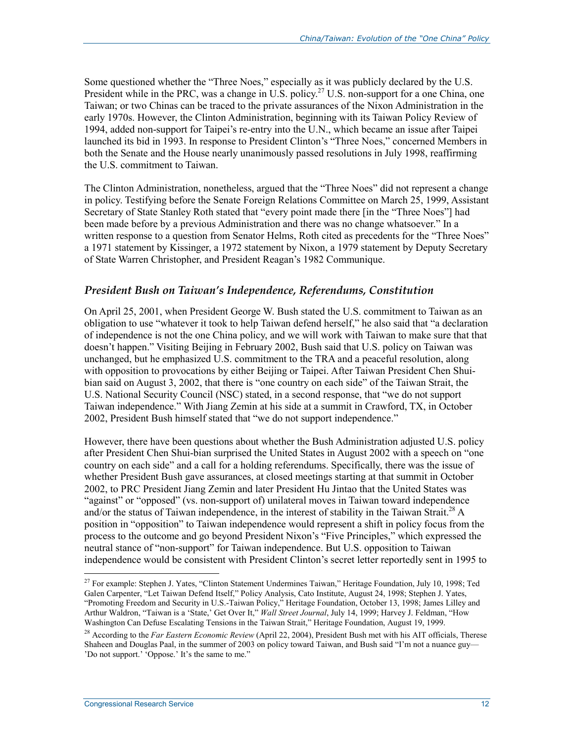Some questioned whether the "Three Noes," especially as it was publicly declared by the U.S. President while in the PRC, was a change in U.S. policy.<sup>27</sup> U.S. non-support for a one China, one Taiwan; or two Chinas can be traced to the private assurances of the Nixon Administration in the early 1970s. However, the Clinton Administration, beginning with its Taiwan Policy Review of 1994, added non-support for Taipei's re-entry into the U.N., which became an issue after Taipei launched its bid in 1993. In response to President Clinton's "Three Noes," concerned Members in both the Senate and the House nearly unanimously passed resolutions in July 1998, reaffirming the U.S. commitment to Taiwan.

The Clinton Administration, nonetheless, argued that the "Three Noes" did not represent a change in policy. Testifying before the Senate Foreign Relations Committee on March 25, 1999, Assistant Secretary of State Stanley Roth stated that "every point made there [in the "Three Noes"] had been made before by a previous Administration and there was no change whatsoever." In a written response to a question from Senator Helms, Roth cited as precedents for the "Three Noes" a 1971 statement by Kissinger, a 1972 statement by Nixon, a 1979 statement by Deputy Secretary of State Warren Christopher, and President Reagan's 1982 Communique.

#### *President Bush on Taiwan's Independence, Referendums, Constitution*

On April 25, 2001, when President George W. Bush stated the U.S. commitment to Taiwan as an obligation to use "whatever it took to help Taiwan defend herself," he also said that "a declaration of independence is not the one China policy, and we will work with Taiwan to make sure that that doesn't happen." Visiting Beijing in February 2002, Bush said that U.S. policy on Taiwan was unchanged, but he emphasized U.S. commitment to the TRA and a peaceful resolution, along with opposition to provocations by either Beijing or Taipei. After Taiwan President Chen Shuibian said on August 3, 2002, that there is "one country on each side" of the Taiwan Strait, the U.S. National Security Council (NSC) stated, in a second response, that "we do not support Taiwan independence." With Jiang Zemin at his side at a summit in Crawford, TX, in October 2002, President Bush himself stated that "we do not support independence."

However, there have been questions about whether the Bush Administration adjusted U.S. policy after President Chen Shui-bian surprised the United States in August 2002 with a speech on "one country on each side" and a call for a holding referendums. Specifically, there was the issue of whether President Bush gave assurances, at closed meetings starting at that summit in October 2002, to PRC President Jiang Zemin and later President Hu Jintao that the United States was "against" or "opposed" (vs. non-support of) unilateral moves in Taiwan toward independence and/or the status of Taiwan independence, in the interest of stability in the Taiwan Strait.<sup>28</sup> A position in "opposition" to Taiwan independence would represent a shift in policy focus from the process to the outcome and go beyond President Nixon's "Five Principles," which expressed the neutral stance of "non-support" for Taiwan independence. But U.S. opposition to Taiwan independence would be consistent with President Clinton's secret letter reportedly sent in 1995 to

<sup>&</sup>lt;sup>27</sup> For example: Stephen J. Yates, "Clinton Statement Undermines Taiwan," Heritage Foundation, July 10, 1998; Ted Galen Carpenter, "Let Taiwan Defend Itself," Policy Analysis, Cato Institute, August 24, 1998; Stephen J. Yates, "Promoting Freedom and Security in U.S.-Taiwan Policy," Heritage Foundation, October 13, 1998; James Lilley and Arthur Waldron, "Taiwan is a 'State,' Get Over It," *Wall Street Journal*, July 14, 1999; Harvey J. Feldman, "How Washington Can Defuse Escalating Tensions in the Taiwan Strait," Heritage Foundation, August 19, 1999.

<sup>&</sup>lt;sup>28</sup> According to the *Far Eastern Economic Review* (April 22, 2004), President Bush met with his AIT officials, Therese Shaheen and Douglas Paal, in the summer of 2003 on policy toward Taiwan, and Bush said "I'm not a nuance guy— 'Do not support.' 'Oppose.' It's the same to me."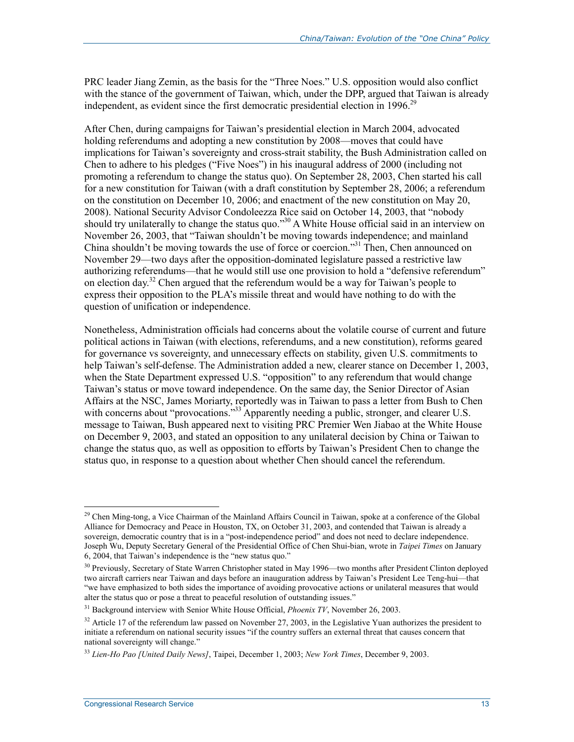PRC leader Jiang Zemin, as the basis for the "Three Noes." U.S. opposition would also conflict with the stance of the government of Taiwan, which, under the DPP, argued that Taiwan is already independent, as evident since the first democratic presidential election in  $1996$ <sup>29</sup>

After Chen, during campaigns for Taiwan's presidential election in March 2004, advocated holding referendums and adopting a new constitution by 2008—moves that could have implications for Taiwan's sovereignty and cross-strait stability, the Bush Administration called on Chen to adhere to his pledges ("Five Noes") in his inaugural address of 2000 (including not promoting a referendum to change the status quo). On September 28, 2003, Chen started his call for a new constitution for Taiwan (with a draft constitution by September 28, 2006; a referendum on the constitution on December 10, 2006; and enactment of the new constitution on May 20, 2008). National Security Advisor Condoleezza Rice said on October 14, 2003, that "nobody should try unilaterally to change the status quo."<sup>30</sup> A White House official said in an interview on November 26, 2003, that "Taiwan shouldn't be moving towards independence; and mainland China shouldn't be moving towards the use of force or coercion."31 Then, Chen announced on November 29—two days after the opposition-dominated legislature passed a restrictive law authorizing referendums—that he would still use one provision to hold a "defensive referendum" on election day.<sup>32</sup> Chen argued that the referendum would be a way for Taiwan's people to express their opposition to the PLA's missile threat and would have nothing to do with the question of unification or independence.

Nonetheless, Administration officials had concerns about the volatile course of current and future political actions in Taiwan (with elections, referendums, and a new constitution), reforms geared for governance vs sovereignty, and unnecessary effects on stability, given U.S. commitments to help Taiwan's self-defense. The Administration added a new, clearer stance on December 1, 2003, when the State Department expressed U.S. "opposition" to any referendum that would change Taiwan's status or move toward independence. On the same day, the Senior Director of Asian Affairs at the NSC, James Moriarty, reportedly was in Taiwan to pass a letter from Bush to Chen with concerns about "provocations."<sup>33</sup> Apparently needing a public, stronger, and clearer U.S. message to Taiwan, Bush appeared next to visiting PRC Premier Wen Jiabao at the White House on December 9, 2003, and stated an opposition to any unilateral decision by China or Taiwan to change the status quo, as well as opposition to efforts by Taiwan's President Chen to change the status quo, in response to a question about whether Chen should cancel the referendum.

<u>.</u>

<sup>&</sup>lt;sup>29</sup> Chen Ming-tong, a Vice Chairman of the Mainland Affairs Council in Taiwan, spoke at a conference of the Global Alliance for Democracy and Peace in Houston, TX, on October 31, 2003, and contended that Taiwan is already a sovereign, democratic country that is in a "post-independence period" and does not need to declare independence. Joseph Wu, Deputy Secretary General of the Presidential Office of Chen Shui-bian, wrote in *Taipei Times* on January 6, 2004, that Taiwan's independence is the "new status quo."

<sup>&</sup>lt;sup>30</sup> Previously, Secretary of State Warren Christopher stated in May 1996—two months after President Clinton deployed two aircraft carriers near Taiwan and days before an inauguration address by Taiwan's President Lee Teng-hui—that "we have emphasized to both sides the importance of avoiding provocative actions or unilateral measures that would alter the status quo or pose a threat to peaceful resolution of outstanding issues."

<sup>&</sup>lt;sup>31</sup> Background interview with Senior White House Official, *Phoenix TV*, November 26, 2003.

 $32$  Article 17 of the referendum law passed on November 27, 2003, in the Legislative Yuan authorizes the president to initiate a referendum on national security issues "if the country suffers an external threat that causes concern that national sovereignty will change."

<sup>33</sup> *Lien-Ho Pao [United Daily News]*, Taipei, December 1, 2003; *New York Times*, December 9, 2003.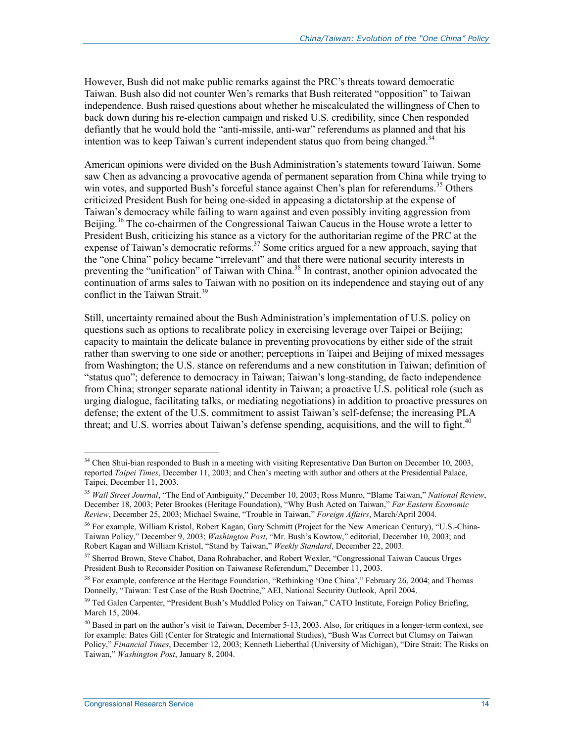However, Bush did not make public remarks against the PRC's threats toward democratic Taiwan. Bush also did not counter Wen's remarks that Bush reiterated "opposition" to Taiwan independence. Bush raised questions about whether he miscalculated the willingness of Chen to back down during his re-election campaign and risked U.S. credibility, since Chen responded defiantly that he would hold the "anti-missile, anti-war" referendums as planned and that his intention was to keep Taiwan's current independent status quo from being changed.<sup>34</sup>

American opinions were divided on the Bush Administration's statements toward Taiwan. Some saw Chen as advancing a provocative agenda of permanent separation from China while trying to win votes, and supported Bush's forceful stance against Chen's plan for referendums.<sup>35</sup> Others criticized President Bush for being one-sided in appeasing a dictatorship at the expense of Taiwan's democracy while failing to warn against and even possibly inviting aggression from Beijing.<sup>36</sup> The co-chairmen of the Congressional Taiwan Caucus in the House wrote a letter to President Bush, criticizing his stance as a victory for the authoritarian regime of the PRC at the expense of Taiwan's democratic reforms.<sup>37</sup> Some critics argued for a new approach, saying that the "one China" policy became "irrelevant" and that there were national security interests in preventing the "unification" of Taiwan with China.<sup>38</sup> In contrast, another opinion advocated the continuation of arms sales to Taiwan with no position on its independence and staying out of any conflict in the Taiwan Strait.<sup>39</sup>

Still, uncertainty remained about the Bush Administration's implementation of U.S. policy on questions such as options to recalibrate policy in exercising leverage over Taipei or Beijing; capacity to maintain the delicate balance in preventing provocations by either side of the strait rather than swerving to one side or another; perceptions in Taipei and Beijing of mixed messages from Washington; the U.S. stance on referendums and a new constitution in Taiwan; definition of "status quo"; deference to democracy in Taiwan; Taiwan's long-standing, de facto independence from China; stronger separate national identity in Taiwan; a proactive U.S. political role (such as urging dialogue, facilitating talks, or mediating negotiations) in addition to proactive pressures on defense; the extent of the U.S. commitment to assist Taiwan's self-defense; the increasing PLA threat; and U.S. worries about Taiwan's defense spending, acquisitions, and the will to fight.<sup>40</sup>

<u>.</u>

<sup>&</sup>lt;sup>34</sup> Chen Shui-bian responded to Bush in a meeting with visiting Representative Dan Burton on December 10, 2003, reported *Taipei Times*, December 11, 2003; and Chen's meeting with author and others at the Presidential Palace, Taipei, December 11, 2003.

<sup>35</sup> *Wall Street Journal*, "The End of Ambiguity," December 10, 2003; Ross Munro, "Blame Taiwan," *National Review*, December 18, 2003; Peter Brookes (Heritage Foundation), "Why Bush Acted on Taiwan," *Far Eastern Economic Review*, December 25, 2003; Michael Swaine, "Trouble in Taiwan," *Foreign Affairs*, March/April 2004.

<sup>&</sup>lt;sup>36</sup> For example, William Kristol, Robert Kagan, Gary Schmitt (Project for the New American Century), "U.S.-China-Taiwan Policy," December 9, 2003; *Washington Post*, "Mr. Bush's Kowtow," editorial, December 10, 2003; and Robert Kagan and William Kristol, "Stand by Taiwan," *Weekly Standard*, December 22, 2003.

<sup>&</sup>lt;sup>37</sup> Sherrod Brown, Steve Chabot, Dana Rohrabacher, and Robert Wexler, "Congressional Taiwan Caucus Urges President Bush to Reconsider Position on Taiwanese Referendum," December 11, 2003.

<sup>&</sup>lt;sup>38</sup> For example, conference at the Heritage Foundation, "Rethinking 'One China'," February 26, 2004; and Thomas Donnelly, "Taiwan: Test Case of the Bush Doctrine," AEI, National Security Outlook, April 2004.

<sup>&</sup>lt;sup>39</sup> Ted Galen Carpenter, "President Bush's Muddled Policy on Taiwan," CATO Institute, Foreign Policy Briefing, March 15, 2004.

 $40$  Based in part on the author's visit to Taiwan, December 5-13, 2003. Also, for critiques in a longer-term context, see for example: Bates Gill (Center for Strategic and International Studies), "Bush Was Correct but Clumsy on Taiwan Policy," *Financial Times*, December 12, 2003; Kenneth Lieberthal (University of Michigan), "Dire Strait: The Risks on Taiwan," *Washington Post*, January 8, 2004.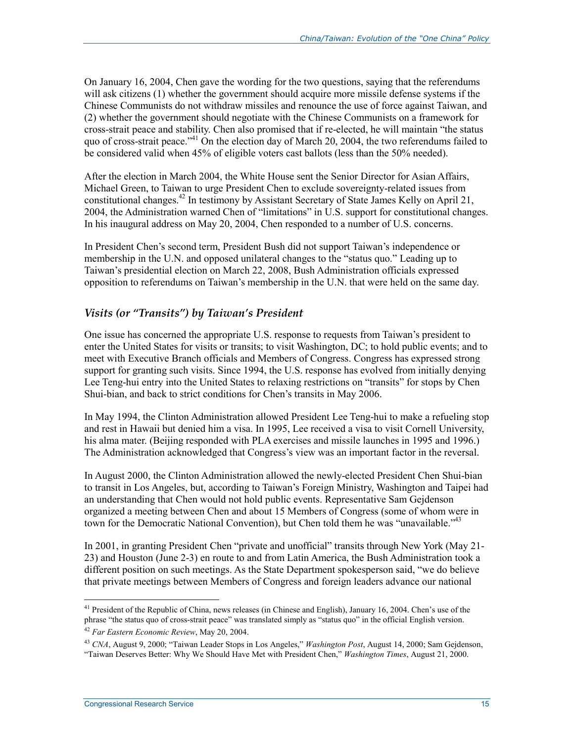On January 16, 2004, Chen gave the wording for the two questions, saying that the referendums will ask citizens (1) whether the government should acquire more missile defense systems if the Chinese Communists do not withdraw missiles and renounce the use of force against Taiwan, and (2) whether the government should negotiate with the Chinese Communists on a framework for cross-strait peace and stability. Chen also promised that if re-elected, he will maintain "the status quo of cross-strait peace."<sup>41</sup> On the election day of March 20, 2004, the two referendums failed to be considered valid when 45% of eligible voters cast ballots (less than the 50% needed).

After the election in March 2004, the White House sent the Senior Director for Asian Affairs, Michael Green, to Taiwan to urge President Chen to exclude sovereignty-related issues from constitutional changes.42 In testimony by Assistant Secretary of State James Kelly on April 21, 2004, the Administration warned Chen of "limitations" in U.S. support for constitutional changes. In his inaugural address on May 20, 2004, Chen responded to a number of U.S. concerns.

In President Chen's second term, President Bush did not support Taiwan's independence or membership in the U.N. and opposed unilateral changes to the "status quo." Leading up to Taiwan's presidential election on March 22, 2008, Bush Administration officials expressed opposition to referendums on Taiwan's membership in the U.N. that were held on the same day.

#### *Visits (or "Transits") by Taiwan's President*

One issue has concerned the appropriate U.S. response to requests from Taiwan's president to enter the United States for visits or transits; to visit Washington, DC; to hold public events; and to meet with Executive Branch officials and Members of Congress. Congress has expressed strong support for granting such visits. Since 1994, the U.S. response has evolved from initially denying Lee Teng-hui entry into the United States to relaxing restrictions on "transits" for stops by Chen Shui-bian, and back to strict conditions for Chen's transits in May 2006.

In May 1994, the Clinton Administration allowed President Lee Teng-hui to make a refueling stop and rest in Hawaii but denied him a visa. In 1995, Lee received a visa to visit Cornell University, his alma mater. (Beijing responded with PLA exercises and missile launches in 1995 and 1996.) The Administration acknowledged that Congress's view was an important factor in the reversal.

In August 2000, the Clinton Administration allowed the newly-elected President Chen Shui-bian to transit in Los Angeles, but, according to Taiwan's Foreign Ministry, Washington and Taipei had an understanding that Chen would not hold public events. Representative Sam Gejdenson organized a meeting between Chen and about 15 Members of Congress (some of whom were in town for the Democratic National Convention), but Chen told them he was "unavailable."<sup>43</sup>

In 2001, in granting President Chen "private and unofficial" transits through New York (May 21- 23) and Houston (June 2-3) en route to and from Latin America, the Bush Administration took a different position on such meetings. As the State Department spokesperson said, "we do believe that private meetings between Members of Congress and foreign leaders advance our national

<sup>1</sup> <sup>41</sup> President of the Republic of China, news releases (in Chinese and English), January 16, 2004. Chen's use of the phrase "the status quo of cross-strait peace" was translated simply as "status quo" in the official English version.

<sup>42</sup> *Far Eastern Economic Review*, May 20, 2004.

<sup>43</sup> *CNA*, August 9, 2000; "Taiwan Leader Stops in Los Angeles," *Washington Post*, August 14, 2000; Sam Gejdenson, "Taiwan Deserves Better: Why We Should Have Met with President Chen," *Washington Times*, August 21, 2000.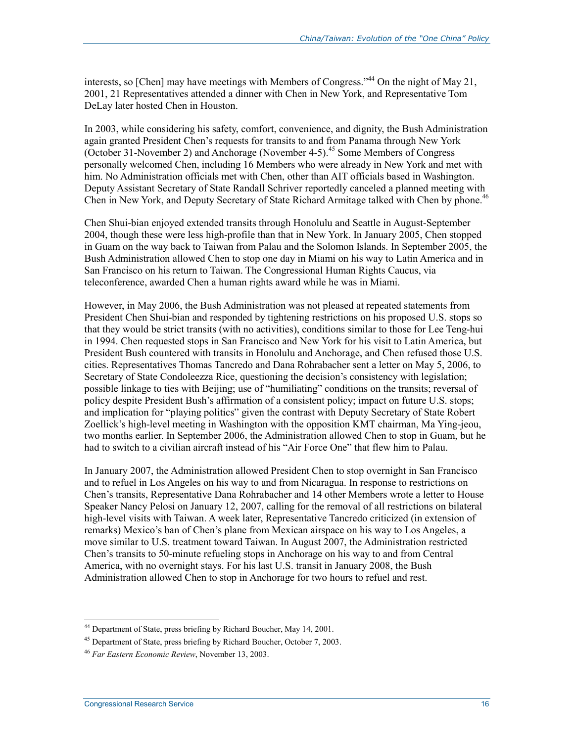interests, so [Chen] may have meetings with Members of Congress."<sup>44</sup> On the night of May 21, 2001, 21 Representatives attended a dinner with Chen in New York, and Representative Tom DeLay later hosted Chen in Houston.

In 2003, while considering his safety, comfort, convenience, and dignity, the Bush Administration again granted President Chen's requests for transits to and from Panama through New York (October 31-November 2) and Anchorage (November 4-5).<sup>45</sup> Some Members of Congress personally welcomed Chen, including 16 Members who were already in New York and met with him. No Administration officials met with Chen, other than AIT officials based in Washington. Deputy Assistant Secretary of State Randall Schriver reportedly canceled a planned meeting with Chen in New York, and Deputy Secretary of State Richard Armitage talked with Chen by phone.<sup>46</sup>

Chen Shui-bian enjoyed extended transits through Honolulu and Seattle in August-September 2004, though these were less high-profile than that in New York. In January 2005, Chen stopped in Guam on the way back to Taiwan from Palau and the Solomon Islands. In September 2005, the Bush Administration allowed Chen to stop one day in Miami on his way to Latin America and in San Francisco on his return to Taiwan. The Congressional Human Rights Caucus, via teleconference, awarded Chen a human rights award while he was in Miami.

However, in May 2006, the Bush Administration was not pleased at repeated statements from President Chen Shui-bian and responded by tightening restrictions on his proposed U.S. stops so that they would be strict transits (with no activities), conditions similar to those for Lee Teng-hui in 1994. Chen requested stops in San Francisco and New York for his visit to Latin America, but President Bush countered with transits in Honolulu and Anchorage, and Chen refused those U.S. cities. Representatives Thomas Tancredo and Dana Rohrabacher sent a letter on May 5, 2006, to Secretary of State Condoleezza Rice, questioning the decision's consistency with legislation; possible linkage to ties with Beijing; use of "humiliating" conditions on the transits; reversal of policy despite President Bush's affirmation of a consistent policy; impact on future U.S. stops; and implication for "playing politics" given the contrast with Deputy Secretary of State Robert Zoellick's high-level meeting in Washington with the opposition KMT chairman, Ma Ying-jeou, two months earlier. In September 2006, the Administration allowed Chen to stop in Guam, but he had to switch to a civilian aircraft instead of his "Air Force One" that flew him to Palau.

In January 2007, the Administration allowed President Chen to stop overnight in San Francisco and to refuel in Los Angeles on his way to and from Nicaragua. In response to restrictions on Chen's transits, Representative Dana Rohrabacher and 14 other Members wrote a letter to House Speaker Nancy Pelosi on January 12, 2007, calling for the removal of all restrictions on bilateral high-level visits with Taiwan. A week later, Representative Tancredo criticized (in extension of remarks) Mexico's ban of Chen's plane from Mexican airspace on his way to Los Angeles, a move similar to U.S. treatment toward Taiwan. In August 2007, the Administration restricted Chen's transits to 50-minute refueling stops in Anchorage on his way to and from Central America, with no overnight stays. For his last U.S. transit in January 2008, the Bush Administration allowed Chen to stop in Anchorage for two hours to refuel and rest.

<sup>&</sup>lt;sup>44</sup> Department of State, press briefing by Richard Boucher, May 14, 2001.

 $45$  Department of State, press briefing by Richard Boucher, October 7, 2003.

<sup>46</sup> *Far Eastern Economic Review*, November 13, 2003.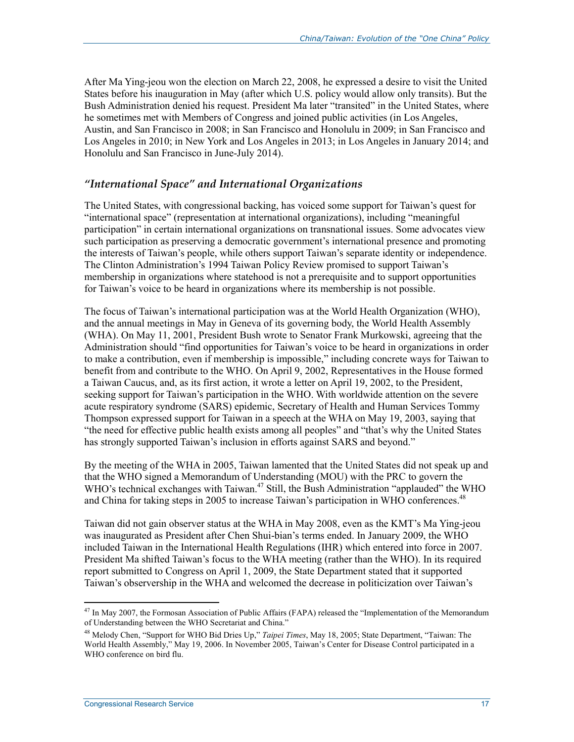After Ma Ying-jeou won the election on March 22, 2008, he expressed a desire to visit the United States before his inauguration in May (after which U.S. policy would allow only transits). But the Bush Administration denied his request. President Ma later "transited" in the United States, where he sometimes met with Members of Congress and joined public activities (in Los Angeles, Austin, and San Francisco in 2008; in San Francisco and Honolulu in 2009; in San Francisco and Los Angeles in 2010; in New York and Los Angeles in 2013; in Los Angeles in January 2014; and Honolulu and San Francisco in June-July 2014).

#### *"International Space" and International Organizations*

The United States, with congressional backing, has voiced some support for Taiwan's quest for "international space" (representation at international organizations), including "meaningful participation" in certain international organizations on transnational issues. Some advocates view such participation as preserving a democratic government's international presence and promoting the interests of Taiwan's people, while others support Taiwan's separate identity or independence. The Clinton Administration's 1994 Taiwan Policy Review promised to support Taiwan's membership in organizations where statehood is not a prerequisite and to support opportunities for Taiwan's voice to be heard in organizations where its membership is not possible.

The focus of Taiwan's international participation was at the World Health Organization (WHO), and the annual meetings in May in Geneva of its governing body, the World Health Assembly (WHA). On May 11, 2001, President Bush wrote to Senator Frank Murkowski, agreeing that the Administration should "find opportunities for Taiwan's voice to be heard in organizations in order to make a contribution, even if membership is impossible," including concrete ways for Taiwan to benefit from and contribute to the WHO. On April 9, 2002, Representatives in the House formed a Taiwan Caucus, and, as its first action, it wrote a letter on April 19, 2002, to the President, seeking support for Taiwan's participation in the WHO. With worldwide attention on the severe acute respiratory syndrome (SARS) epidemic, Secretary of Health and Human Services Tommy Thompson expressed support for Taiwan in a speech at the WHA on May 19, 2003, saying that "the need for effective public health exists among all peoples" and "that's why the United States has strongly supported Taiwan's inclusion in efforts against SARS and beyond."

By the meeting of the WHA in 2005, Taiwan lamented that the United States did not speak up and that the WHO signed a Memorandum of Understanding (MOU) with the PRC to govern the WHO's technical exchanges with Taiwan.<sup>47</sup> Still, the Bush Administration "applauded" the WHO and China for taking steps in 2005 to increase Taiwan's participation in WHO conferences.<sup>48</sup>

Taiwan did not gain observer status at the WHA in May 2008, even as the KMT's Ma Ying-jeou was inaugurated as President after Chen Shui-bian's terms ended. In January 2009, the WHO included Taiwan in the International Health Regulations (IHR) which entered into force in 2007. President Ma shifted Taiwan's focus to the WHA meeting (rather than the WHO). In its required report submitted to Congress on April 1, 2009, the State Department stated that it supported Taiwan's observership in the WHA and welcomed the decrease in politicization over Taiwan's

<sup>1</sup> <sup>47</sup> In May 2007, the Formosan Association of Public Affairs (FAPA) released the "Implementation of the Memorandum of Understanding between the WHO Secretariat and China."

<sup>48</sup> Melody Chen, "Support for WHO Bid Dries Up," *Taipei Times*, May 18, 2005; State Department, "Taiwan: The World Health Assembly," May 19, 2006. In November 2005, Taiwan's Center for Disease Control participated in a WHO conference on bird flu.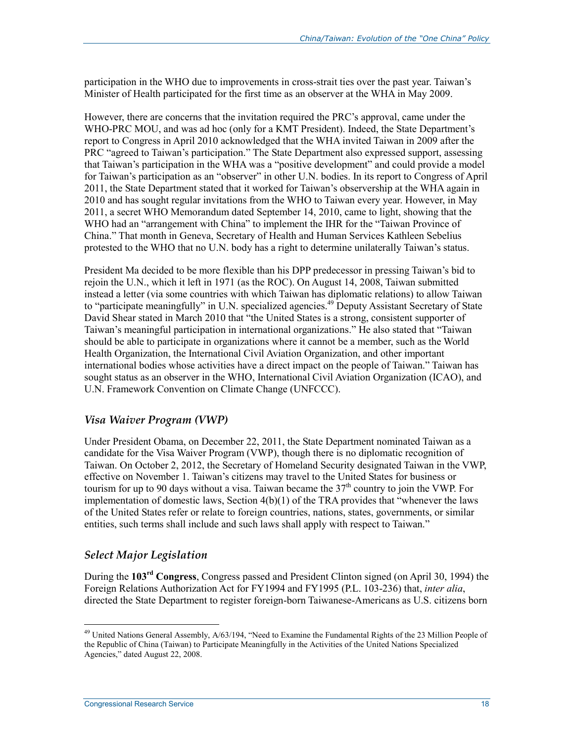participation in the WHO due to improvements in cross-strait ties over the past year. Taiwan's Minister of Health participated for the first time as an observer at the WHA in May 2009.

However, there are concerns that the invitation required the PRC's approval, came under the WHO-PRC MOU, and was ad hoc (only for a KMT President). Indeed, the State Department's report to Congress in April 2010 acknowledged that the WHA invited Taiwan in 2009 after the PRC "agreed to Taiwan's participation." The State Department also expressed support, assessing that Taiwan's participation in the WHA was a "positive development" and could provide a model for Taiwan's participation as an "observer" in other U.N. bodies. In its report to Congress of April 2011, the State Department stated that it worked for Taiwan's observership at the WHA again in 2010 and has sought regular invitations from the WHO to Taiwan every year. However, in May 2011, a secret WHO Memorandum dated September 14, 2010, came to light, showing that the WHO had an "arrangement with China" to implement the IHR for the "Taiwan Province of China." That month in Geneva, Secretary of Health and Human Services Kathleen Sebelius protested to the WHO that no U.N. body has a right to determine unilaterally Taiwan's status.

President Ma decided to be more flexible than his DPP predecessor in pressing Taiwan's bid to rejoin the U.N., which it left in 1971 (as the ROC). On August 14, 2008, Taiwan submitted instead a letter (via some countries with which Taiwan has diplomatic relations) to allow Taiwan to "participate meaningfully" in U.N. specialized agencies.<sup>49</sup> Deputy Assistant Secretary of State David Shear stated in March 2010 that "the United States is a strong, consistent supporter of Taiwan's meaningful participation in international organizations." He also stated that "Taiwan should be able to participate in organizations where it cannot be a member, such as the World Health Organization, the International Civil Aviation Organization, and other important international bodies whose activities have a direct impact on the people of Taiwan." Taiwan has sought status as an observer in the WHO, International Civil Aviation Organization (ICAO), and U.N. Framework Convention on Climate Change (UNFCCC).

#### *Visa Waiver Program (VWP)*

Under President Obama, on December 22, 2011, the State Department nominated Taiwan as a candidate for the Visa Waiver Program (VWP), though there is no diplomatic recognition of Taiwan. On October 2, 2012, the Secretary of Homeland Security designated Taiwan in the VWP, effective on November 1. Taiwan's citizens may travel to the United States for business or tourism for up to 90 days without a visa. Taiwan became the  $37<sup>th</sup>$  country to join the VWP. For implementation of domestic laws, Section  $4(b)(1)$  of the TRA provides that "whenever the laws" of the United States refer or relate to foreign countries, nations, states, governments, or similar entities, such terms shall include and such laws shall apply with respect to Taiwan."

#### *Select Major Legislation*

During the **103rd Congress**, Congress passed and President Clinton signed (on April 30, 1994) the Foreign Relations Authorization Act for FY1994 and FY1995 (P.L. 103-236) that, *inter alia*, directed the State Department to register foreign-born Taiwanese-Americans as U.S. citizens born

<sup>&</sup>lt;sup>49</sup> United Nations General Assembly, A/63/194, "Need to Examine the Fundamental Rights of the 23 Million People of the Republic of China (Taiwan) to Participate Meaningfully in the Activities of the United Nations Specialized Agencies," dated August 22, 2008.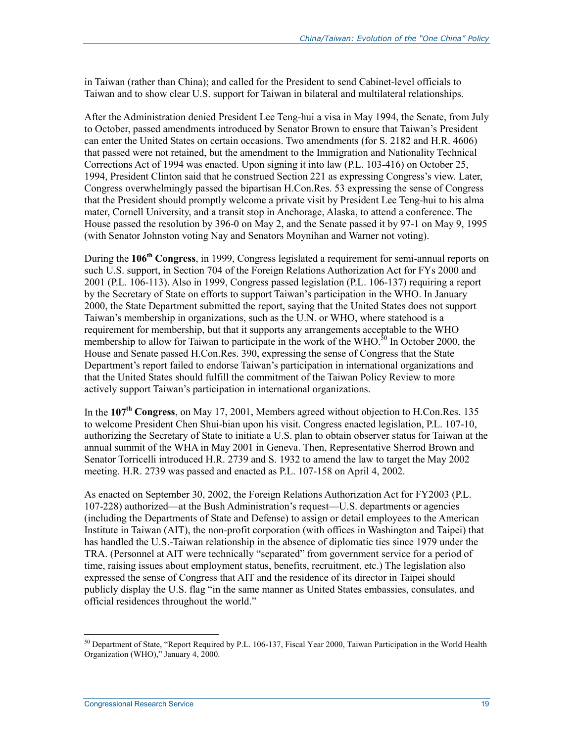in Taiwan (rather than China); and called for the President to send Cabinet-level officials to Taiwan and to show clear U.S. support for Taiwan in bilateral and multilateral relationships.

After the Administration denied President Lee Teng-hui a visa in May 1994, the Senate, from July to October, passed amendments introduced by Senator Brown to ensure that Taiwan's President can enter the United States on certain occasions. Two amendments (for S. 2182 and H.R. 4606) that passed were not retained, but the amendment to the Immigration and Nationality Technical Corrections Act of 1994 was enacted. Upon signing it into law (P.L. 103-416) on October 25, 1994, President Clinton said that he construed Section 221 as expressing Congress's view. Later, Congress overwhelmingly passed the bipartisan H.Con.Res. 53 expressing the sense of Congress that the President should promptly welcome a private visit by President Lee Teng-hui to his alma mater, Cornell University, and a transit stop in Anchorage, Alaska, to attend a conference. The House passed the resolution by 396-0 on May 2, and the Senate passed it by 97-1 on May 9, 1995 (with Senator Johnston voting Nay and Senators Moynihan and Warner not voting).

During the **106th Congress**, in 1999, Congress legislated a requirement for semi-annual reports on such U.S. support, in Section 704 of the Foreign Relations Authorization Act for FYs 2000 and 2001 (P.L. 106-113). Also in 1999, Congress passed legislation (P.L. 106-137) requiring a report by the Secretary of State on efforts to support Taiwan's participation in the WHO. In January 2000, the State Department submitted the report, saying that the United States does not support Taiwan's membership in organizations, such as the U.N. or WHO, where statehood is a requirement for membership, but that it supports any arrangements acceptable to the WHO membership to allow for Taiwan to participate in the work of the WHO. $50$  In October 2000, the House and Senate passed H.Con.Res. 390, expressing the sense of Congress that the State Department's report failed to endorse Taiwan's participation in international organizations and that the United States should fulfill the commitment of the Taiwan Policy Review to more actively support Taiwan's participation in international organizations.

In the 107<sup>th</sup> Congress, on May 17, 2001, Members agreed without objection to H.Con.Res. 135 to welcome President Chen Shui-bian upon his visit. Congress enacted legislation, P.L. 107-10, authorizing the Secretary of State to initiate a U.S. plan to obtain observer status for Taiwan at the annual summit of the WHA in May 2001 in Geneva. Then, Representative Sherrod Brown and Senator Torricelli introduced H.R. 2739 and S. 1932 to amend the law to target the May 2002 meeting. H.R. 2739 was passed and enacted as P.L. 107-158 on April 4, 2002.

As enacted on September 30, 2002, the Foreign Relations Authorization Act for FY2003 (P.L. 107-228) authorized—at the Bush Administration's request—U.S. departments or agencies (including the Departments of State and Defense) to assign or detail employees to the American Institute in Taiwan (AIT), the non-profit corporation (with offices in Washington and Taipei) that has handled the U.S.-Taiwan relationship in the absence of diplomatic ties since 1979 under the TRA. (Personnel at AIT were technically "separated" from government service for a period of time, raising issues about employment status, benefits, recruitment, etc.) The legislation also expressed the sense of Congress that AIT and the residence of its director in Taipei should publicly display the U.S. flag "in the same manner as United States embassies, consulates, and official residences throughout the world."

<sup>&</sup>lt;sup>50</sup> Department of State, "Report Required by P.L. 106-137, Fiscal Year 2000, Taiwan Participation in the World Health Organization (WHO)," January 4, 2000.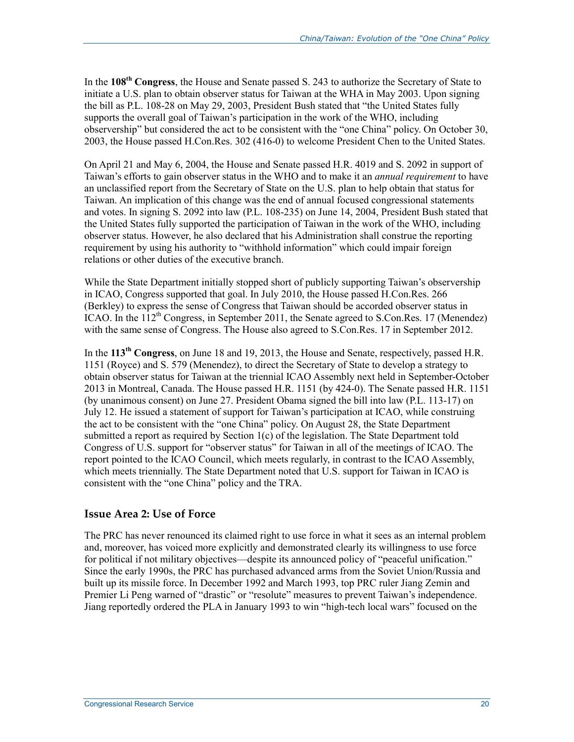In the **108th Congress**, the House and Senate passed S. 243 to authorize the Secretary of State to initiate a U.S. plan to obtain observer status for Taiwan at the WHA in May 2003. Upon signing the bill as P.L. 108-28 on May 29, 2003, President Bush stated that "the United States fully supports the overall goal of Taiwan's participation in the work of the WHO, including observership" but considered the act to be consistent with the "one China" policy. On October 30, 2003, the House passed H.Con.Res. 302 (416-0) to welcome President Chen to the United States.

On April 21 and May 6, 2004, the House and Senate passed H.R. 4019 and S. 2092 in support of Taiwan's efforts to gain observer status in the WHO and to make it an *annual requirement* to have an unclassified report from the Secretary of State on the U.S. plan to help obtain that status for Taiwan. An implication of this change was the end of annual focused congressional statements and votes. In signing S. 2092 into law (P.L. 108-235) on June 14, 2004, President Bush stated that the United States fully supported the participation of Taiwan in the work of the WHO, including observer status. However, he also declared that his Administration shall construe the reporting requirement by using his authority to "withhold information" which could impair foreign relations or other duties of the executive branch.

While the State Department initially stopped short of publicly supporting Taiwan's observership in ICAO, Congress supported that goal. In July 2010, the House passed H.Con.Res. 266 (Berkley) to express the sense of Congress that Taiwan should be accorded observer status in ICAO. In the  $112^{th}$  Congress, in September 2011, the Senate agreed to S.Con.Res. 17 (Menendez) with the same sense of Congress. The House also agreed to S.Con.Res. 17 in September 2012.

In the **113th Congress**, on June 18 and 19, 2013, the House and Senate, respectively, passed H.R. 1151 (Royce) and S. 579 (Menendez), to direct the Secretary of State to develop a strategy to obtain observer status for Taiwan at the triennial ICAO Assembly next held in September-October 2013 in Montreal, Canada. The House passed H.R. 1151 (by 424-0). The Senate passed H.R. 1151 (by unanimous consent) on June 27. President Obama signed the bill into law (P.L. 113-17) on July 12. He issued a statement of support for Taiwan's participation at ICAO, while construing the act to be consistent with the "one China" policy. On August 28, the State Department submitted a report as required by Section 1(c) of the legislation. The State Department told Congress of U.S. support for "observer status" for Taiwan in all of the meetings of ICAO. The report pointed to the ICAO Council, which meets regularly, in contrast to the ICAO Assembly, which meets triennially. The State Department noted that U.S. support for Taiwan in ICAO is consistent with the "one China" policy and the TRA.

#### **Issue Area 2: Use of Force**

The PRC has never renounced its claimed right to use force in what it sees as an internal problem and, moreover, has voiced more explicitly and demonstrated clearly its willingness to use force for political if not military objectives—despite its announced policy of "peaceful unification." Since the early 1990s, the PRC has purchased advanced arms from the Soviet Union/Russia and built up its missile force. In December 1992 and March 1993, top PRC ruler Jiang Zemin and Premier Li Peng warned of "drastic" or "resolute" measures to prevent Taiwan's independence. Jiang reportedly ordered the PLA in January 1993 to win "high-tech local wars" focused on the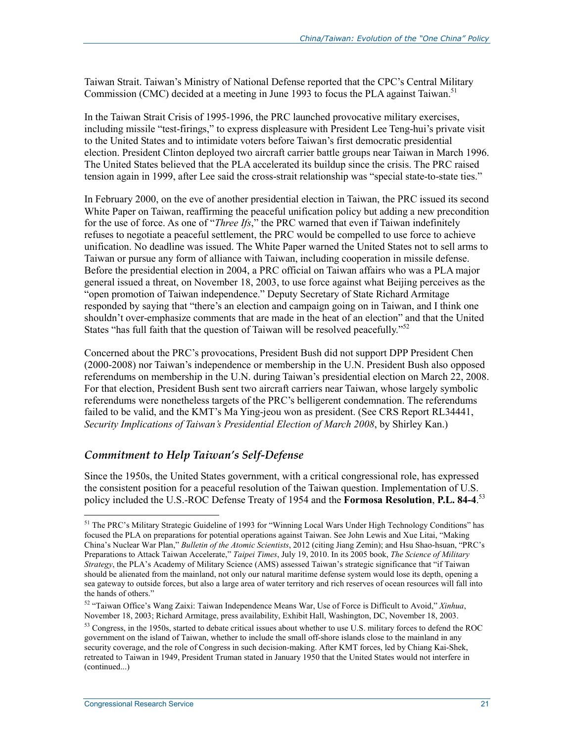Taiwan Strait. Taiwan's Ministry of National Defense reported that the CPC's Central Military Commission (CMC) decided at a meeting in June 1993 to focus the PLA against Taiwan.<sup>51</sup>

In the Taiwan Strait Crisis of 1995-1996, the PRC launched provocative military exercises, including missile "test-firings," to express displeasure with President Lee Teng-hui's private visit to the United States and to intimidate voters before Taiwan's first democratic presidential election. President Clinton deployed two aircraft carrier battle groups near Taiwan in March 1996. The United States believed that the PLA accelerated its buildup since the crisis. The PRC raised tension again in 1999, after Lee said the cross-strait relationship was "special state-to-state ties."

In February 2000, on the eve of another presidential election in Taiwan, the PRC issued its second White Paper on Taiwan, reaffirming the peaceful unification policy but adding a new precondition for the use of force. As one of "*Three Ifs*," the PRC warned that even if Taiwan indefinitely refuses to negotiate a peaceful settlement, the PRC would be compelled to use force to achieve unification. No deadline was issued. The White Paper warned the United States not to sell arms to Taiwan or pursue any form of alliance with Taiwan, including cooperation in missile defense. Before the presidential election in 2004, a PRC official on Taiwan affairs who was a PLA major general issued a threat, on November 18, 2003, to use force against what Beijing perceives as the "open promotion of Taiwan independence." Deputy Secretary of State Richard Armitage responded by saying that "there's an election and campaign going on in Taiwan, and I think one shouldn't over-emphasize comments that are made in the heat of an election" and that the United States "has full faith that the question of Taiwan will be resolved peacefully."<sup>52</sup>

Concerned about the PRC's provocations, President Bush did not support DPP President Chen (2000-2008) nor Taiwan's independence or membership in the U.N. President Bush also opposed referendums on membership in the U.N. during Taiwan's presidential election on March 22, 2008. For that election, President Bush sent two aircraft carriers near Taiwan, whose largely symbolic referendums were nonetheless targets of the PRC's belligerent condemnation. The referendums failed to be valid, and the KMT's Ma Ying-jeou won as president. (See CRS Report RL34441, *Security Implications of Taiwan's Presidential Election of March 2008*, by Shirley Kan.)

#### *Commitment to Help Taiwan's Self-Defense*

Since the 1950s, the United States government, with a critical congressional role, has expressed the consistent position for a peaceful resolution of the Taiwan question. Implementation of U.S. policy included the U.S.-ROC Defense Treaty of 1954 and the **Formosa Resolution**, **P.L. 84-4**. 53

<u>.</u>

<sup>&</sup>lt;sup>51</sup> The PRC's Military Strategic Guideline of 1993 for "Winning Local Wars Under High Technology Conditions" has focused the PLA on preparations for potential operations against Taiwan. See John Lewis and Xue Litai, "Making China's Nuclear War Plan," *Bulletin of the Atomic Scientists*, 2012 (citing Jiang Zemin); and Hsu Shao-hsuan, "PRC's Preparations to Attack Taiwan Accelerate," *Taipei Times*, July 19, 2010. In its 2005 book, *The Science of Military Strategy*, the PLA's Academy of Military Science (AMS) assessed Taiwan's strategic significance that "if Taiwan should be alienated from the mainland, not only our natural maritime defense system would lose its depth, opening a sea gateway to outside forces, but also a large area of water territory and rich reserves of ocean resources will fall into the hands of others."

<sup>52 &</sup>quot;Taiwan Office's Wang Zaixi: Taiwan Independence Means War, Use of Force is Difficult to Avoid," *Xinhua*, November 18, 2003; Richard Armitage, press availability, Exhibit Hall, Washington, DC, November 18, 2003.

 $53$  Congress, in the 1950s, started to debate critical issues about whether to use U.S. military forces to defend the ROC government on the island of Taiwan, whether to include the small off-shore islands close to the mainland in any security coverage, and the role of Congress in such decision-making. After KMT forces, led by Chiang Kai-Shek, retreated to Taiwan in 1949, President Truman stated in January 1950 that the United States would not interfere in (continued...)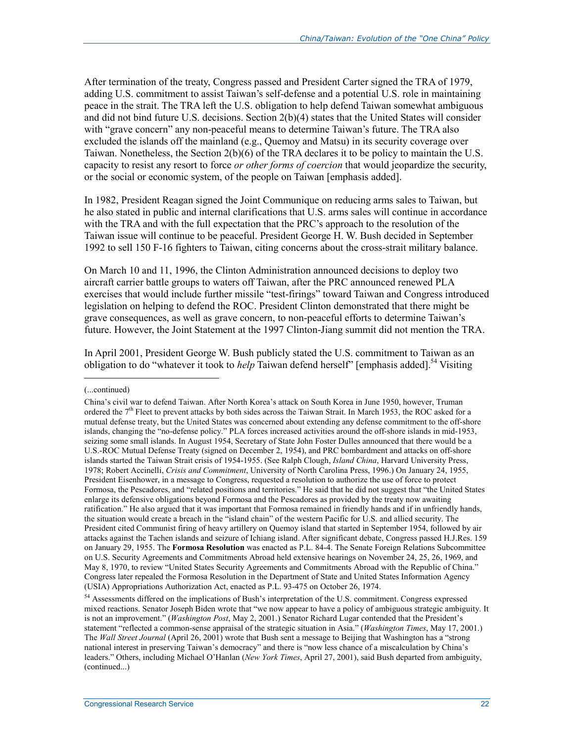After termination of the treaty, Congress passed and President Carter signed the TRA of 1979, adding U.S. commitment to assist Taiwan's self-defense and a potential U.S. role in maintaining peace in the strait. The TRA left the U.S. obligation to help defend Taiwan somewhat ambiguous and did not bind future U.S. decisions. Section 2(b)(4) states that the United States will consider with "grave concern" any non-peaceful means to determine Taiwan's future. The TRA also excluded the islands off the mainland (e.g., Quemoy and Matsu) in its security coverage over Taiwan. Nonetheless, the Section 2(b)(6) of the TRA declares it to be policy to maintain the U.S. capacity to resist any resort to force *or other forms of coercion* that would jeopardize the security, or the social or economic system, of the people on Taiwan [emphasis added].

In 1982, President Reagan signed the Joint Communique on reducing arms sales to Taiwan, but he also stated in public and internal clarifications that U.S. arms sales will continue in accordance with the TRA and with the full expectation that the PRC's approach to the resolution of the Taiwan issue will continue to be peaceful. President George H. W. Bush decided in September 1992 to sell 150 F-16 fighters to Taiwan, citing concerns about the cross-strait military balance.

On March 10 and 11, 1996, the Clinton Administration announced decisions to deploy two aircraft carrier battle groups to waters off Taiwan, after the PRC announced renewed PLA exercises that would include further missile "test-firings" toward Taiwan and Congress introduced legislation on helping to defend the ROC. President Clinton demonstrated that there might be grave consequences, as well as grave concern, to non-peaceful efforts to determine Taiwan's future. However, the Joint Statement at the 1997 Clinton-Jiang summit did not mention the TRA.

In April 2001, President George W. Bush publicly stated the U.S. commitment to Taiwan as an obligation to do "whatever it took to *help* Taiwan defend herself" [emphasis added].<sup>54</sup> Visiting

<sup>(...</sup>continued)

China's civil war to defend Taiwan. After North Korea's attack on South Korea in June 1950, however, Truman ordered the 7<sup>th</sup> Fleet to prevent attacks by both sides across the Taiwan Strait. In March 1953, the ROC asked for a mutual defense treaty, but the United States was concerned about extending any defense commitment to the off-shore islands, changing the "no-defense policy." PLA forces increased activities around the off-shore islands in mid-1953, seizing some small islands. In August 1954, Secretary of State John Foster Dulles announced that there would be a U.S.-ROC Mutual Defense Treaty (signed on December 2, 1954), and PRC bombardment and attacks on off-shore islands started the Taiwan Strait crisis of 1954-1955. (See Ralph Clough, *Island China*, Harvard University Press, 1978; Robert Accinelli, *Crisis and Commitment*, University of North Carolina Press, 1996.) On January 24, 1955, President Eisenhower, in a message to Congress, requested a resolution to authorize the use of force to protect Formosa, the Pescadores, and "related positions and territories." He said that he did not suggest that "the United States enlarge its defensive obligations beyond Formosa and the Pescadores as provided by the treaty now awaiting ratification." He also argued that it was important that Formosa remained in friendly hands and if in unfriendly hands, the situation would create a breach in the "island chain" of the western Pacific for U.S. and allied security. The President cited Communist firing of heavy artillery on Quemoy island that started in September 1954, followed by air attacks against the Tachen islands and seizure of Ichiang island. After significant debate, Congress passed H.J.Res. 159 on January 29, 1955. The **Formosa Resolution** was enacted as P.L. 84-4. The Senate Foreign Relations Subcommittee on U.S. Security Agreements and Commitments Abroad held extensive hearings on November 24, 25, 26, 1969, and May 8, 1970, to review "United States Security Agreements and Commitments Abroad with the Republic of China." Congress later repealed the Formosa Resolution in the Department of State and United States Information Agency (USIA) Appropriations Authorization Act, enacted as P.L. 93-475 on October 26, 1974.

<sup>&</sup>lt;sup>54</sup> Assessments differed on the implications of Bush's interpretation of the U.S. commitment. Congress expressed mixed reactions. Senator Joseph Biden wrote that "we now appear to have a policy of ambiguous strategic ambiguity. It is not an improvement." (*Washington Post*, May 2, 2001.) Senator Richard Lugar contended that the President's statement "reflected a common-sense appraisal of the strategic situation in Asia." (*Washington Times*, May 17, 2001.) The *Wall Street Journal* (April 26, 2001) wrote that Bush sent a message to Beijing that Washington has a "strong national interest in preserving Taiwan's democracy" and there is "now less chance of a miscalculation by China's leaders." Others, including Michael O'Hanlan (*New York Times*, April 27, 2001), said Bush departed from ambiguity, (continued...)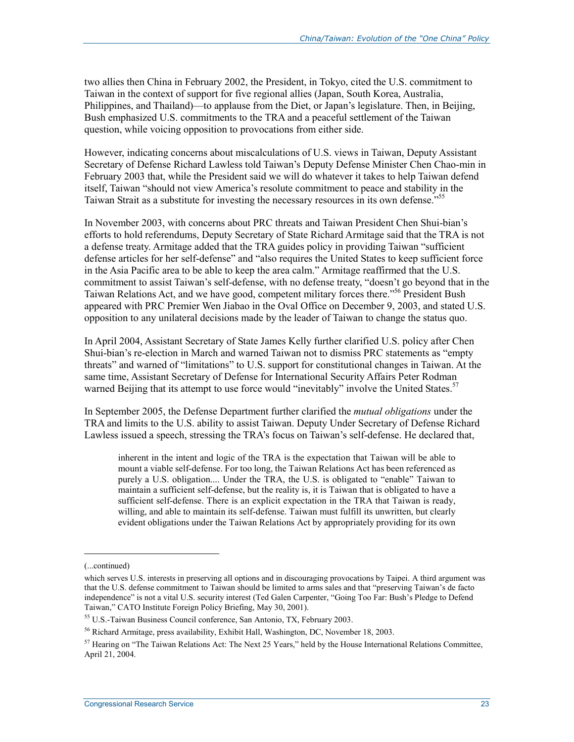two allies then China in February 2002, the President, in Tokyo, cited the U.S. commitment to Taiwan in the context of support for five regional allies (Japan, South Korea, Australia, Philippines, and Thailand)—to applause from the Diet, or Japan's legislature. Then, in Beijing, Bush emphasized U.S. commitments to the TRA and a peaceful settlement of the Taiwan question, while voicing opposition to provocations from either side.

However, indicating concerns about miscalculations of U.S. views in Taiwan, Deputy Assistant Secretary of Defense Richard Lawless told Taiwan's Deputy Defense Minister Chen Chao-min in February 2003 that, while the President said we will do whatever it takes to help Taiwan defend itself, Taiwan "should not view America's resolute commitment to peace and stability in the Taiwan Strait as a substitute for investing the necessary resources in its own defense."55

In November 2003, with concerns about PRC threats and Taiwan President Chen Shui-bian's efforts to hold referendums, Deputy Secretary of State Richard Armitage said that the TRA is not a defense treaty. Armitage added that the TRA guides policy in providing Taiwan "sufficient defense articles for her self-defense" and "also requires the United States to keep sufficient force in the Asia Pacific area to be able to keep the area calm." Armitage reaffirmed that the U.S. commitment to assist Taiwan's self-defense, with no defense treaty, "doesn't go beyond that in the Taiwan Relations Act, and we have good, competent military forces there."56 President Bush appeared with PRC Premier Wen Jiabao in the Oval Office on December 9, 2003, and stated U.S. opposition to any unilateral decisions made by the leader of Taiwan to change the status quo.

In April 2004, Assistant Secretary of State James Kelly further clarified U.S. policy after Chen Shui-bian's re-election in March and warned Taiwan not to dismiss PRC statements as "empty threats" and warned of "limitations" to U.S. support for constitutional changes in Taiwan. At the same time, Assistant Secretary of Defense for International Security Affairs Peter Rodman warned Beijing that its attempt to use force would "inevitably" involve the United States.<sup>57</sup>

In September 2005, the Defense Department further clarified the *mutual obligations* under the TRA and limits to the U.S. ability to assist Taiwan. Deputy Under Secretary of Defense Richard Lawless issued a speech, stressing the TRA's focus on Taiwan's self-defense. He declared that,

inherent in the intent and logic of the TRA is the expectation that Taiwan will be able to mount a viable self-defense. For too long, the Taiwan Relations Act has been referenced as purely a U.S. obligation.... Under the TRA, the U.S. is obligated to "enable" Taiwan to maintain a sufficient self-defense, but the reality is, it is Taiwan that is obligated to have a sufficient self-defense. There is an explicit expectation in the TRA that Taiwan is ready, willing, and able to maintain its self-defense. Taiwan must fulfill its unwritten, but clearly evident obligations under the Taiwan Relations Act by appropriately providing for its own

 $\overline{a}$ 

<sup>(...</sup>continued)

which serves U.S. interests in preserving all options and in discouraging provocations by Taipei. A third argument was that the U.S. defense commitment to Taiwan should be limited to arms sales and that "preserving Taiwan's de facto independence" is not a vital U.S. security interest (Ted Galen Carpenter, "Going Too Far: Bush's Pledge to Defend Taiwan," CATO Institute Foreign Policy Briefing, May 30, 2001).

<sup>55</sup> U.S.-Taiwan Business Council conference, San Antonio, TX, February 2003.

<sup>56</sup> Richard Armitage, press availability, Exhibit Hall, Washington, DC, November 18, 2003.

 $57$  Hearing on "The Taiwan Relations Act: The Next 25 Years," held by the House International Relations Committee, April 21, 2004.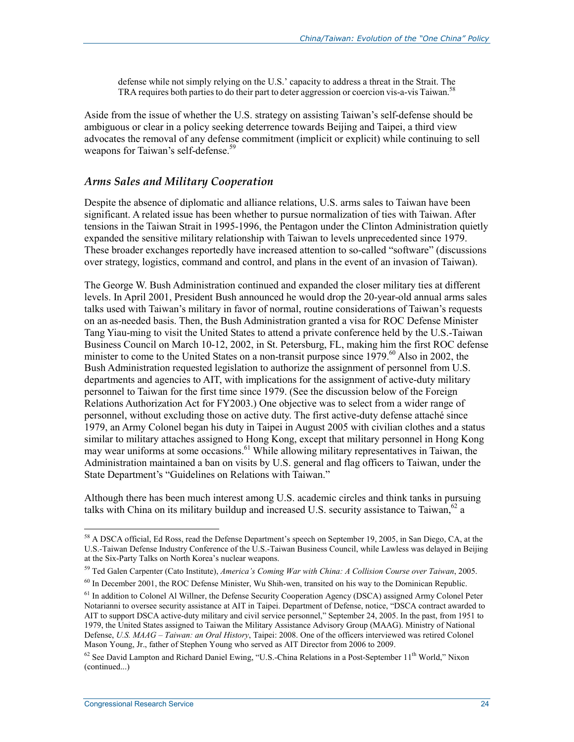defense while not simply relying on the U.S.' capacity to address a threat in the Strait. The TRA requires both parties to do their part to deter aggression or coercion vis-a-vis Taiwan.<sup>58</sup>

Aside from the issue of whether the U.S. strategy on assisting Taiwan's self-defense should be ambiguous or clear in a policy seeking deterrence towards Beijing and Taipei, a third view advocates the removal of any defense commitment (implicit or explicit) while continuing to sell weapons for Taiwan's self-defense.<sup>59</sup>

#### *Arms Sales and Military Cooperation*

Despite the absence of diplomatic and alliance relations, U.S. arms sales to Taiwan have been significant. A related issue has been whether to pursue normalization of ties with Taiwan. After tensions in the Taiwan Strait in 1995-1996, the Pentagon under the Clinton Administration quietly expanded the sensitive military relationship with Taiwan to levels unprecedented since 1979. These broader exchanges reportedly have increased attention to so-called "software" (discussions over strategy, logistics, command and control, and plans in the event of an invasion of Taiwan).

The George W. Bush Administration continued and expanded the closer military ties at different levels. In April 2001, President Bush announced he would drop the 20-year-old annual arms sales talks used with Taiwan's military in favor of normal, routine considerations of Taiwan's requests on an as-needed basis. Then, the Bush Administration granted a visa for ROC Defense Minister Tang Yiau-ming to visit the United States to attend a private conference held by the U.S.-Taiwan Business Council on March 10-12, 2002, in St. Petersburg, FL, making him the first ROC defense minister to come to the United States on a non-transit purpose since  $1979<sup>60</sup>$  Also in 2002, the Bush Administration requested legislation to authorize the assignment of personnel from U.S. departments and agencies to AIT, with implications for the assignment of active-duty military personnel to Taiwan for the first time since 1979. (See the discussion below of the Foreign Relations Authorization Act for FY2003.) One objective was to select from a wider range of personnel, without excluding those on active duty. The first active-duty defense attaché since 1979, an Army Colonel began his duty in Taipei in August 2005 with civilian clothes and a status similar to military attaches assigned to Hong Kong, except that military personnel in Hong Kong may wear uniforms at some occasions.<sup>61</sup> While allowing military representatives in Taiwan, the Administration maintained a ban on visits by U.S. general and flag officers to Taiwan, under the State Department's "Guidelines on Relations with Taiwan."

Although there has been much interest among U.S. academic circles and think tanks in pursuing talks with China on its military buildup and increased U.S. security assistance to Taiwan,  $62$  a

 $58$  A DSCA official, Ed Ross, read the Defense Department's speech on September 19, 2005, in San Diego, CA, at the U.S.-Taiwan Defense Industry Conference of the U.S.-Taiwan Business Council, while Lawless was delayed in Beijing at the Six-Party Talks on North Korea's nuclear weapons.

<sup>59</sup> Ted Galen Carpenter (Cato Institute), *America's Coming War with China: A Collision Course over Taiwan*, 2005.

<sup>60</sup> In December 2001, the ROC Defense Minister, Wu Shih-wen, transited on his way to the Dominican Republic.

<sup>&</sup>lt;sup>61</sup> In addition to Colonel Al Willner, the Defense Security Cooperation Agency (DSCA) assigned Army Colonel Peter Notarianni to oversee security assistance at AIT in Taipei. Department of Defense, notice, "DSCA contract awarded to AIT to support DSCA active-duty military and civil service personnel," September 24, 2005. In the past, from 1951 to 1979, the United States assigned to Taiwan the Military Assistance Advisory Group (MAAG). Ministry of National Defense, *U.S. MAAG – Taiwan: an Oral History*, Taipei: 2008. One of the officers interviewed was retired Colonel Mason Young, Jr., father of Stephen Young who served as AIT Director from 2006 to 2009.

 $62$  See David Lampton and Richard Daniel Ewing, "U.S.-China Relations in a Post-September  $11^{\text{th}}$  World," Nixon (continued...)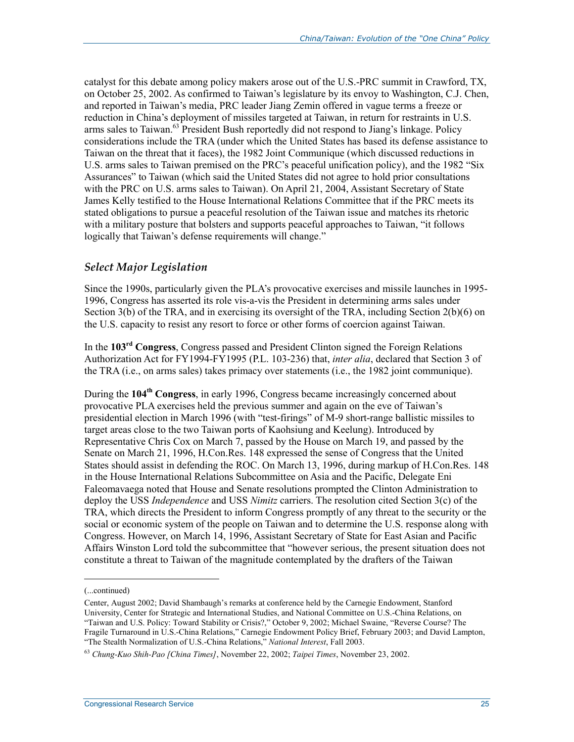catalyst for this debate among policy makers arose out of the U.S.-PRC summit in Crawford, TX, on October 25, 2002. As confirmed to Taiwan's legislature by its envoy to Washington, C.J. Chen, and reported in Taiwan's media, PRC leader Jiang Zemin offered in vague terms a freeze or reduction in China's deployment of missiles targeted at Taiwan, in return for restraints in U.S. arms sales to Taiwan.<sup>63</sup> President Bush reportedly did not respond to Jiang's linkage. Policy considerations include the TRA (under which the United States has based its defense assistance to Taiwan on the threat that it faces), the 1982 Joint Communique (which discussed reductions in U.S. arms sales to Taiwan premised on the PRC's peaceful unification policy), and the 1982 "Six Assurances" to Taiwan (which said the United States did not agree to hold prior consultations with the PRC on U.S. arms sales to Taiwan). On April 21, 2004, Assistant Secretary of State James Kelly testified to the House International Relations Committee that if the PRC meets its stated obligations to pursue a peaceful resolution of the Taiwan issue and matches its rhetoric with a military posture that bolsters and supports peaceful approaches to Taiwan, "it follows" logically that Taiwan's defense requirements will change."

#### *Select Major Legislation*

Since the 1990s, particularly given the PLA's provocative exercises and missile launches in 1995- 1996, Congress has asserted its role vis-a-vis the President in determining arms sales under Section 3(b) of the TRA, and in exercising its oversight of the TRA, including Section 2(b)(6) on the U.S. capacity to resist any resort to force or other forms of coercion against Taiwan.

In the **103rd Congress**, Congress passed and President Clinton signed the Foreign Relations Authorization Act for FY1994-FY1995 (P.L. 103-236) that, *inter alia*, declared that Section 3 of the TRA (i.e., on arms sales) takes primacy over statements (i.e., the 1982 joint communique).

During the 104<sup>th</sup> Congress, in early 1996, Congress became increasingly concerned about provocative PLA exercises held the previous summer and again on the eve of Taiwan's presidential election in March 1996 (with "test-firings" of M-9 short-range ballistic missiles to target areas close to the two Taiwan ports of Kaohsiung and Keelung). Introduced by Representative Chris Cox on March 7, passed by the House on March 19, and passed by the Senate on March 21, 1996, H.Con.Res. 148 expressed the sense of Congress that the United States should assist in defending the ROC. On March 13, 1996, during markup of H.Con.Res. 148 in the House International Relations Subcommittee on Asia and the Pacific, Delegate Eni Faleomavaega noted that House and Senate resolutions prompted the Clinton Administration to deploy the USS *Independence* and USS *Nimitz* carriers. The resolution cited Section 3(c) of the TRA, which directs the President to inform Congress promptly of any threat to the security or the social or economic system of the people on Taiwan and to determine the U.S. response along with Congress. However, on March 14, 1996, Assistant Secretary of State for East Asian and Pacific Affairs Winston Lord told the subcommittee that "however serious, the present situation does not constitute a threat to Taiwan of the magnitude contemplated by the drafters of the Taiwan

<sup>(...</sup>continued)

Center, August 2002; David Shambaugh's remarks at conference held by the Carnegie Endowment, Stanford University, Center for Strategic and International Studies, and National Committee on U.S.-China Relations, on "Taiwan and U.S. Policy: Toward Stability or Crisis?," October 9, 2002; Michael Swaine, "Reverse Course? The Fragile Turnaround in U.S.-China Relations," Carnegie Endowment Policy Brief, February 2003; and David Lampton, "The Stealth Normalization of U.S.-China Relations," *National Interest*, Fall 2003.

<sup>63</sup> *Chung-Kuo Shih-Pao [China Times]*, November 22, 2002; *Taipei Times*, November 23, 2002.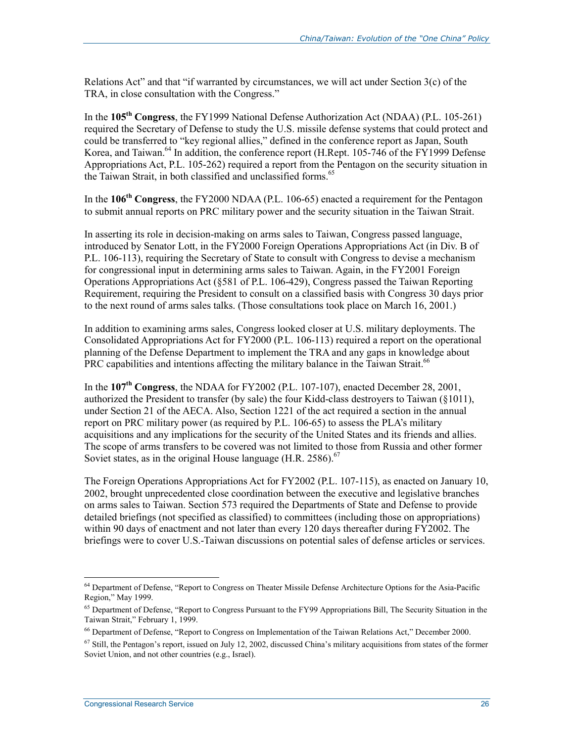Relations Act" and that "if warranted by circumstances, we will act under Section 3(c) of the TRA, in close consultation with the Congress."

In the **105<sup>th</sup> Congress**, the FY1999 National Defense Authorization Act (NDAA) (P.L. 105-261) required the Secretary of Defense to study the U.S. missile defense systems that could protect and could be transferred to "key regional allies," defined in the conference report as Japan, South Korea, and Taiwan.<sup>64</sup> In addition, the conference report (H.Rept. 105-746 of the FY1999 Defense Appropriations Act, P.L. 105-262) required a report from the Pentagon on the security situation in the Taiwan Strait, in both classified and unclassified forms.<sup>65</sup>

In the **106<sup>th</sup> Congress**, the FY2000 NDAA (P.L. 106-65) enacted a requirement for the Pentagon to submit annual reports on PRC military power and the security situation in the Taiwan Strait.

In asserting its role in decision-making on arms sales to Taiwan, Congress passed language, introduced by Senator Lott, in the FY2000 Foreign Operations Appropriations Act (in Div. B of P.L. 106-113), requiring the Secretary of State to consult with Congress to devise a mechanism for congressional input in determining arms sales to Taiwan. Again, in the FY2001 Foreign Operations Appropriations Act (§581 of P.L. 106-429), Congress passed the Taiwan Reporting Requirement, requiring the President to consult on a classified basis with Congress 30 days prior to the next round of arms sales talks. (Those consultations took place on March 16, 2001.)

In addition to examining arms sales, Congress looked closer at U.S. military deployments. The Consolidated Appropriations Act for FY2000 (P.L. 106-113) required a report on the operational planning of the Defense Department to implement the TRA and any gaps in knowledge about PRC capabilities and intentions affecting the military balance in the Taiwan Strait.<sup>66</sup>

In the  $107<sup>th</sup>$  Congress, the NDAA for FY2002 (P.L. 107-107), enacted December 28, 2001, authorized the President to transfer (by sale) the four Kidd-class destroyers to Taiwan (§1011), under Section 21 of the AECA. Also, Section 1221 of the act required a section in the annual report on PRC military power (as required by P.L. 106-65) to assess the PLA's military acquisitions and any implications for the security of the United States and its friends and allies. The scope of arms transfers to be covered was not limited to those from Russia and other former Soviet states, as in the original House language  $(H.R. 2586)^{67}$ 

The Foreign Operations Appropriations Act for FY2002 (P.L. 107-115), as enacted on January 10, 2002, brought unprecedented close coordination between the executive and legislative branches on arms sales to Taiwan. Section 573 required the Departments of State and Defense to provide detailed briefings (not specified as classified) to committees (including those on appropriations) within 90 days of enactment and not later than every 120 days thereafter during FY2002. The briefings were to cover U.S.-Taiwan discussions on potential sales of defense articles or services.

<sup>&</sup>lt;sup>64</sup> Department of Defense, "Report to Congress on Theater Missile Defense Architecture Options for the Asia-Pacific Region," May 1999.

<sup>65</sup> Department of Defense, "Report to Congress Pursuant to the FY99 Appropriations Bill, The Security Situation in the Taiwan Strait," February 1, 1999.

<sup>66</sup> Department of Defense, "Report to Congress on Implementation of the Taiwan Relations Act," December 2000.

 $67$  Still, the Pentagon's report, issued on July 12, 2002, discussed China's military acquisitions from states of the former Soviet Union, and not other countries (e.g., Israel).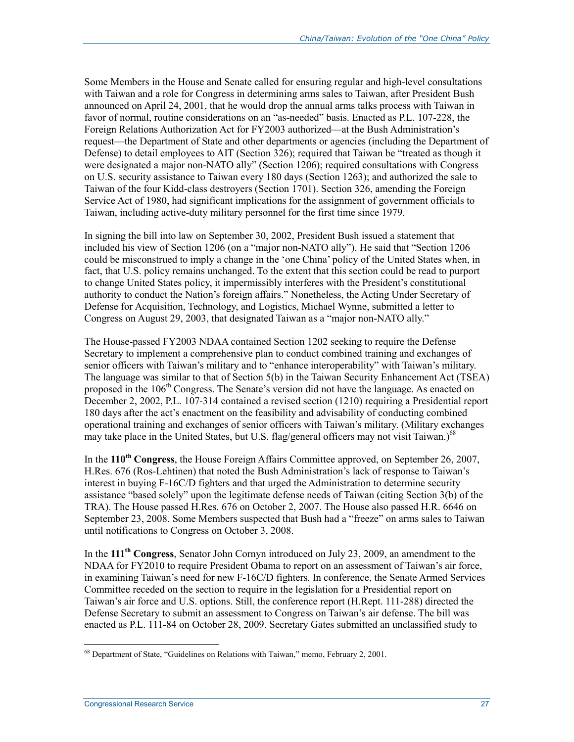Some Members in the House and Senate called for ensuring regular and high-level consultations with Taiwan and a role for Congress in determining arms sales to Taiwan, after President Bush announced on April 24, 2001, that he would drop the annual arms talks process with Taiwan in favor of normal, routine considerations on an "as-needed" basis. Enacted as P.L. 107-228, the Foreign Relations Authorization Act for FY2003 authorized—at the Bush Administration's request—the Department of State and other departments or agencies (including the Department of Defense) to detail employees to AIT (Section 326); required that Taiwan be "treated as though it were designated a major non-NATO ally" (Section 1206); required consultations with Congress on U.S. security assistance to Taiwan every 180 days (Section 1263); and authorized the sale to Taiwan of the four Kidd-class destroyers (Section 1701). Section 326, amending the Foreign Service Act of 1980, had significant implications for the assignment of government officials to Taiwan, including active-duty military personnel for the first time since 1979.

In signing the bill into law on September 30, 2002, President Bush issued a statement that included his view of Section 1206 (on a "major non-NATO ally"). He said that "Section 1206 could be misconstrued to imply a change in the 'one China' policy of the United States when, in fact, that U.S. policy remains unchanged. To the extent that this section could be read to purport to change United States policy, it impermissibly interferes with the President's constitutional authority to conduct the Nation's foreign affairs." Nonetheless, the Acting Under Secretary of Defense for Acquisition, Technology, and Logistics, Michael Wynne, submitted a letter to Congress on August 29, 2003, that designated Taiwan as a "major non-NATO ally."

The House-passed FY2003 NDAA contained Section 1202 seeking to require the Defense Secretary to implement a comprehensive plan to conduct combined training and exchanges of senior officers with Taiwan's military and to "enhance interoperability" with Taiwan's military. The language was similar to that of Section 5(b) in the Taiwan Security Enhancement Act (TSEA) proposed in the 106<sup>th</sup> Congress. The Senate's version did not have the language. As enacted on December 2, 2002, P.L. 107-314 contained a revised section (1210) requiring a Presidential report 180 days after the act's enactment on the feasibility and advisability of conducting combined operational training and exchanges of senior officers with Taiwan's military. (Military exchanges may take place in the United States, but U.S. flag/general officers may not visit Taiwan.)<sup>68</sup>

In the **110th Congress**, the House Foreign Affairs Committee approved, on September 26, 2007, H.Res. 676 (Ros-Lehtinen) that noted the Bush Administration's lack of response to Taiwan's interest in buying F-16C/D fighters and that urged the Administration to determine security assistance "based solely" upon the legitimate defense needs of Taiwan (citing Section 3(b) of the TRA). The House passed H.Res. 676 on October 2, 2007. The House also passed H.R. 6646 on September 23, 2008. Some Members suspected that Bush had a "freeze" on arms sales to Taiwan until notifications to Congress on October 3, 2008.

In the **111th Congress**, Senator John Cornyn introduced on July 23, 2009, an amendment to the NDAA for FY2010 to require President Obama to report on an assessment of Taiwan's air force, in examining Taiwan's need for new F-16C/D fighters. In conference, the Senate Armed Services Committee receded on the section to require in the legislation for a Presidential report on Taiwan's air force and U.S. options. Still, the conference report (H.Rept. 111-288) directed the Defense Secretary to submit an assessment to Congress on Taiwan's air defense. The bill was enacted as P.L. 111-84 on October 28, 2009. Secretary Gates submitted an unclassified study to

<sup>&</sup>lt;u>.</u> <sup>68</sup> Department of State, "Guidelines on Relations with Taiwan," memo, February 2, 2001.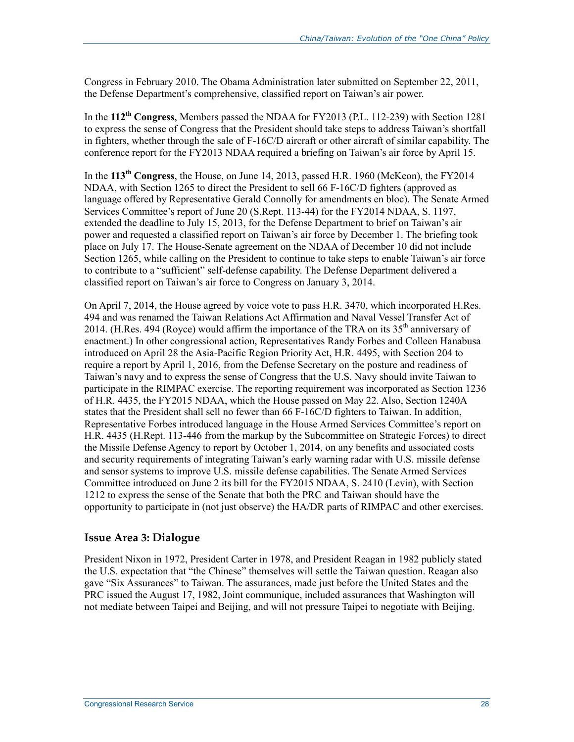Congress in February 2010. The Obama Administration later submitted on September 22, 2011, the Defense Department's comprehensive, classified report on Taiwan's air power.

In the **112th Congress**, Members passed the NDAA for FY2013 (P.L. 112-239) with Section 1281 to express the sense of Congress that the President should take steps to address Taiwan's shortfall in fighters, whether through the sale of F-16C/D aircraft or other aircraft of similar capability. The conference report for the FY2013 NDAA required a briefing on Taiwan's air force by April 15.

In the 113<sup>th</sup> Congress, the House, on June 14, 2013, passed H.R. 1960 (McKeon), the FY2014 NDAA, with Section 1265 to direct the President to sell 66 F-16C/D fighters (approved as language offered by Representative Gerald Connolly for amendments en bloc). The Senate Armed Services Committee's report of June 20 (S.Rept. 113-44) for the FY2014 NDAA, S. 1197, extended the deadline to July 15, 2013, for the Defense Department to brief on Taiwan's air power and requested a classified report on Taiwan's air force by December 1. The briefing took place on July 17. The House-Senate agreement on the NDAA of December 10 did not include Section 1265, while calling on the President to continue to take steps to enable Taiwan's air force to contribute to a "sufficient" self-defense capability. The Defense Department delivered a classified report on Taiwan's air force to Congress on January 3, 2014.

On April 7, 2014, the House agreed by voice vote to pass H.R. 3470, which incorporated H.Res. 494 and was renamed the Taiwan Relations Act Affirmation and Naval Vessel Transfer Act of 2014. (H.Res. 494 (Royce) would affirm the importance of the TRA on its  $35<sup>th</sup>$  anniversary of enactment.) In other congressional action, Representatives Randy Forbes and Colleen Hanabusa introduced on April 28 the Asia-Pacific Region Priority Act, H.R. 4495, with Section 204 to require a report by April 1, 2016, from the Defense Secretary on the posture and readiness of Taiwan's navy and to express the sense of Congress that the U.S. Navy should invite Taiwan to participate in the RIMPAC exercise. The reporting requirement was incorporated as Section 1236 of H.R. 4435, the FY2015 NDAA, which the House passed on May 22. Also, Section 1240A states that the President shall sell no fewer than 66 F-16C/D fighters to Taiwan. In addition, Representative Forbes introduced language in the House Armed Services Committee's report on H.R. 4435 (H.Rept. 113-446 from the markup by the Subcommittee on Strategic Forces) to direct the Missile Defense Agency to report by October 1, 2014, on any benefits and associated costs and security requirements of integrating Taiwan's early warning radar with U.S. missile defense and sensor systems to improve U.S. missile defense capabilities. The Senate Armed Services Committee introduced on June 2 its bill for the FY2015 NDAA, S. 2410 (Levin), with Section 1212 to express the sense of the Senate that both the PRC and Taiwan should have the opportunity to participate in (not just observe) the HA/DR parts of RIMPAC and other exercises.

#### **Issue Area 3: Dialogue**

President Nixon in 1972, President Carter in 1978, and President Reagan in 1982 publicly stated the U.S. expectation that "the Chinese" themselves will settle the Taiwan question. Reagan also gave "Six Assurances" to Taiwan. The assurances, made just before the United States and the PRC issued the August 17, 1982, Joint communique, included assurances that Washington will not mediate between Taipei and Beijing, and will not pressure Taipei to negotiate with Beijing.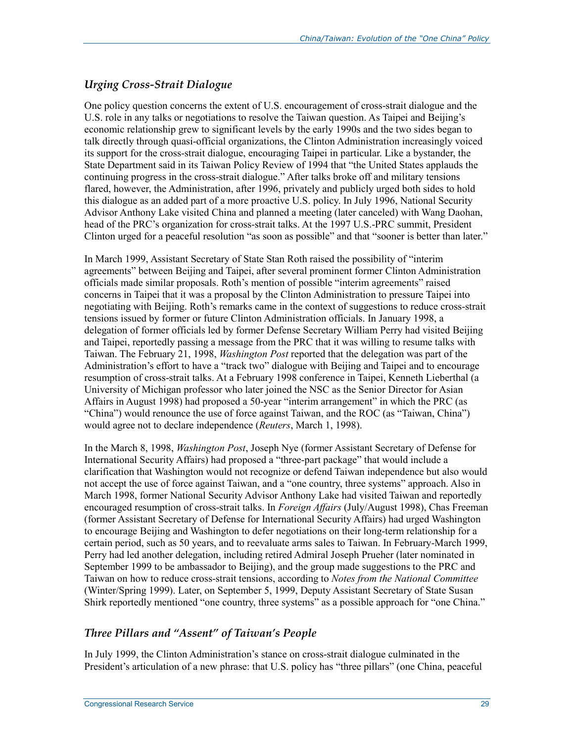#### *Urging Cross-Strait Dialogue*

One policy question concerns the extent of U.S. encouragement of cross-strait dialogue and the U.S. role in any talks or negotiations to resolve the Taiwan question. As Taipei and Beijing's economic relationship grew to significant levels by the early 1990s and the two sides began to talk directly through quasi-official organizations, the Clinton Administration increasingly voiced its support for the cross-strait dialogue, encouraging Taipei in particular. Like a bystander, the State Department said in its Taiwan Policy Review of 1994 that "the United States applauds the continuing progress in the cross-strait dialogue." After talks broke off and military tensions flared, however, the Administration, after 1996, privately and publicly urged both sides to hold this dialogue as an added part of a more proactive U.S. policy. In July 1996, National Security Advisor Anthony Lake visited China and planned a meeting (later canceled) with Wang Daohan, head of the PRC's organization for cross-strait talks. At the 1997 U.S.-PRC summit, President Clinton urged for a peaceful resolution "as soon as possible" and that "sooner is better than later."

In March 1999, Assistant Secretary of State Stan Roth raised the possibility of "interim agreements" between Beijing and Taipei, after several prominent former Clinton Administration officials made similar proposals. Roth's mention of possible "interim agreements" raised concerns in Taipei that it was a proposal by the Clinton Administration to pressure Taipei into negotiating with Beijing. Roth's remarks came in the context of suggestions to reduce cross-strait tensions issued by former or future Clinton Administration officials. In January 1998, a delegation of former officials led by former Defense Secretary William Perry had visited Beijing and Taipei, reportedly passing a message from the PRC that it was willing to resume talks with Taiwan. The February 21, 1998, *Washington Post* reported that the delegation was part of the Administration's effort to have a "track two" dialogue with Beijing and Taipei and to encourage resumption of cross-strait talks. At a February 1998 conference in Taipei, Kenneth Lieberthal (a University of Michigan professor who later joined the NSC as the Senior Director for Asian Affairs in August 1998) had proposed a 50-year "interim arrangement" in which the PRC (as "China") would renounce the use of force against Taiwan, and the ROC (as "Taiwan, China") would agree not to declare independence (*Reuters*, March 1, 1998).

In the March 8, 1998, *Washington Post*, Joseph Nye (former Assistant Secretary of Defense for International Security Affairs) had proposed a "three-part package" that would include a clarification that Washington would not recognize or defend Taiwan independence but also would not accept the use of force against Taiwan, and a "one country, three systems" approach. Also in March 1998, former National Security Advisor Anthony Lake had visited Taiwan and reportedly encouraged resumption of cross-strait talks. In *Foreign Affairs* (July/August 1998), Chas Freeman (former Assistant Secretary of Defense for International Security Affairs) had urged Washington to encourage Beijing and Washington to defer negotiations on their long-term relationship for a certain period, such as 50 years, and to reevaluate arms sales to Taiwan. In February-March 1999, Perry had led another delegation, including retired Admiral Joseph Prueher (later nominated in September 1999 to be ambassador to Beijing), and the group made suggestions to the PRC and Taiwan on how to reduce cross-strait tensions, according to *Notes from the National Committee* (Winter/Spring 1999). Later, on September 5, 1999, Deputy Assistant Secretary of State Susan Shirk reportedly mentioned "one country, three systems" as a possible approach for "one China."

#### *Three Pillars and "Assent" of Taiwan's People*

In July 1999, the Clinton Administration's stance on cross-strait dialogue culminated in the President's articulation of a new phrase: that U.S. policy has "three pillars" (one China, peaceful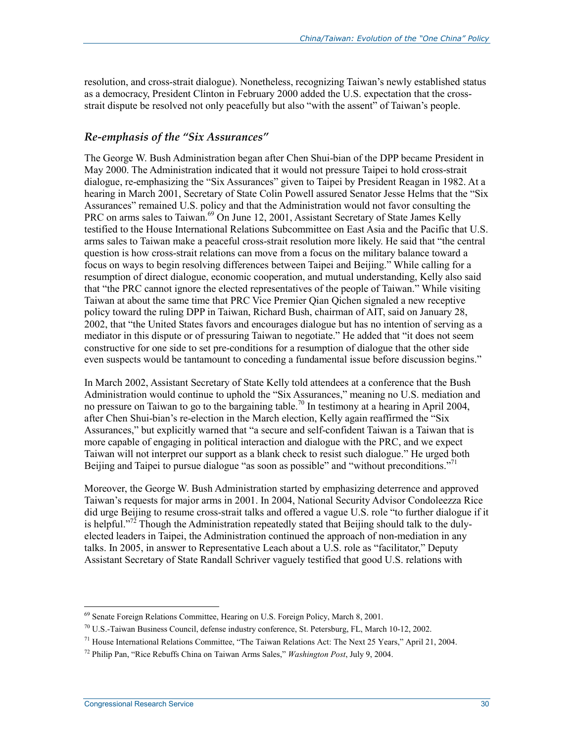resolution, and cross-strait dialogue). Nonetheless, recognizing Taiwan's newly established status as a democracy, President Clinton in February 2000 added the U.S. expectation that the crossstrait dispute be resolved not only peacefully but also "with the assent" of Taiwan's people.

#### *Re-emphasis of the "Six Assurances"*

The George W. Bush Administration began after Chen Shui-bian of the DPP became President in May 2000. The Administration indicated that it would not pressure Taipei to hold cross-strait dialogue, re-emphasizing the "Six Assurances" given to Taipei by President Reagan in 1982. At a hearing in March 2001, Secretary of State Colin Powell assured Senator Jesse Helms that the "Six Assurances" remained U.S. policy and that the Administration would not favor consulting the PRC on arms sales to Taiwan.<sup>69</sup> On June 12, 2001, Assistant Secretary of State James Kelly testified to the House International Relations Subcommittee on East Asia and the Pacific that U.S. arms sales to Taiwan make a peaceful cross-strait resolution more likely. He said that "the central question is how cross-strait relations can move from a focus on the military balance toward a focus on ways to begin resolving differences between Taipei and Beijing." While calling for a resumption of direct dialogue, economic cooperation, and mutual understanding, Kelly also said that "the PRC cannot ignore the elected representatives of the people of Taiwan." While visiting Taiwan at about the same time that PRC Vice Premier Qian Qichen signaled a new receptive policy toward the ruling DPP in Taiwan, Richard Bush, chairman of AIT, said on January 28, 2002, that "the United States favors and encourages dialogue but has no intention of serving as a mediator in this dispute or of pressuring Taiwan to negotiate." He added that "it does not seem constructive for one side to set pre-conditions for a resumption of dialogue that the other side even suspects would be tantamount to conceding a fundamental issue before discussion begins."

In March 2002, Assistant Secretary of State Kelly told attendees at a conference that the Bush Administration would continue to uphold the "Six Assurances," meaning no U.S. mediation and no pressure on Taiwan to go to the bargaining table.<sup>70</sup> In testimony at a hearing in April 2004, after Chen Shui-bian's re-election in the March election, Kelly again reaffirmed the "Six Assurances," but explicitly warned that "a secure and self-confident Taiwan is a Taiwan that is more capable of engaging in political interaction and dialogue with the PRC, and we expect Taiwan will not interpret our support as a blank check to resist such dialogue." He urged both Beijing and Taipei to pursue dialogue "as soon as possible" and "without preconditions."<sup>71</sup>

Moreover, the George W. Bush Administration started by emphasizing deterrence and approved Taiwan's requests for major arms in 2001. In 2004, National Security Advisor Condoleezza Rice did urge Beijing to resume cross-strait talks and offered a vague U.S. role "to further dialogue if it is helpful."<sup>72</sup> Though the Administration repeatedly stated that Beijing should talk to the dulyelected leaders in Taipei, the Administration continued the approach of non-mediation in any talks. In 2005, in answer to Representative Leach about a U.S. role as "facilitator," Deputy Assistant Secretary of State Randall Schriver vaguely testified that good U.S. relations with

<sup>&</sup>lt;sup>69</sup> Senate Foreign Relations Committee, Hearing on U.S. Foreign Policy, March 8, 2001.

<sup>70</sup> U.S.-Taiwan Business Council, defense industry conference, St. Petersburg, FL, March 10-12, 2002.

 $^{71}$  House International Relations Committee, "The Taiwan Relations Act: The Next 25 Years," April 21, 2004.

<sup>72</sup> Philip Pan, "Rice Rebuffs China on Taiwan Arms Sales," *Washington Post*, July 9, 2004.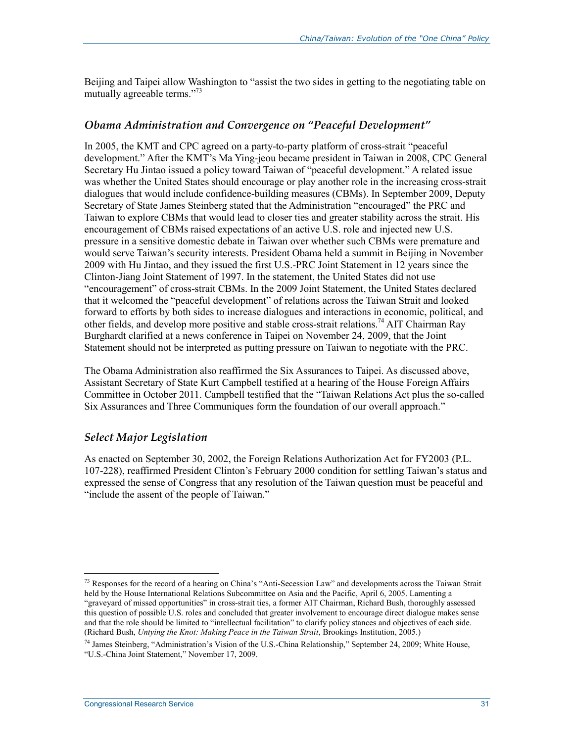Beijing and Taipei allow Washington to "assist the two sides in getting to the negotiating table on mutually agreeable terms."<sup>73</sup>

#### *Obama Administration and Convergence on "Peaceful Development"*

In 2005, the KMT and CPC agreed on a party-to-party platform of cross-strait "peaceful development." After the KMT's Ma Ying-jeou became president in Taiwan in 2008, CPC General Secretary Hu Jintao issued a policy toward Taiwan of "peaceful development." A related issue was whether the United States should encourage or play another role in the increasing cross-strait dialogues that would include confidence-building measures (CBMs). In September 2009, Deputy Secretary of State James Steinberg stated that the Administration "encouraged" the PRC and Taiwan to explore CBMs that would lead to closer ties and greater stability across the strait. His encouragement of CBMs raised expectations of an active U.S. role and injected new U.S. pressure in a sensitive domestic debate in Taiwan over whether such CBMs were premature and would serve Taiwan's security interests. President Obama held a summit in Beijing in November 2009 with Hu Jintao, and they issued the first U.S.-PRC Joint Statement in 12 years since the Clinton-Jiang Joint Statement of 1997. In the statement, the United States did not use "encouragement" of cross-strait CBMs. In the 2009 Joint Statement, the United States declared that it welcomed the "peaceful development" of relations across the Taiwan Strait and looked forward to efforts by both sides to increase dialogues and interactions in economic, political, and other fields, and develop more positive and stable cross-strait relations.<sup>74</sup> AIT Chairman Ray Burghardt clarified at a news conference in Taipei on November 24, 2009, that the Joint Statement should not be interpreted as putting pressure on Taiwan to negotiate with the PRC.

The Obama Administration also reaffirmed the Six Assurances to Taipei. As discussed above, Assistant Secretary of State Kurt Campbell testified at a hearing of the House Foreign Affairs Committee in October 2011. Campbell testified that the "Taiwan Relations Act plus the so-called Six Assurances and Three Communiques form the foundation of our overall approach."

#### *Select Major Legislation*

As enacted on September 30, 2002, the Foreign Relations Authorization Act for FY2003 (P.L. 107-228), reaffirmed President Clinton's February 2000 condition for settling Taiwan's status and expressed the sense of Congress that any resolution of the Taiwan question must be peaceful and "include the assent of the people of Taiwan."

<sup>&</sup>lt;sup>73</sup> Responses for the record of a hearing on China's "Anti-Secession Law" and developments across the Taiwan Strait held by the House International Relations Subcommittee on Asia and the Pacific, April 6, 2005. Lamenting a "graveyard of missed opportunities" in cross-strait ties, a former AIT Chairman, Richard Bush, thoroughly assessed this question of possible U.S. roles and concluded that greater involvement to encourage direct dialogue makes sense and that the role should be limited to "intellectual facilitation" to clarify policy stances and objectives of each side. (Richard Bush, *Untying the Knot: Making Peace in the Taiwan Strait*, Brookings Institution, 2005.)

<sup>74</sup> James Steinberg, "Administration's Vision of the U.S.-China Relationship," September 24, 2009; White House, "U.S.-China Joint Statement," November 17, 2009.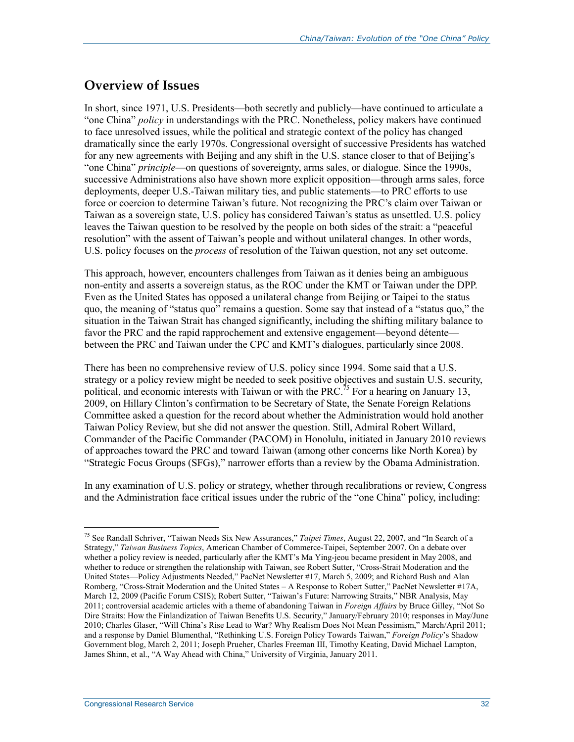### **Overview of Issues**

In short, since 1971, U.S. Presidents—both secretly and publicly—have continued to articulate a "one China" *policy* in understandings with the PRC. Nonetheless, policy makers have continued to face unresolved issues, while the political and strategic context of the policy has changed dramatically since the early 1970s. Congressional oversight of successive Presidents has watched for any new agreements with Beijing and any shift in the U.S. stance closer to that of Beijing's "one China" *principle*—on questions of sovereignty, arms sales, or dialogue. Since the 1990s, successive Administrations also have shown more explicit opposition—through arms sales, force deployments, deeper U.S.-Taiwan military ties, and public statements—to PRC efforts to use force or coercion to determine Taiwan's future. Not recognizing the PRC's claim over Taiwan or Taiwan as a sovereign state, U.S. policy has considered Taiwan's status as unsettled. U.S. policy leaves the Taiwan question to be resolved by the people on both sides of the strait: a "peaceful resolution" with the assent of Taiwan's people and without unilateral changes. In other words, U.S. policy focuses on the *process* of resolution of the Taiwan question, not any set outcome.

This approach, however, encounters challenges from Taiwan as it denies being an ambiguous non-entity and asserts a sovereign status, as the ROC under the KMT or Taiwan under the DPP. Even as the United States has opposed a unilateral change from Beijing or Taipei to the status quo, the meaning of "status quo" remains a question. Some say that instead of a "status quo," the situation in the Taiwan Strait has changed significantly, including the shifting military balance to favor the PRC and the rapid rapprochement and extensive engagement—beyond détente between the PRC and Taiwan under the CPC and KMT's dialogues, particularly since 2008.

There has been no comprehensive review of U.S. policy since 1994. Some said that a U.S. strategy or a policy review might be needed to seek positive objectives and sustain U.S. security, political, and economic interests with Taiwan or with the PRC.<sup> $\frac{7}{5}$ </sup> For a hearing on January 13, 2009, on Hillary Clinton's confirmation to be Secretary of State, the Senate Foreign Relations Committee asked a question for the record about whether the Administration would hold another Taiwan Policy Review, but she did not answer the question. Still, Admiral Robert Willard, Commander of the Pacific Commander (PACOM) in Honolulu, initiated in January 2010 reviews of approaches toward the PRC and toward Taiwan (among other concerns like North Korea) by "Strategic Focus Groups (SFGs)," narrower efforts than a review by the Obama Administration.

In any examination of U.S. policy or strategy, whether through recalibrations or review, Congress and the Administration face critical issues under the rubric of the "one China" policy, including:

<u>.</u>

<sup>75</sup> See Randall Schriver, "Taiwan Needs Six New Assurances," *Taipei Times*, August 22, 2007, and "In Search of a Strategy," *Taiwan Business Topics*, American Chamber of Commerce-Taipei, September 2007. On a debate over whether a policy review is needed, particularly after the KMT's Ma Ying-jeou became president in May 2008, and whether to reduce or strengthen the relationship with Taiwan, see Robert Sutter, "Cross-Strait Moderation and the United States—Policy Adjustments Needed," PacNet Newsletter #17, March 5, 2009; and Richard Bush and Alan Romberg, "Cross-Strait Moderation and the United States – A Response to Robert Sutter," PacNet Newsletter #17A, March 12, 2009 (Pacific Forum CSIS); Robert Sutter, "Taiwan's Future: Narrowing Straits," NBR Analysis, May 2011; controversial academic articles with a theme of abandoning Taiwan in *Foreign Affairs* by Bruce Gilley, "Not So Dire Straits: How the Finlandization of Taiwan Benefits U.S. Security," January/February 2010; responses in May/June 2010; Charles Glaser, "Will China's Rise Lead to War? Why Realism Does Not Mean Pessimism," March/April 2011; and a response by Daniel Blumenthal, "Rethinking U.S. Foreign Policy Towards Taiwan," *Foreign Policy*'s Shadow Government blog, March 2, 2011; Joseph Prueher, Charles Freeman III, Timothy Keating, David Michael Lampton, James Shinn, et al., "A Way Ahead with China," University of Virginia, January 2011.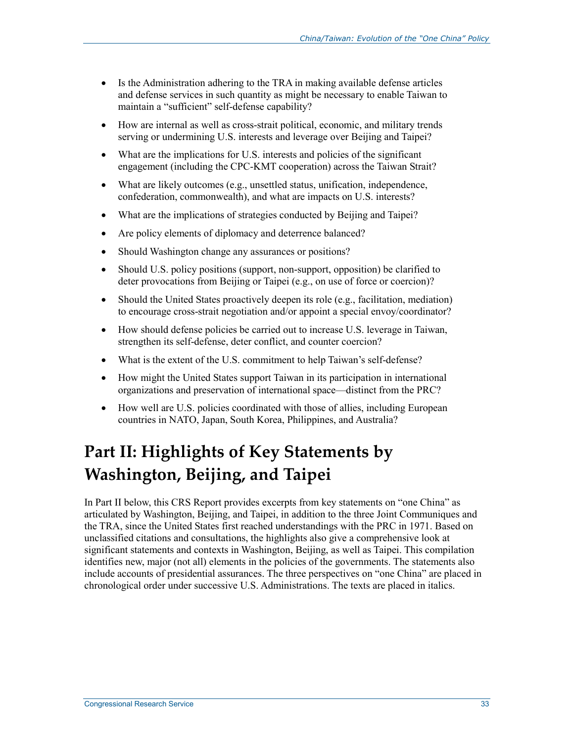- Is the Administration adhering to the TRA in making available defense articles and defense services in such quantity as might be necessary to enable Taiwan to maintain a "sufficient" self-defense capability?
- How are internal as well as cross-strait political, economic, and military trends serving or undermining U.S. interests and leverage over Beijing and Taipei?
- What are the implications for U.S. interests and policies of the significant engagement (including the CPC-KMT cooperation) across the Taiwan Strait?
- What are likely outcomes (e.g., unsettled status, unification, independence, confederation, commonwealth), and what are impacts on U.S. interests?
- What are the implications of strategies conducted by Beijing and Taipei?
- Are policy elements of diplomacy and deterrence balanced?
- Should Washington change any assurances or positions?
- Should U.S. policy positions (support, non-support, opposition) be clarified to deter provocations from Beijing or Taipei (e.g., on use of force or coercion)?
- Should the United States proactively deepen its role (e.g., facilitation, mediation) to encourage cross-strait negotiation and/or appoint a special envoy/coordinator?
- How should defense policies be carried out to increase U.S. leverage in Taiwan, strengthen its self-defense, deter conflict, and counter coercion?
- What is the extent of the U.S. commitment to help Taiwan's self-defense?
- How might the United States support Taiwan in its participation in international organizations and preservation of international space—distinct from the PRC?
- How well are U.S. policies coordinated with those of allies, including European countries in NATO, Japan, South Korea, Philippines, and Australia?

## **Part II: Highlights of Key Statements by Washington, Beijing, and Taipei**

In Part II below, this CRS Report provides excerpts from key statements on "one China" as articulated by Washington, Beijing, and Taipei, in addition to the three Joint Communiques and the TRA, since the United States first reached understandings with the PRC in 1971. Based on unclassified citations and consultations, the highlights also give a comprehensive look at significant statements and contexts in Washington, Beijing, as well as Taipei. This compilation identifies new, major (not all) elements in the policies of the governments. The statements also include accounts of presidential assurances. The three perspectives on "one China" are placed in chronological order under successive U.S. Administrations. The texts are placed in italics.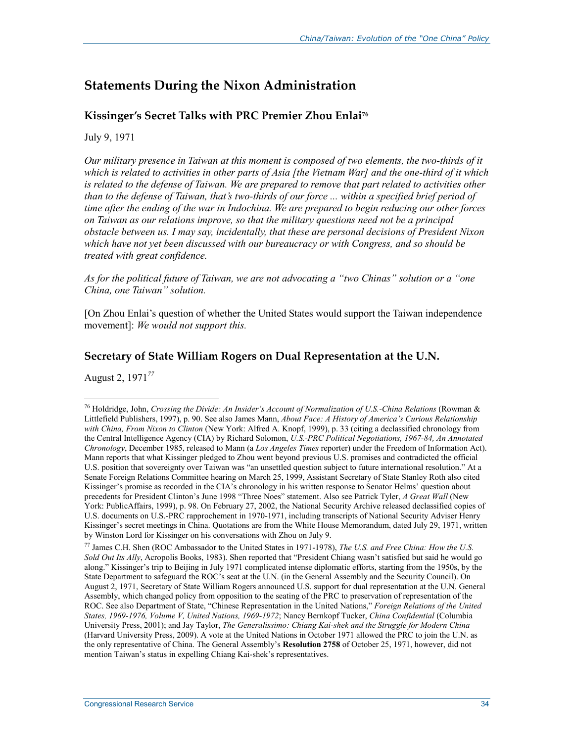# **Statements During the Nixon Administration**

# **Kissinger's Secret Talks with PRC Premier Zhou Enlai76**

July 9, 1971

*Our military presence in Taiwan at this moment is composed of two elements, the two-thirds of it which is related to activities in other parts of Asia [the Vietnam War] and the one-third of it which is related to the defense of Taiwan. We are prepared to remove that part related to activities other than to the defense of Taiwan, that's two-thirds of our force ... within a specified brief period of time after the ending of the war in Indochina. We are prepared to begin reducing our other forces on Taiwan as our relations improve, so that the military questions need not be a principal obstacle between us. I may say, incidentally, that these are personal decisions of President Nixon which have not yet been discussed with our bureaucracy or with Congress, and so should be treated with great confidence.* 

*As for the political future of Taiwan, we are not advocating a "two Chinas" solution or a "one China, one Taiwan" solution.*

[On Zhou Enlai's question of whether the United States would support the Taiwan independence movement]: *We would not support this.*

# **Secretary of State William Rogers on Dual Representation at the U.N.**

August 2, 1971*<sup>77</sup>*

<sup>76</sup> Holdridge, John, *Crossing the Divide: An Insider's Account of Normalization of U.S.-China Relations* (Rowman & Littlefield Publishers, 1997), p. 90. See also James Mann, *About Face: A History of America's Curious Relationship with China, From Nixon to Clinton* (New York: Alfred A. Knopf, 1999), p. 33 (citing a declassified chronology from the Central Intelligence Agency (CIA) by Richard Solomon, *U.S.-PRC Political Negotiations, 1967-84, An Annotated Chronology*, December 1985, released to Mann (a *Los Angeles Times* reporter) under the Freedom of Information Act). Mann reports that what Kissinger pledged to Zhou went beyond previous U.S. promises and contradicted the official U.S. position that sovereignty over Taiwan was "an unsettled question subject to future international resolution." At a Senate Foreign Relations Committee hearing on March 25, 1999, Assistant Secretary of State Stanley Roth also cited Kissinger's promise as recorded in the CIA's chronology in his written response to Senator Helms' question about precedents for President Clinton's June 1998 "Three Noes" statement. Also see Patrick Tyler, *A Great Wall* (New York: PublicAffairs, 1999), p. 98. On February 27, 2002, the National Security Archive released declassified copies of U.S. documents on U.S.-PRC rapprochement in 1970-1971, including transcripts of National Security Adviser Henry Kissinger's secret meetings in China. Quotations are from the White House Memorandum, dated July 29, 1971, written by Winston Lord for Kissinger on his conversations with Zhou on July 9.

<sup>77</sup> James C.H. Shen (ROC Ambassador to the United States in 1971-1978), *The U.S. and Free China: How the U.S. Sold Out Its Ally*, Acropolis Books, 1983). Shen reported that "President Chiang wasn't satisfied but said he would go along." Kissinger's trip to Beijing in July 1971 complicated intense diplomatic efforts, starting from the 1950s, by the State Department to safeguard the ROC's seat at the U.N. (in the General Assembly and the Security Council). On August 2, 1971, Secretary of State William Rogers announced U.S. support for dual representation at the U.N. General Assembly, which changed policy from opposition to the seating of the PRC to preservation of representation of the ROC. See also Department of State, "Chinese Representation in the United Nations," *Foreign Relations of the United States, 1969-1976, Volume V, United Nations, 1969-1972*; Nancy Bernkopf Tucker, *China Confidential* (Columbia University Press, 2001); and Jay Taylor, *The Generalissimo: Chiang Kai-shek and the Struggle for Modern China* (Harvard University Press, 2009). A vote at the United Nations in October 1971 allowed the PRC to join the U.N. as the only representative of China. The General Assembly's **Resolution 2758** of October 25, 1971, however, did not mention Taiwan's status in expelling Chiang Kai-shek's representatives.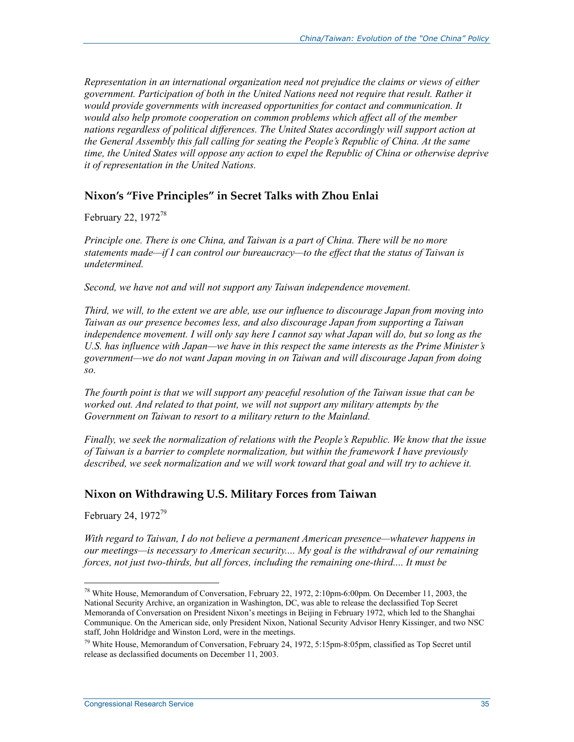*Representation in an international organization need not prejudice the claims or views of either government. Participation of both in the United Nations need not require that result. Rather it would provide governments with increased opportunities for contact and communication. It would also help promote cooperation on common problems which affect all of the member*  nations regardless of political differences. The United States accordingly will support action at *the General Assembly this fall calling for seating the People's Republic of China. At the same time, the United States will oppose any action to expel the Republic of China or otherwise deprive it of representation in the United Nations.* 

# **Nixon's "Five Principles" in Secret Talks with Zhou Enlai**

February 22, 197278

*Principle one. There is one China, and Taiwan is a part of China. There will be no more statements made—if I can control our bureaucracy—to the effect that the status of Taiwan is undetermined.* 

*Second, we have not and will not support any Taiwan independence movement.* 

*Third, we will, to the extent we are able, use our influence to discourage Japan from moving into Taiwan as our presence becomes less, and also discourage Japan from supporting a Taiwan independence movement. I will only say here I cannot say what Japan will do, but so long as the U.S. has influence with Japan—we have in this respect the same interests as the Prime Minister's government—we do not want Japan moving in on Taiwan and will discourage Japan from doing so.* 

*The fourth point is that we will support any peaceful resolution of the Taiwan issue that can be worked out. And related to that point, we will not support any military attempts by the Government on Taiwan to resort to a military return to the Mainland.* 

*Finally, we seek the normalization of relations with the People's Republic. We know that the issue of Taiwan is a barrier to complete normalization, but within the framework I have previously*  described, we seek normalization and we will work toward that goal and will try to achieve it.

# **Nixon on Withdrawing U.S. Military Forces from Taiwan**

February 24, 1972<sup>79</sup>

*With regard to Taiwan, I do not believe a permanent American presence—whatever happens in our meetings—is necessary to American security.... My goal is the withdrawal of our remaining forces, not just two-thirds, but all forces, including the remaining one-third.... It must be* 

<sup>1</sup> <sup>78</sup> White House, Memorandum of Conversation, February 22, 1972, 2:10pm-6:00pm. On December 11, 2003, the National Security Archive, an organization in Washington, DC, was able to release the declassified Top Secret Memoranda of Conversation on President Nixon's meetings in Beijing in February 1972, which led to the Shanghai Communique. On the American side, only President Nixon, National Security Advisor Henry Kissinger, and two NSC staff, John Holdridge and Winston Lord, were in the meetings.

<sup>&</sup>lt;sup>79</sup> White House, Memorandum of Conversation, February 24, 1972, 5:15pm-8:05pm, classified as Top Secret until release as declassified documents on December 11, 2003.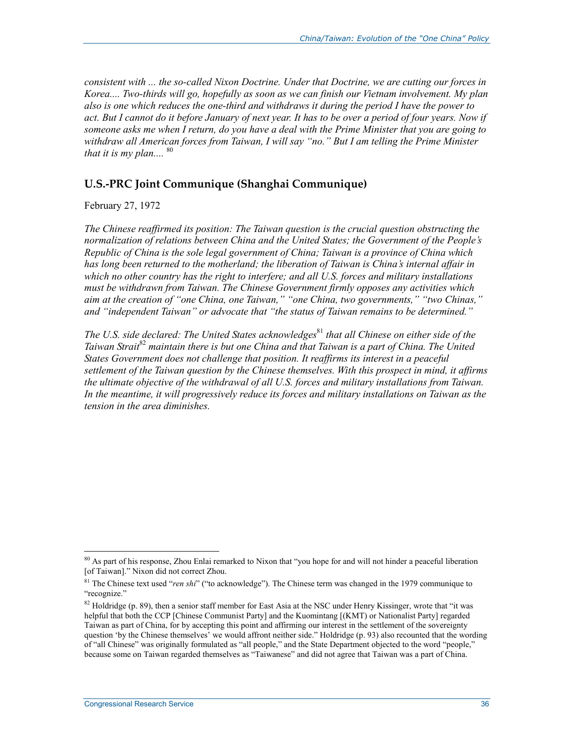*consistent with ... the so-called Nixon Doctrine. Under that Doctrine, we are cutting our forces in Korea.... Two-thirds will go, hopefully as soon as we can finish our Vietnam involvement. My plan also is one which reduces the one-third and withdraws it during the period I have the power to act. But I cannot do it before January of next year. It has to be over a period of four years. Now if someone asks me when I return, do you have a deal with the Prime Minister that you are going to withdraw all American forces from Taiwan, I will say "no." But I am telling the Prime Minister that it is my plan....*  $80$ 

# **U.S.-PRC Joint Communique (Shanghai Communique)**

February 27, 1972

*The Chinese reaffirmed its position: The Taiwan question is the crucial question obstructing the normalization of relations between China and the United States; the Government of the People's Republic of China is the sole legal government of China; Taiwan is a province of China which has long been returned to the motherland; the liberation of Taiwan is China's internal affair in which no other country has the right to interfere; and all U.S. forces and military installations must be withdrawn from Taiwan. The Chinese Government firmly opposes any activities which aim at the creation of "one China, one Taiwan," "one China, two governments," "two Chinas," and "independent Taiwan" or advocate that "the status of Taiwan remains to be determined."*

*The U.S. side declared: The United States acknowledges*<sup>81</sup> *that all Chinese on either side of the Taiwan Strait*<sup>82</sup> *maintain there is but one China and that Taiwan is a part of China. The United States Government does not challenge that position. It reaffirms its interest in a peaceful settlement of the Taiwan question by the Chinese themselves. With this prospect in mind, it affirms the ultimate objective of the withdrawal of all U.S. forces and military installations from Taiwan. In the meantime, it will progressively reduce its forces and military installations on Taiwan as the tension in the area diminishes.*

 $80$  As part of his response, Zhou Enlai remarked to Nixon that "you hope for and will not hinder a peaceful liberation [of Taiwan]." Nixon did not correct Zhou.

<sup>&</sup>lt;sup>81</sup> The Chinese text used "*ren shi*" ("to acknowledge"). The Chinese term was changed in the 1979 communique to "recognize."

 $82$  Holdridge (p. 89), then a senior staff member for East Asia at the NSC under Henry Kissinger, wrote that "it was helpful that both the CCP [Chinese Communist Party] and the Kuomintang [(KMT) or Nationalist Party] regarded Taiwan as part of China, for by accepting this point and affirming our interest in the settlement of the sovereignty question 'by the Chinese themselves' we would affront neither side." Holdridge (p. 93) also recounted that the wording of "all Chinese" was originally formulated as "all people," and the State Department objected to the word "people," because some on Taiwan regarded themselves as "Taiwanese" and did not agree that Taiwan was a part of China.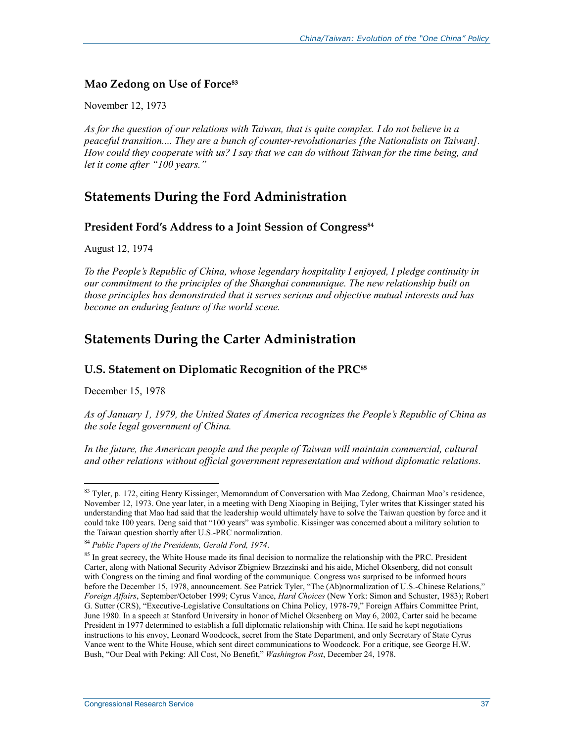# **Mao Zedong on Use of Force83**

November 12, 1973

*As for the question of our relations with Taiwan, that is quite complex. I do not believe in a peaceful transition.... They are a bunch of counter-revolutionaries [the Nationalists on Taiwan]. How could they cooperate with us? I say that we can do without Taiwan for the time being, and let it come after "100 years."*

# **Statements During the Ford Administration**

# President Ford's Address to a Joint Session of Congress<sup>84</sup>

August 12, 1974

*To the People's Republic of China, whose legendary hospitality I enjoyed, I pledge continuity in our commitment to the principles of the Shanghai communique. The new relationship built on those principles has demonstrated that it serves serious and objective mutual interests and has become an enduring feature of the world scene.*

# **Statements During the Carter Administration**

# **U.S. Statement on Diplomatic Recognition of the PRC85**

December 15, 1978

1

*As of January 1, 1979, the United States of America recognizes the People's Republic of China as the sole legal government of China.* 

In the future, the American people and the people of Taiwan will maintain commercial, cultural *and other relations without official government representation and without diplomatic relations.* 

<sup>83</sup> Tyler, p. 172, citing Henry Kissinger, Memorandum of Conversation with Mao Zedong, Chairman Mao's residence, November 12, 1973. One year later, in a meeting with Deng Xiaoping in Beijing, Tyler writes that Kissinger stated his understanding that Mao had said that the leadership would ultimately have to solve the Taiwan question by force and it could take 100 years. Deng said that "100 years" was symbolic. Kissinger was concerned about a military solution to the Taiwan question shortly after U.S.-PRC normalization.

<sup>84</sup> *Public Papers of the Presidents, Gerald Ford, 1974*.

<sup>&</sup>lt;sup>85</sup> In great secrecy, the White House made its final decision to normalize the relationship with the PRC. President Carter, along with National Security Advisor Zbigniew Brzezinski and his aide, Michel Oksenberg, did not consult with Congress on the timing and final wording of the communique. Congress was surprised to be informed hours before the December 15, 1978, announcement. See Patrick Tyler, "The (Ab)normalization of U.S.-Chinese Relations," *Foreign Affairs*, September/October 1999; Cyrus Vance, *Hard Choices* (New York: Simon and Schuster, 1983); Robert G. Sutter (CRS), "Executive-Legislative Consultations on China Policy, 1978-79," Foreign Affairs Committee Print, June 1980. In a speech at Stanford University in honor of Michel Oksenberg on May 6, 2002, Carter said he became President in 1977 determined to establish a full diplomatic relationship with China. He said he kept negotiations instructions to his envoy, Leonard Woodcock, secret from the State Department, and only Secretary of State Cyrus Vance went to the White House, which sent direct communications to Woodcock. For a critique, see George H.W. Bush, "Our Deal with Peking: All Cost, No Benefit," *Washington Post*, December 24, 1978.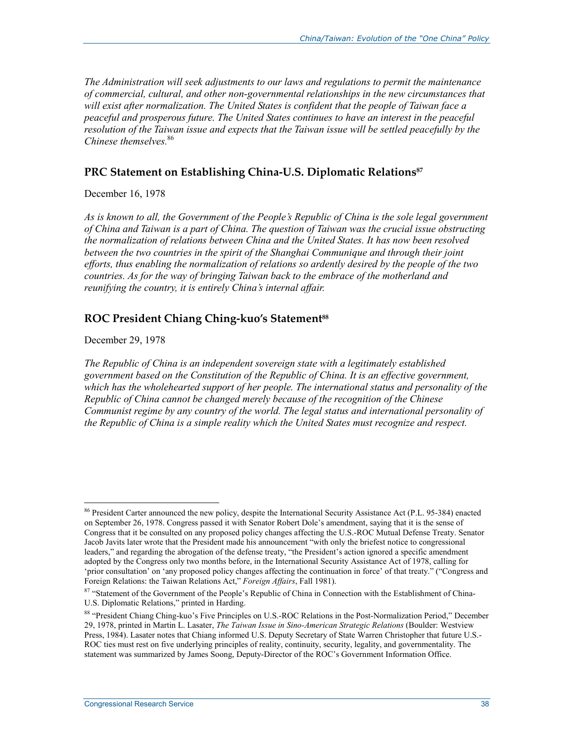*The Administration will seek adjustments to our laws and regulations to permit the maintenance of commercial, cultural, and other non-governmental relationships in the new circumstances that will exist after normalization. The United States is confident that the people of Taiwan face a peaceful and prosperous future. The United States continues to have an interest in the peaceful resolution of the Taiwan issue and expects that the Taiwan issue will be settled peacefully by the Chinese themselves.*<sup>86</sup>

# **PRC Statement on Establishing China-U.S. Diplomatic Relations<sup>87</sup>**

December 16, 1978

*As is known to all, the Government of the People's Republic of China is the sole legal government of China and Taiwan is a part of China. The question of Taiwan was the crucial issue obstructing the normalization of relations between China and the United States. It has now been resolved between the two countries in the spirit of the Shanghai Communique and through their joint efforts, thus enabling the normalization of relations so ardently desired by the people of the two countries. As for the way of bringing Taiwan back to the embrace of the motherland and reunifying the country, it is entirely China's internal affair.*

# **ROC President Chiang Ching-kuo's Statement88**

December 29, 1978

1

*The Republic of China is an independent sovereign state with a legitimately established government based on the Constitution of the Republic of China. It is an effective government, which has the wholehearted support of her people. The international status and personality of the Republic of China cannot be changed merely because of the recognition of the Chinese Communist regime by any country of the world. The legal status and international personality of the Republic of China is a simple reality which the United States must recognize and respect.*

<sup>86</sup> President Carter announced the new policy, despite the International Security Assistance Act (P.L. 95-384) enacted on September 26, 1978. Congress passed it with Senator Robert Dole's amendment, saying that it is the sense of Congress that it be consulted on any proposed policy changes affecting the U.S.-ROC Mutual Defense Treaty. Senator Jacob Javits later wrote that the President made his announcement "with only the briefest notice to congressional leaders," and regarding the abrogation of the defense treaty, "the President's action ignored a specific amendment adopted by the Congress only two months before, in the International Security Assistance Act of 1978, calling for 'prior consultation' on 'any proposed policy changes affecting the continuation in force' of that treaty." ("Congress and Foreign Relations: the Taiwan Relations Act," *Foreign Affairs*, Fall 1981).

<sup>&</sup>lt;sup>87</sup> "Statement of the Government of the People's Republic of China in Connection with the Establishment of China-U.S. Diplomatic Relations," printed in Harding.

<sup>88 &</sup>quot;President Chiang Ching-kuo's Five Principles on U.S.-ROC Relations in the Post-Normalization Period," December 29, 1978, printed in Martin L. Lasater, *The Taiwan Issue in Sino-American Strategic Relations* (Boulder: Westview Press, 1984). Lasater notes that Chiang informed U.S. Deputy Secretary of State Warren Christopher that future U.S.- ROC ties must rest on five underlying principles of reality, continuity, security, legality, and governmentality. The statement was summarized by James Soong, Deputy-Director of the ROC's Government Information Office.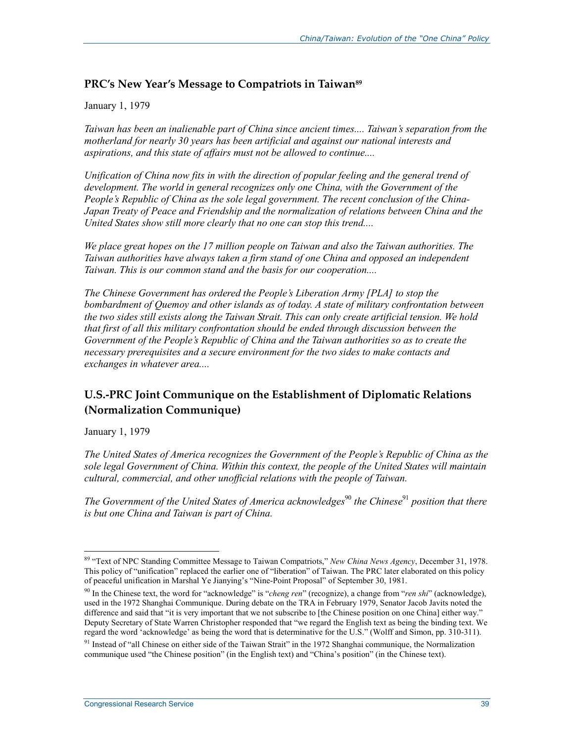# PRC's New Year's Message to Compatriots in Taiwan<sup>89</sup>

January 1, 1979

*Taiwan has been an inalienable part of China since ancient times.... Taiwan's separation from the motherland for nearly 30 years has been artificial and against our national interests and aspirations, and this state of affairs must not be allowed to continue....* 

*Unification of China now fits in with the direction of popular feeling and the general trend of development. The world in general recognizes only one China, with the Government of the People's Republic of China as the sole legal government. The recent conclusion of the China-Japan Treaty of Peace and Friendship and the normalization of relations between China and the United States show still more clearly that no one can stop this trend....* 

*We place great hopes on the 17 million people on Taiwan and also the Taiwan authorities. The Taiwan authorities have always taken a firm stand of one China and opposed an independent Taiwan. This is our common stand and the basis for our cooperation....* 

*The Chinese Government has ordered the People's Liberation Army [PLA] to stop the bombardment of Quemoy and other islands as of today. A state of military confrontation between the two sides still exists along the Taiwan Strait. This can only create artificial tension. We hold that first of all this military confrontation should be ended through discussion between the Government of the People's Republic of China and the Taiwan authorities so as to create the necessary prerequisites and a secure environment for the two sides to make contacts and exchanges in whatever area....*

# **U.S.-PRC Joint Communique on the Establishment of Diplomatic Relations (Normalization Communique)**

January 1, 1979

1

*The United States of America recognizes the Government of the People's Republic of China as the sole legal Government of China. Within this context, the people of the United States will maintain cultural, commercial, and other unofficial relations with the people of Taiwan.*

*The Government of the United States of America acknowledges*<sup>90</sup> *the Chinese*<sup>91</sup> *position that there is but one China and Taiwan is part of China.*

<sup>89 &</sup>quot;Text of NPC Standing Committee Message to Taiwan Compatriots," *New China News Agency*, December 31, 1978. This policy of "unification" replaced the earlier one of "liberation" of Taiwan. The PRC later elaborated on this policy of peaceful unification in Marshal Ye Jianying's "Nine-Point Proposal" of September 30, 1981.

<sup>90</sup> In the Chinese text, the word for "acknowledge" is "*cheng ren*" (recognize), a change from "*ren shi*" (acknowledge), used in the 1972 Shanghai Communique. During debate on the TRA in February 1979, Senator Jacob Javits noted the difference and said that "it is very important that we not subscribe to [the Chinese position on one China] either way." Deputy Secretary of State Warren Christopher responded that "we regard the English text as being the binding text. We regard the word 'acknowledge' as being the word that is determinative for the U.S." (Wolff and Simon, pp. 310-311).

<sup>&</sup>lt;sup>91</sup> Instead of "all Chinese on either side of the Taiwan Strait" in the 1972 Shanghai communique, the Normalization communique used "the Chinese position" (in the English text) and "China's position" (in the Chinese text).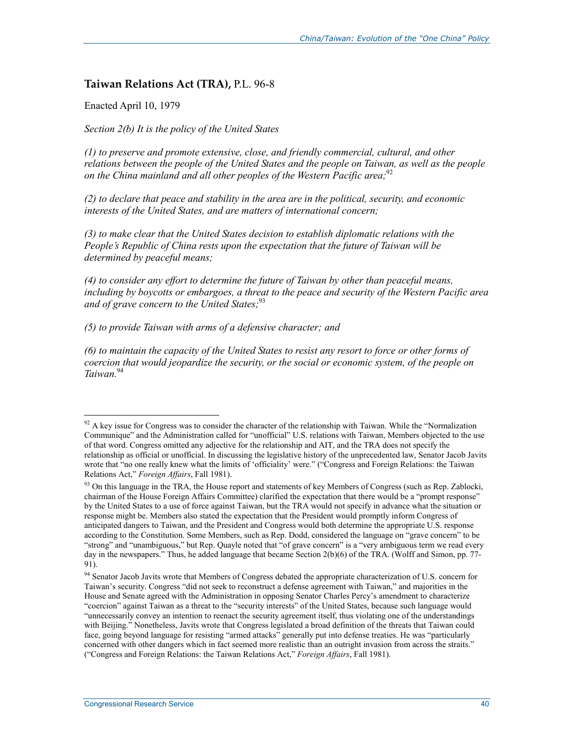# **Taiwan Relations Act (TRA),** P.L. 96-8

Enacted April 10, 1979

1

*Section 2(b) It is the policy of the United States* 

*(1) to preserve and promote extensive, close, and friendly commercial, cultural, and other relations between the people of the United States and the people on Taiwan, as well as the people on the China mainland and all other peoples of the Western Pacific area;*<sup>92</sup>

*(2) to declare that peace and stability in the area are in the political, security, and economic interests of the United States, and are matters of international concern;* 

*(3) to make clear that the United States decision to establish diplomatic relations with the People's Republic of China rests upon the expectation that the future of Taiwan will be determined by peaceful means;* 

*(4) to consider any effort to determine the future of Taiwan by other than peaceful means, including by boycotts or embargoes, a threat to the peace and security of the Western Pacific area and of grave concern to the United States;*<sup>93</sup>

*(5) to provide Taiwan with arms of a defensive character; and* 

*(6) to maintain the capacity of the United States to resist any resort to force or other forms of coercion that would jeopardize the security, or the social or economic system, of the people on Taiwan.*<sup>94</sup>

 $92$  A key issue for Congress was to consider the character of the relationship with Taiwan. While the "Normalization" Communique" and the Administration called for "unofficial" U.S. relations with Taiwan, Members objected to the use of that word. Congress omitted any adjective for the relationship and AIT, and the TRA does not specify the relationship as official or unofficial. In discussing the legislative history of the unprecedented law, Senator Jacob Javits wrote that "no one really knew what the limits of 'officiality' were." ("Congress and Foreign Relations: the Taiwan Relations Act," *Foreign Affairs*, Fall 1981).

<sup>93</sup> On this language in the TRA, the House report and statements of key Members of Congress (such as Rep. Zablocki, chairman of the House Foreign Affairs Committee) clarified the expectation that there would be a "prompt response" by the United States to a use of force against Taiwan, but the TRA would not specify in advance what the situation or response might be. Members also stated the expectation that the President would promptly inform Congress of anticipated dangers to Taiwan, and the President and Congress would both determine the appropriate U.S. response according to the Constitution. Some Members, such as Rep. Dodd, considered the language on "grave concern" to be "strong" and "unambiguous," but Rep. Quayle noted that "of grave concern" is a "very ambiguous term we read every day in the newspapers." Thus, he added language that became Section 2(b)(6) of the TRA. (Wolff and Simon, pp. 77-91).

<sup>&</sup>lt;sup>94</sup> Senator Jacob Javits wrote that Members of Congress debated the appropriate characterization of U.S. concern for Taiwan's security. Congress "did not seek to reconstruct a defense agreement with Taiwan," and majorities in the House and Senate agreed with the Administration in opposing Senator Charles Percy's amendment to characterize "coercion" against Taiwan as a threat to the "security interests" of the United States, because such language would "unnecessarily convey an intention to reenact the security agreement itself, thus violating one of the understandings with Beijing." Nonetheless, Javits wrote that Congress legislated a broad definition of the threats that Taiwan could face, going beyond language for resisting "armed attacks" generally put into defense treaties. He was "particularly concerned with other dangers which in fact seemed more realistic than an outright invasion from across the straits." ("Congress and Foreign Relations: the Taiwan Relations Act," *Foreign Affairs*, Fall 1981).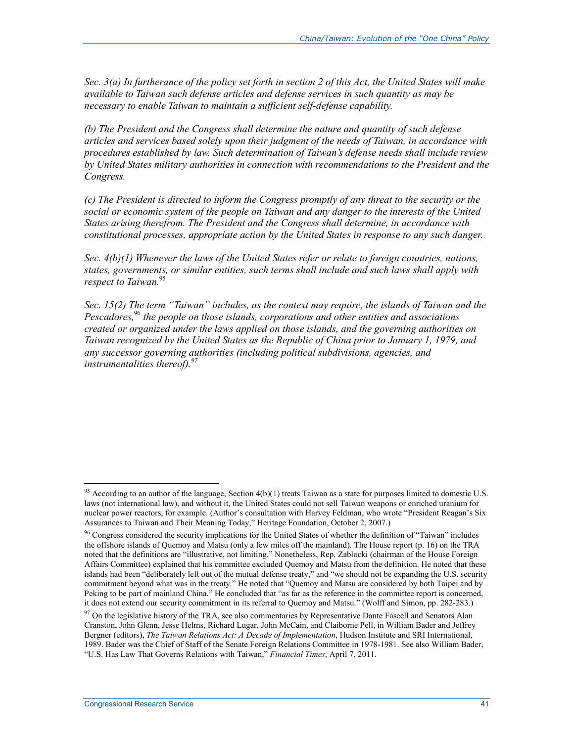*Sec. 3(a) In furtherance of the policy set forth in section 2 of this Act, the United States will make available to Taiwan such defense articles and defense services in such quantity as may be necessary to enable Taiwan to maintain a sufficient self-defense capability.* 

*(b) The President and the Congress shall determine the nature and quantity of such defense articles and services based solely upon their judgment of the needs of Taiwan, in accordance with procedures established by law. Such determination of Taiwan's defense needs shall include review by United States military authorities in connection with recommendations to the President and the Congress.* 

*(c) The President is directed to inform the Congress promptly of any threat to the security or the social or economic system of the people on Taiwan and any danger to the interests of the United States arising therefrom. The President and the Congress shall determine, in accordance with constitutional processes, appropriate action by the United States in response to any such danger.* 

*Sec. 4(b)(1) Whenever the laws of the United States refer or relate to foreign countries, nations, states, governments, or similar entities, such terms shall include and such laws shall apply with respect to Taiwan.*<sup>95</sup>

*Sec. 15(2) The term "Taiwan" includes, as the context may require, the islands of Taiwan and the Pescadores,*<sup>96</sup> *the people on those islands, corporations and other entities and associations created or organized under the laws applied on those islands, and the governing authorities on Taiwan recognized by the United States as the Republic of China prior to January 1, 1979, and any successor governing authorities (including political subdivisions, agencies, and instrumentalities thereof).97*

 $95$  According to an author of the language, Section  $4(b)(1)$  treats Taiwan as a state for purposes limited to domestic U.S. laws (not international law), and without it, the United States could not sell Taiwan weapons or enriched uranium for nuclear power reactors, for example. (Author's consultation with Harvey Feldman, who wrote "President Reagan's Six Assurances to Taiwan and Their Meaning Today," Heritage Foundation, October 2, 2007.)

<sup>&</sup>lt;sup>96</sup> Congress considered the security implications for the United States of whether the definition of "Taiwan" includes the offshore islands of Quemoy and Matsu (only a few miles off the mainland). The House report (p. 16) on the TRA noted that the definitions are "illustrative, not limiting." Nonetheless, Rep. Zablocki (chairman of the House Foreign Affairs Committee) explained that his committee excluded Quemoy and Matsu from the definition. He noted that these islands had been "deliberately left out of the mutual defense treaty," and "we should not be expanding the U.S. security commitment beyond what was in the treaty." He noted that "Quemoy and Matsu are considered by both Taipei and by Peking to be part of mainland China." He concluded that "as far as the reference in the committee report is concerned, it does not extend our security commitment in its referral to Quemoy and Matsu." (Wolff and Simon, pp. 282-283.)

 $97$  On the legislative history of the TRA, see also commentaries by Representative Dante Fascell and Senators Alan Cranston, John Glenn, Jesse Helms, Richard Lugar, John McCain, and Claiborne Pell, in William Bader and Jeffrey Bergner (editors), *The Taiwan Relations Act: A Decade of Implementation*, Hudson Institute and SRI International, 1989. Bader was the Chief of Staff of the Senate Foreign Relations Committee in 1978-1981. See also William Bader, "U.S. Has Law That Governs Relations with Taiwan," *Financial Times*, April 7, 2011.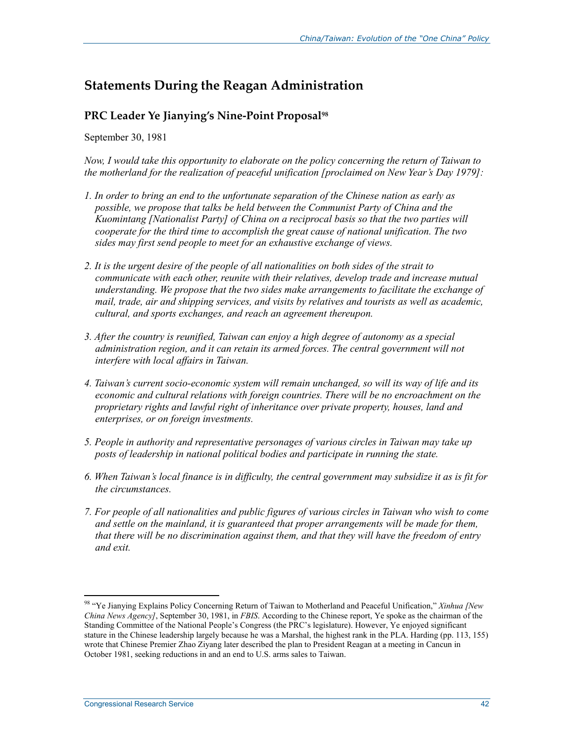# **Statements During the Reagan Administration**

# **PRC Leader Ye Jianying's Nine-Point Proposal98**

September 30, 1981

*Now, I would take this opportunity to elaborate on the policy concerning the return of Taiwan to the motherland for the realization of peaceful unification [proclaimed on New Year's Day 1979]:* 

- *1. In order to bring an end to the unfortunate separation of the Chinese nation as early as possible, we propose that talks be held between the Communist Party of China and the Kuomintang [Nationalist Party] of China on a reciprocal basis so that the two parties will cooperate for the third time to accomplish the great cause of national unification. The two sides may first send people to meet for an exhaustive exchange of views.*
- *2. It is the urgent desire of the people of all nationalities on both sides of the strait to communicate with each other, reunite with their relatives, develop trade and increase mutual understanding. We propose that the two sides make arrangements to facilitate the exchange of mail, trade, air and shipping services, and visits by relatives and tourists as well as academic, cultural, and sports exchanges, and reach an agreement thereupon.*
- *3. After the country is reunified, Taiwan can enjoy a high degree of autonomy as a special administration region, and it can retain its armed forces. The central government will not interfere with local affairs in Taiwan.*
- *4. Taiwan's current socio-economic system will remain unchanged, so will its way of life and its economic and cultural relations with foreign countries. There will be no encroachment on the proprietary rights and lawful right of inheritance over private property, houses, land and enterprises, or on foreign investments.*
- *5. People in authority and representative personages of various circles in Taiwan may take up posts of leadership in national political bodies and participate in running the state.*
- *6. When Taiwan's local finance is in difficulty, the central government may subsidize it as is fit for the circumstances.*
- *7. For people of all nationalities and public figures of various circles in Taiwan who wish to come and settle on the mainland, it is guaranteed that proper arrangements will be made for them, that there will be no discrimination against them, and that they will have the freedom of entry and exit.*

<sup>98 &</sup>quot;Ye Jianying Explains Policy Concerning Return of Taiwan to Motherland and Peaceful Unification," *Xinhua [New China News Agency]*, September 30, 1981, in *FBIS*. According to the Chinese report, Ye spoke as the chairman of the Standing Committee of the National People's Congress (the PRC's legislature). However, Ye enjoyed significant stature in the Chinese leadership largely because he was a Marshal, the highest rank in the PLA. Harding (pp. 113, 155) wrote that Chinese Premier Zhao Ziyang later described the plan to President Reagan at a meeting in Cancun in October 1981, seeking reductions in and an end to U.S. arms sales to Taiwan.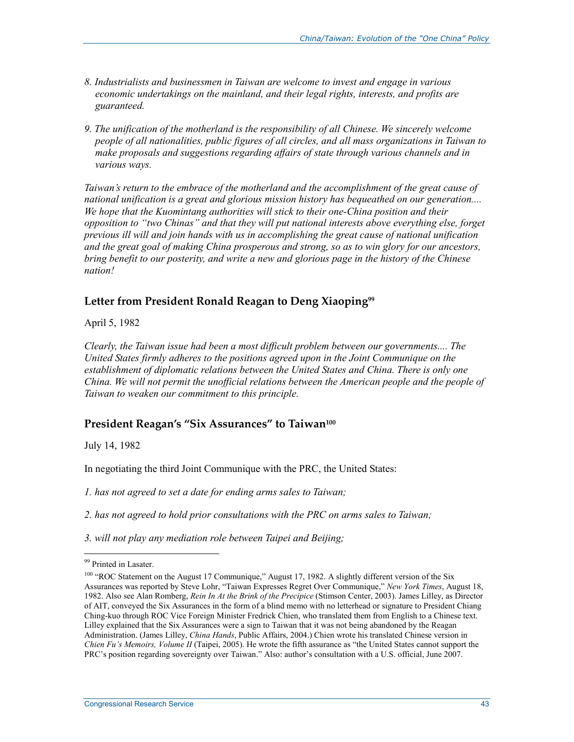- *8. Industrialists and businessmen in Taiwan are welcome to invest and engage in various economic undertakings on the mainland, and their legal rights, interests, and profits are guaranteed.*
- *9. The unification of the motherland is the responsibility of all Chinese. We sincerely welcome people of all nationalities, public figures of all circles, and all mass organizations in Taiwan to make proposals and suggestions regarding affairs of state through various channels and in various ways.*

*Taiwan's return to the embrace of the motherland and the accomplishment of the great cause of national unification is a great and glorious mission history has bequeathed on our generation.... We hope that the Kuomintang authorities will stick to their one-China position and their opposition to "two Chinas" and that they will put national interests above everything else, forget previous ill will and join hands with us in accomplishing the great cause of national unification and the great goal of making China prosperous and strong, so as to win glory for our ancestors, bring benefit to our posterity, and write a new and glorious page in the history of the Chinese nation!*

# **Letter from President Ronald Reagan to Deng Xiaoping99**

April 5, 1982

*Clearly, the Taiwan issue had been a most difficult problem between our governments.... The United States firmly adheres to the positions agreed upon in the Joint Communique on the establishment of diplomatic relations between the United States and China. There is only one China. We will not permit the unofficial relations between the American people and the people of Taiwan to weaken our commitment to this principle.* 

# President Reagan's "Six Assurances" to Taiwan<sup>100</sup>

July 14, 1982

In negotiating the third Joint Communique with the PRC, the United States:

*1. has not agreed to set a date for ending arms sales to Taiwan;* 

*2. has not agreed to hold prior consultations with the PRC on arms sales to Taiwan;* 

*3. will not play any mediation role between Taipei and Beijing;* 

<sup>&</sup>lt;sup>99</sup> Printed in Lasater.

<sup>&</sup>lt;sup>100</sup> "ROC Statement on the August 17 Communique," August 17, 1982. A slightly different version of the Six Assurances was reported by Steve Lohr, "Taiwan Expresses Regret Over Communique," *New York Times*, August 18, 1982. Also see Alan Romberg, *Rein In At the Brink of the Precipice* (Stimson Center, 2003). James Lilley, as Director of AIT, conveyed the Six Assurances in the form of a blind memo with no letterhead or signature to President Chiang Ching-kuo through ROC Vice Foreign Minister Fredrick Chien, who translated them from English to a Chinese text. Lilley explained that the Six Assurances were a sign to Taiwan that it was not being abandoned by the Reagan Administration. (James Lilley, *China Hands*, Public Affairs, 2004.) Chien wrote his translated Chinese version in *Chien Fu's Memoirs, Volume II* (Taipei, 2005). He wrote the fifth assurance as "the United States cannot support the PRC's position regarding sovereignty over Taiwan." Also: author's consultation with a U.S. official, June 2007.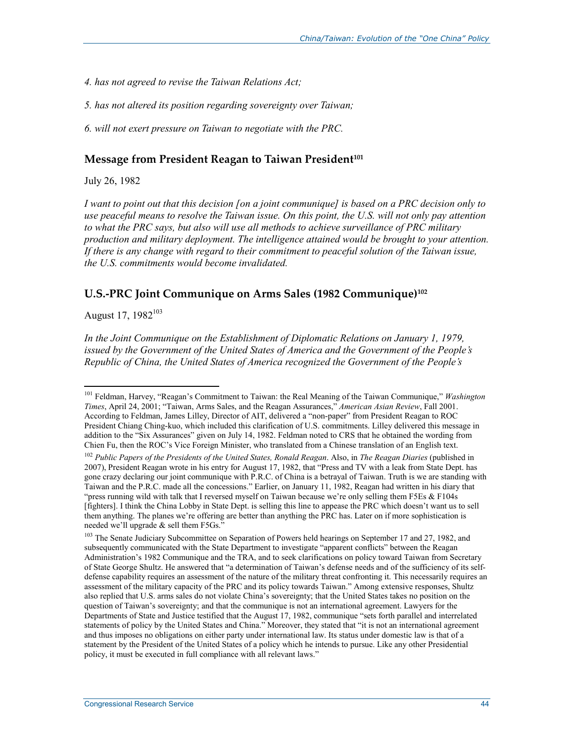- *4. has not agreed to revise the Taiwan Relations Act;*
- *5. has not altered its position regarding sovereignty over Taiwan;*
- *6. will not exert pressure on Taiwan to negotiate with the PRC.*

#### **Message from President Reagan to Taiwan President101**

July 26, 1982

*I want to point out that this decision [on a joint communique] is based on a PRC decision only to use peaceful means to resolve the Taiwan issue. On this point, the U.S. will not only pay attention to what the PRC says, but also will use all methods to achieve surveillance of PRC military production and military deployment. The intelligence attained would be brought to your attention. If there is any change with regard to their commitment to peaceful solution of the Taiwan issue, the U.S. commitments would become invalidated.* 

### **U.S.-PRC Joint Communique on Arms Sales (1982 Communique)102**

August 17, 1982<sup>103</sup>

1

*In the Joint Communique on the Establishment of Diplomatic Relations on January 1, 1979, issued by the Government of the United States of America and the Government of the People's Republic of China, the United States of America recognized the Government of the People's* 

<sup>101</sup> Feldman, Harvey, "Reagan's Commitment to Taiwan: the Real Meaning of the Taiwan Communique," *Washington Times*, April 24, 2001; "Taiwan, Arms Sales, and the Reagan Assurances," *American Asian Review*, Fall 2001. According to Feldman, James Lilley, Director of AIT, delivered a "non-paper" from President Reagan to ROC President Chiang Ching-kuo, which included this clarification of U.S. commitments. Lilley delivered this message in addition to the "Six Assurances" given on July 14, 1982. Feldman noted to CRS that he obtained the wording from Chien Fu, then the ROC's Vice Foreign Minister, who translated from a Chinese translation of an English text.

<sup>102</sup> *Public Papers of the Presidents of the United States, Ronald Reagan*. Also, in *The Reagan Diaries* (published in 2007), President Reagan wrote in his entry for August 17, 1982, that "Press and TV with a leak from State Dept. has gone crazy declaring our joint communique with P.R.C. of China is a betrayal of Taiwan. Truth is we are standing with Taiwan and the P.R.C. made all the concessions." Earlier, on January 11, 1982, Reagan had written in his diary that "press running wild with talk that I reversed myself on Taiwan because we're only selling them F5Es & F104s [fighters]. I think the China Lobby in State Dept. is selling this line to appease the PRC which doesn't want us to sell them anything. The planes we're offering are better than anything the PRC has. Later on if more sophistication is needed we'll upgrade & sell them F5Gs."

<sup>&</sup>lt;sup>103</sup> The Senate Judiciary Subcommittee on Separation of Powers held hearings on September 17 and 27, 1982, and subsequently communicated with the State Department to investigate "apparent conflicts" between the Reagan Administration's 1982 Communique and the TRA, and to seek clarifications on policy toward Taiwan from Secretary of State George Shultz. He answered that "a determination of Taiwan's defense needs and of the sufficiency of its selfdefense capability requires an assessment of the nature of the military threat confronting it. This necessarily requires an assessment of the military capacity of the PRC and its policy towards Taiwan." Among extensive responses, Shultz also replied that U.S. arms sales do not violate China's sovereignty; that the United States takes no position on the question of Taiwan's sovereignty; and that the communique is not an international agreement. Lawyers for the Departments of State and Justice testified that the August 17, 1982, communique "sets forth parallel and interrelated statements of policy by the United States and China." Moreover, they stated that "it is not an international agreement and thus imposes no obligations on either party under international law. Its status under domestic law is that of a statement by the President of the United States of a policy which he intends to pursue. Like any other Presidential policy, it must be executed in full compliance with all relevant laws."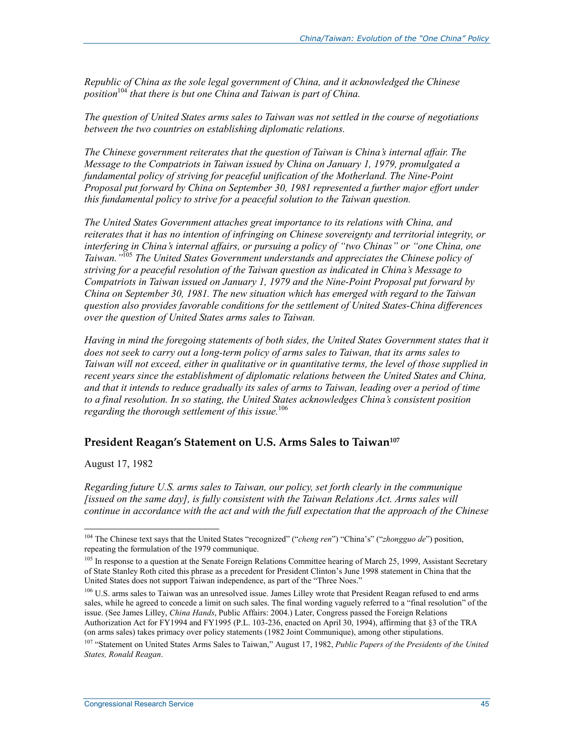*Republic of China as the sole legal government of China, and it acknowledged the Chinese position*<sup>104</sup> *that there is but one China and Taiwan is part of China.*

*The question of United States arms sales to Taiwan was not settled in the course of negotiations between the two countries on establishing diplomatic relations.* 

*The Chinese government reiterates that the question of Taiwan is China's internal affair. The Message to the Compatriots in Taiwan issued by China on January 1, 1979, promulgated a fundamental policy of striving for peaceful unification of the Motherland. The Nine-Point Proposal put forward by China on September 30, 1981 represented a further major effort under this fundamental policy to strive for a peaceful solution to the Taiwan question.* 

*The United States Government attaches great importance to its relations with China, and reiterates that it has no intention of infringing on Chinese sovereignty and territorial integrity, or interfering in China's internal affairs, or pursuing a policy of "two Chinas" or "one China, one Taiwan."*<sup>105</sup> *The United States Government understands and appreciates the Chinese policy of striving for a peaceful resolution of the Taiwan question as indicated in China's Message to Compatriots in Taiwan issued on January 1, 1979 and the Nine-Point Proposal put forward by China on September 30, 1981. The new situation which has emerged with regard to the Taiwan question also provides favorable conditions for the settlement of United States-China differences over the question of United States arms sales to Taiwan.* 

*Having in mind the foregoing statements of both sides, the United States Government states that it does not seek to carry out a long-term policy of arms sales to Taiwan, that its arms sales to Taiwan will not exceed, either in qualitative or in quantitative terms, the level of those supplied in recent years since the establishment of diplomatic relations between the United States and China, and that it intends to reduce gradually its sales of arms to Taiwan, leading over a period of time to a final resolution. In so stating, the United States acknowledges China's consistent position regarding the thorough settlement of this issue.*<sup>106</sup>

# **President Reagan's Statement on U.S. Arms Sales to Taiwan107**

August 17, 1982

1

*Regarding future U.S. arms sales to Taiwan, our policy, set forth clearly in the communique [issued on the same day], is fully consistent with the Taiwan Relations Act. Arms sales will continue in accordance with the act and with the full expectation that the approach of the Chinese* 

<sup>104</sup> The Chinese text says that the United States "recognized" ("*cheng ren*") "China's" ("*zhongguo de*") position, repeating the formulation of the 1979 communique.

<sup>&</sup>lt;sup>105</sup> In response to a question at the Senate Foreign Relations Committee hearing of March 25, 1999, Assistant Secretary of State Stanley Roth cited this phrase as a precedent for President Clinton's June 1998 statement in China that the United States does not support Taiwan independence, as part of the "Three Noes."

<sup>&</sup>lt;sup>106</sup> U.S. arms sales to Taiwan was an unresolved issue. James Lilley wrote that President Reagan refused to end arms sales, while he agreed to concede a limit on such sales. The final wording vaguely referred to a "final resolution" of the issue. (See James Lilley, *China Hands*, Public Affairs: 2004.) Later, Congress passed the Foreign Relations Authorization Act for FY1994 and FY1995 (P.L. 103-236, enacted on April 30, 1994), affirming that §3 of the TRA (on arms sales) takes primacy over policy statements (1982 Joint Communique), among other stipulations.

<sup>107 &</sup>quot;Statement on United States Arms Sales to Taiwan," August 17, 1982, *Public Papers of the Presidents of the United States, Ronald Reagan*.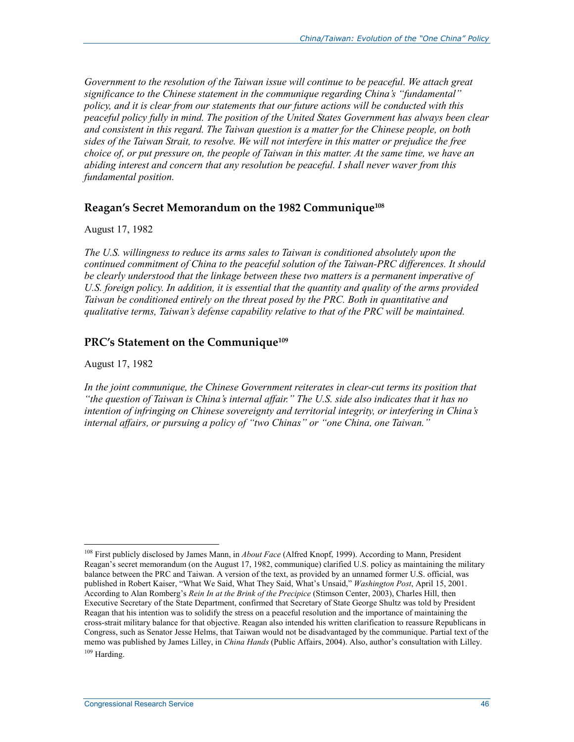*Government to the resolution of the Taiwan issue will continue to be peaceful. We attach great significance to the Chinese statement in the communique regarding China's "fundamental" policy, and it is clear from our statements that our future actions will be conducted with this peaceful policy fully in mind. The position of the United States Government has always been clear and consistent in this regard. The Taiwan question is a matter for the Chinese people, on both sides of the Taiwan Strait, to resolve. We will not interfere in this matter or prejudice the free choice of, or put pressure on, the people of Taiwan in this matter. At the same time, we have an abiding interest and concern that any resolution be peaceful. I shall never waver from this fundamental position.*

### **Reagan's Secret Memorandum on the 1982 Communique108**

August 17, 1982

*The U.S. willingness to reduce its arms sales to Taiwan is conditioned absolutely upon the continued commitment of China to the peaceful solution of the Taiwan-PRC differences. It should be clearly understood that the linkage between these two matters is a permanent imperative of U.S. foreign policy. In addition, it is essential that the quantity and quality of the arms provided Taiwan be conditioned entirely on the threat posed by the PRC. Both in quantitative and qualitative terms, Taiwan's defense capability relative to that of the PRC will be maintained.*

### **PRC's Statement on the Communique109**

August 17, 1982

*In the joint communique, the Chinese Government reiterates in clear-cut terms its position that "the question of Taiwan is China's internal affair." The U.S. side also indicates that it has no intention of infringing on Chinese sovereignty and territorial integrity, or interfering in China's internal affairs, or pursuing a policy of "two Chinas" or "one China, one Taiwan."*

<sup>&</sup>lt;u>.</u> 108 First publicly disclosed by James Mann, in *About Face* (Alfred Knopf, 1999). According to Mann, President Reagan's secret memorandum (on the August 17, 1982, communique) clarified U.S. policy as maintaining the military balance between the PRC and Taiwan. A version of the text, as provided by an unnamed former U.S. official, was published in Robert Kaiser, "What We Said, What They Said, What's Unsaid," *Washington Post*, April 15, 2001. According to Alan Romberg's *Rein In at the Brink of the Precipice* (Stimson Center, 2003), Charles Hill, then Executive Secretary of the State Department, confirmed that Secretary of State George Shultz was told by President Reagan that his intention was to solidify the stress on a peaceful resolution and the importance of maintaining the cross-strait military balance for that objective. Reagan also intended his written clarification to reassure Republicans in Congress, such as Senator Jesse Helms, that Taiwan would not be disadvantaged by the communique. Partial text of the memo was published by James Lilley, in *China Hands* (Public Affairs, 2004). Also, author's consultation with Lilley. 109 Harding.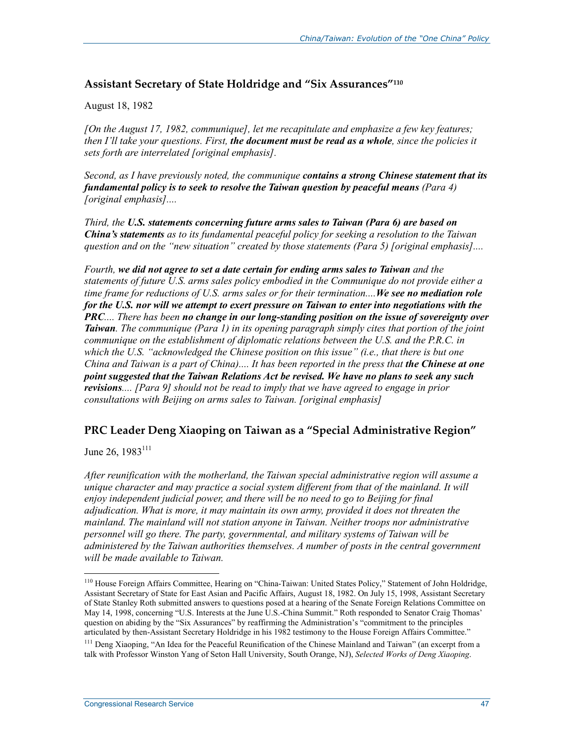# **Assistant Secretary of State Holdridge and "Six Assurances"110**

August 18, 1982

*[On the August 17, 1982, communique], let me recapitulate and emphasize a few key features; then I'll take your questions. First, the document must be read as a whole, since the policies it sets forth are interrelated [original emphasis].* 

*Second, as I have previously noted, the communique contains a strong Chinese statement that its fundamental policy is to seek to resolve the Taiwan question by peaceful means (Para 4) [original emphasis]....* 

*Third, the U.S. statements concerning future arms sales to Taiwan (Para 6) are based on China's statements as to its fundamental peaceful policy for seeking a resolution to the Taiwan question and on the "new situation" created by those statements (Para 5) [original emphasis]....* 

*Fourth, we did not agree to set a date certain for ending arms sales to Taiwan and the statements of future U.S. arms sales policy embodied in the Communique do not provide either a time frame for reductions of U.S. arms sales or for their termination....We see no mediation role for the U.S. nor will we attempt to exert pressure on Taiwan to enter into negotiations with the PRC.... There has been no change in our long-standing position on the issue of sovereignty over Taiwan. The communique (Para 1) in its opening paragraph simply cites that portion of the joint communique on the establishment of diplomatic relations between the U.S. and the P.R.C. in which the U.S. "acknowledged the Chinese position on this issue" (i.e., that there is but one China and Taiwan is a part of China).... It has been reported in the press that the Chinese at one point suggested that the Taiwan Relations Act be revised. We have no plans to seek any such revisions.... [Para 9] should not be read to imply that we have agreed to engage in prior consultations with Beijing on arms sales to Taiwan. [original emphasis]* 

# **PRC Leader Deng Xiaoping on Taiwan as a "Special Administrative Region"**

June 26, 1983<sup>111</sup>

1

*After reunification with the motherland, the Taiwan special administrative region will assume a unique character and may practice a social system different from that of the mainland. It will enjoy independent judicial power, and there will be no need to go to Beijing for final adjudication. What is more, it may maintain its own army, provided it does not threaten the mainland. The mainland will not station anyone in Taiwan. Neither troops nor administrative personnel will go there. The party, governmental, and military systems of Taiwan will be administered by the Taiwan authorities themselves. A number of posts in the central government will be made available to Taiwan.* 

<sup>&</sup>lt;sup>110</sup> House Foreign Affairs Committee, Hearing on "China-Taiwan: United States Policy," Statement of John Holdridge, Assistant Secretary of State for East Asian and Pacific Affairs, August 18, 1982. On July 15, 1998, Assistant Secretary of State Stanley Roth submitted answers to questions posed at a hearing of the Senate Foreign Relations Committee on May 14, 1998, concerning "U.S. Interests at the June U.S.-China Summit." Roth responded to Senator Craig Thomas' question on abiding by the "Six Assurances" by reaffirming the Administration's "commitment to the principles articulated by then-Assistant Secretary Holdridge in his 1982 testimony to the House Foreign Affairs Committee." <sup>111</sup> Deng Xiaoping, "An Idea for the Peaceful Reunification of the Chinese Mainland and Taiwan" (an excerpt from a talk with Professor Winston Yang of Seton Hall University, South Orange, NJ), *Selected Works of Deng Xiaoping*.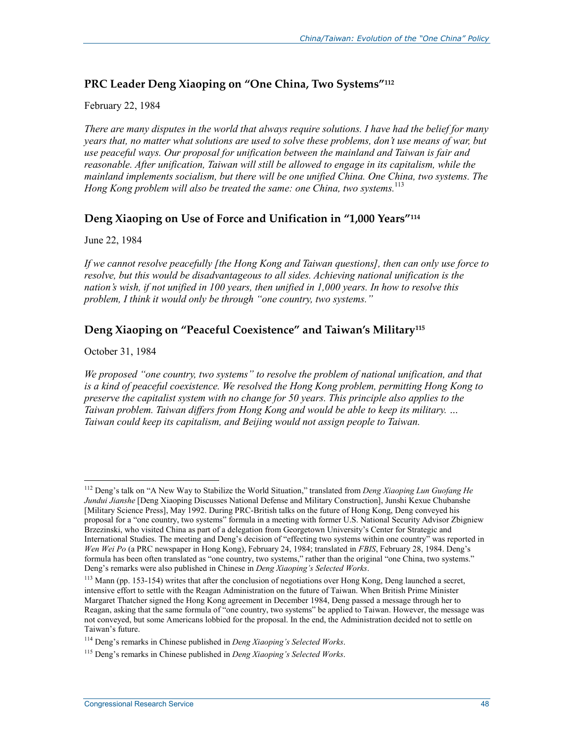# **PRC Leader Deng Xiaoping on "One China, Two Systems"112**

February 22, 1984

*There are many disputes in the world that always require solutions. I have had the belief for many years that, no matter what solutions are used to solve these problems, don't use means of war, but use peaceful ways. Our proposal for unification between the mainland and Taiwan is fair and reasonable. After unification, Taiwan will still be allowed to engage in its capitalism, while the mainland implements socialism, but there will be one unified China. One China, two systems. The Hong Kong problem will also be treated the same: one China, two systems.*<sup>113</sup>

# **Deng Xiaoping on Use of Force and Unification in "1,000 Years"114**

June 22, 1984

*If we cannot resolve peacefully [the Hong Kong and Taiwan questions], then can only use force to resolve, but this would be disadvantageous to all sides. Achieving national unification is the nation's wish, if not unified in 100 years, then unified in 1,000 years. In how to resolve this problem, I think it would only be through "one country, two systems."*

# **Deng Xiaoping on "Peaceful Coexistence" and Taiwan's Military115**

October 31, 1984

1

*We proposed "one country, two systems" to resolve the problem of national unification, and that is a kind of peaceful coexistence. We resolved the Hong Kong problem, permitting Hong Kong to preserve the capitalist system with no change for 50 years. This principle also applies to the Taiwan problem. Taiwan differs from Hong Kong and would be able to keep its military. … Taiwan could keep its capitalism, and Beijing would not assign people to Taiwan.* 

<sup>112</sup> Deng's talk on "A New Way to Stabilize the World Situation," translated from *Deng Xiaoping Lun Guofang He Jundui Jianshe* [Deng Xiaoping Discusses National Defense and Military Construction], Junshi Kexue Chubanshe [Military Science Press], May 1992. During PRC-British talks on the future of Hong Kong, Deng conveyed his proposal for a "one country, two systems" formula in a meeting with former U.S. National Security Advisor Zbigniew Brzezinski, who visited China as part of a delegation from Georgetown University's Center for Strategic and International Studies. The meeting and Deng's decision of "effecting two systems within one country" was reported in *Wen Wei Po* (a PRC newspaper in Hong Kong), February 24, 1984; translated in *FBIS*, February 28, 1984. Deng's formula has been often translated as "one country, two systems," rather than the original "one China, two systems." Deng's remarks were also published in Chinese in *Deng Xiaoping's Selected Works*.

<sup>113</sup> Mann (pp. 153-154) writes that after the conclusion of negotiations over Hong Kong, Deng launched a secret, intensive effort to settle with the Reagan Administration on the future of Taiwan. When British Prime Minister Margaret Thatcher signed the Hong Kong agreement in December 1984, Deng passed a message through her to Reagan, asking that the same formula of "one country, two systems" be applied to Taiwan. However, the message was not conveyed, but some Americans lobbied for the proposal. In the end, the Administration decided not to settle on Taiwan's future.

<sup>114</sup> Deng's remarks in Chinese published in *Deng Xiaoping's Selected Works*.

<sup>115</sup> Deng's remarks in Chinese published in *Deng Xiaoping's Selected Works*.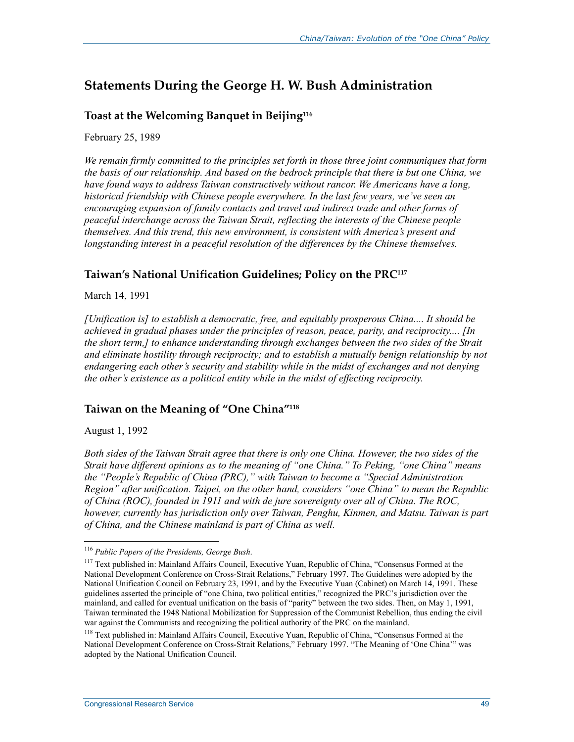# **Statements During the George H. W. Bush Administration**

# **Toast at the Welcoming Banquet in Beijing116**

February 25, 1989

*We remain firmly committed to the principles set forth in those three joint communiques that form the basis of our relationship. And based on the bedrock principle that there is but one China, we have found ways to address Taiwan constructively without rancor. We Americans have a long, historical friendship with Chinese people everywhere. In the last few years, we've seen an encouraging expansion of family contacts and travel and indirect trade and other forms of peaceful interchange across the Taiwan Strait, reflecting the interests of the Chinese people themselves. And this trend, this new environment, is consistent with America's present and longstanding interest in a peaceful resolution of the differences by the Chinese themselves.* 

# **Taiwan's National Unification Guidelines; Policy on the PRC117**

March 14, 1991

*[Unification is] to establish a democratic, free, and equitably prosperous China.... It should be achieved in gradual phases under the principles of reason, peace, parity, and reciprocity.... [In the short term,] to enhance understanding through exchanges between the two sides of the Strait and eliminate hostility through reciprocity; and to establish a mutually benign relationship by not endangering each other's security and stability while in the midst of exchanges and not denying the other's existence as a political entity while in the midst of effecting reciprocity.*

# **Taiwan on the Meaning of "One China"118**

August 1, 1992

*Both sides of the Taiwan Strait agree that there is only one China. However, the two sides of the Strait have different opinions as to the meaning of "one China." To Peking, "one China" means the "People's Republic of China (PRC)," with Taiwan to become a "Special Administration Region" after unification. Taipei, on the other hand, considers "one China" to mean the Republic of China (ROC), founded in 1911 and with de jure sovereignty over all of China. The ROC, however, currently has jurisdiction only over Taiwan, Penghu, Kinmen, and Matsu. Taiwan is part of China, and the Chinese mainland is part of China as well.*

<sup>&</sup>lt;u>.</u> <sup>116</sup> *Public Papers of the Presidents, George Bush*.

<sup>117</sup> Text published in: Mainland Affairs Council, Executive Yuan, Republic of China, "Consensus Formed at the National Development Conference on Cross-Strait Relations," February 1997. The Guidelines were adopted by the National Unification Council on February 23, 1991, and by the Executive Yuan (Cabinet) on March 14, 1991. These guidelines asserted the principle of "one China, two political entities," recognized the PRC's jurisdiction over the mainland, and called for eventual unification on the basis of "parity" between the two sides. Then, on May 1, 1991, Taiwan terminated the 1948 National Mobilization for Suppression of the Communist Rebellion, thus ending the civil war against the Communists and recognizing the political authority of the PRC on the mainland.

<sup>118</sup> Text published in: Mainland Affairs Council, Executive Yuan, Republic of China, "Consensus Formed at the National Development Conference on Cross-Strait Relations," February 1997. "The Meaning of 'One China'" was adopted by the National Unification Council.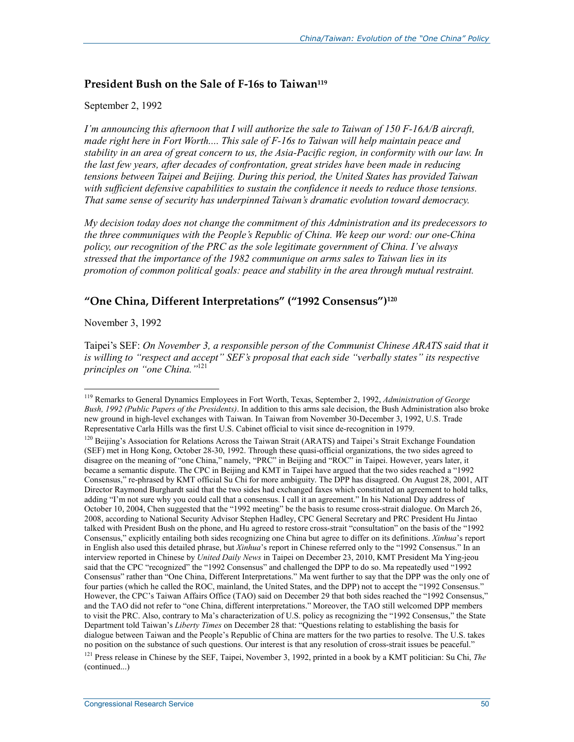# President Bush on the Sale of F-16s to Taiwan<sup>119</sup>

#### September 2, 1992

*I'm announcing this afternoon that I will authorize the sale to Taiwan of 150 F-16A/B aircraft, made right here in Fort Worth.... This sale of F-16s to Taiwan will help maintain peace and stability in an area of great concern to us, the Asia-Pacific region, in conformity with our law. In the last few years, after decades of confrontation, great strides have been made in reducing tensions between Taipei and Beijing. During this period, the United States has provided Taiwan with sufficient defensive capabilities to sustain the confidence it needs to reduce those tensions. That same sense of security has underpinned Taiwan's dramatic evolution toward democracy.* 

*My decision today does not change the commitment of this Administration and its predecessors to the three communiques with the People's Republic of China. We keep our word: our one-China policy, our recognition of the PRC as the sole legitimate government of China. I've always stressed that the importance of the 1982 communique on arms sales to Taiwan lies in its promotion of common political goals: peace and stability in the area through mutual restraint.*

# **"One China, Different Interpretations" ("1992 Consensus")120**

November 3, 1992

1

Taipei's SEF: *On November 3, a responsible person of the Communist Chinese ARATS said that it is willing to "respect and accept" SEF's proposal that each side "verbally states" its respective principles on "one China."*<sup>121</sup>

<sup>119</sup> Remarks to General Dynamics Employees in Fort Worth, Texas, September 2, 1992, *Administration of George Bush, 1992 (Public Papers of the Presidents)*. In addition to this arms sale decision, the Bush Administration also broke new ground in high-level exchanges with Taiwan. In Taiwan from November 30-December 3, 1992, U.S. Trade Representative Carla Hills was the first U.S. Cabinet official to visit since de-recognition in 1979.

<sup>&</sup>lt;sup>120</sup> Beijing's Association for Relations Across the Taiwan Strait (ARATS) and Taipei's Strait Exchange Foundation (SEF) met in Hong Kong, October 28-30, 1992. Through these quasi-official organizations, the two sides agreed to disagree on the meaning of "one China," namely, "PRC" in Beijing and "ROC" in Taipei. However, years later, it became a semantic dispute. The CPC in Beijing and KMT in Taipei have argued that the two sides reached a "1992 Consensus," re-phrased by KMT official Su Chi for more ambiguity. The DPP has disagreed. On August 28, 2001, AIT Director Raymond Burghardt said that the two sides had exchanged faxes which constituted an agreement to hold talks, adding "I'm not sure why you could call that a consensus. I call it an agreement." In his National Day address of October 10, 2004, Chen suggested that the "1992 meeting" be the basis to resume cross-strait dialogue. On March 26, 2008, according to National Security Advisor Stephen Hadley, CPC General Secretary and PRC President Hu Jintao talked with President Bush on the phone, and Hu agreed to restore cross-strait "consultation" on the basis of the "1992 Consensus," explicitly entailing both sides recognizing one China but agree to differ on its definitions. *Xinhua*'s report in English also used this detailed phrase, but *Xinhua*'s report in Chinese referred only to the "1992 Consensus." In an interview reported in Chinese by *United Daily News* in Taipei on December 23, 2010, KMT President Ma Ying-jeou said that the CPC "recognized" the "1992 Consensus" and challenged the DPP to do so. Ma repeatedly used "1992 Consensus" rather than "One China, Different Interpretations." Ma went further to say that the DPP was the only one of four parties (which he called the ROC, mainland, the United States, and the DPP) not to accept the "1992 Consensus." However, the CPC's Taiwan Affairs Office (TAO) said on December 29 that both sides reached the "1992 Consensus," and the TAO did not refer to "one China, different interpretations." Moreover, the TAO still welcomed DPP members to visit the PRC. Also, contrary to Ma's characterization of U.S. policy as recognizing the "1992 Consensus," the State Department told Taiwan's *Liberty Times* on December 28 that: "Questions relating to establishing the basis for dialogue between Taiwan and the People's Republic of China are matters for the two parties to resolve. The U.S. takes no position on the substance of such questions. Our interest is that any resolution of cross-strait issues be peaceful."

<sup>121</sup> Press release in Chinese by the SEF, Taipei, November 3, 1992, printed in a book by a KMT politician: Su Chi, *The*  (continued...)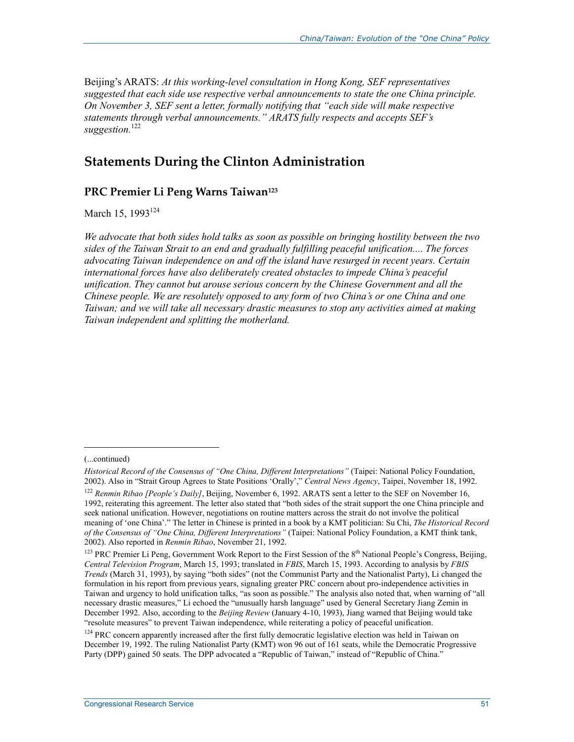Beijing's ARATS: *At this working-level consultation in Hong Kong, SEF representatives suggested that each side use respective verbal announcements to state the one China principle. On November 3, SEF sent a letter, formally notifying that "each side will make respective statements through verbal announcements." ARATS fully respects and accepts SEF's suggestion.*<sup>122</sup>

# **Statements During the Clinton Administration**

#### **PRC Premier Li Peng Warns Taiwan123**

March 15, 1993<sup>124</sup>

*We advocate that both sides hold talks as soon as possible on bringing hostility between the two sides of the Taiwan Strait to an end and gradually fulfilling peaceful unification.... The forces advocating Taiwan independence on and off the island have resurged in recent years. Certain international forces have also deliberately created obstacles to impede China's peaceful unification. They cannot but arouse serious concern by the Chinese Government and all the Chinese people. We are resolutely opposed to any form of two China's or one China and one Taiwan; and we will take all necessary drastic measures to stop any activities aimed at making Taiwan independent and splitting the motherland.*

<sup>(...</sup>continued)

*Historical Record of the Consensus of "One China, Different Interpretations"* (Taipei: National Policy Foundation, 2002). Also in "Strait Group Agrees to State Positions 'Orally'," *Central News Agency*, Taipei, November 18, 1992.

<sup>&</sup>lt;sup>122</sup> *Renmin Ribao [People's Daily]*, Beijing, November 6, 1992. ARATS sent a letter to the SEF on November 16, 1992, reiterating this agreement. The letter also stated that "both sides of the strait support the one China principle and seek national unification. However, negotiations on routine matters across the strait do not involve the political meaning of 'one China'." The letter in Chinese is printed in a book by a KMT politician: Su Chi, *The Historical Record of the Consensus of "One China, Different Interpretations"* (Taipei: National Policy Foundation, a KMT think tank, 2002). Also reported in *Renmin Ribao*, November 21, 1992.

<sup>&</sup>lt;sup>123</sup> PRC Premier Li Peng, Government Work Report to the First Session of the  $8<sup>th</sup>$  National People's Congress, Beijing, *Central Television Program*, March 15, 1993; translated in *FBIS*, March 15, 1993. According to analysis by *FBIS Trends* (March 31, 1993), by saying "both sides" (not the Communist Party and the Nationalist Party), Li changed the formulation in his report from previous years, signaling greater PRC concern about pro-independence activities in Taiwan and urgency to hold unification talks, "as soon as possible." The analysis also noted that, when warning of "all necessary drastic measures," Li echoed the "unusually harsh language" used by General Secretary Jiang Zemin in December 1992. Also, according to the *Beijing Review* (January 4-10, 1993), Jiang warned that Beijing would take "resolute measures" to prevent Taiwan independence, while reiterating a policy of peaceful unification.

<sup>&</sup>lt;sup>124</sup> PRC concern apparently increased after the first fully democratic legislative election was held in Taiwan on December 19, 1992. The ruling Nationalist Party (KMT) won 96 out of 161 seats, while the Democratic Progressive Party (DPP) gained 50 seats. The DPP advocated a "Republic of Taiwan," instead of "Republic of China."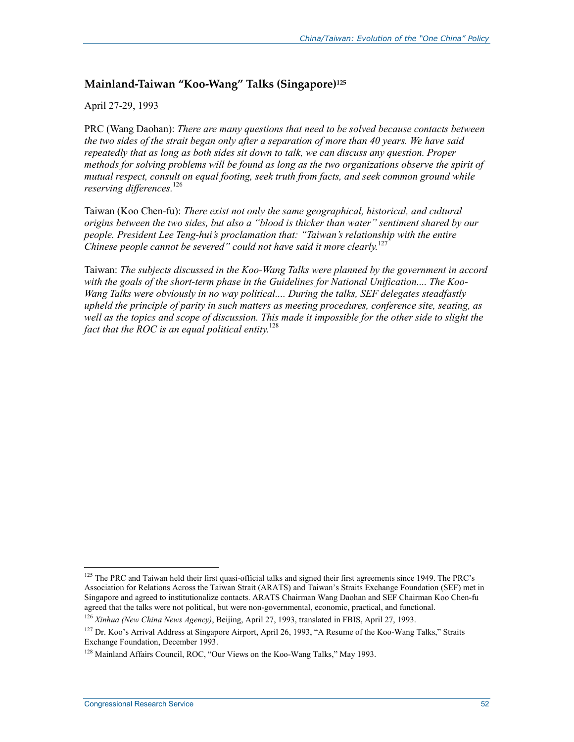# **Mainland-Taiwan "Koo-Wang" Talks (Singapore)125**

April 27-29, 1993

PRC (Wang Daohan): *There are many questions that need to be solved because contacts between the two sides of the strait began only after a separation of more than 40 years. We have said repeatedly that as long as both sides sit down to talk, we can discuss any question. Proper methods for solving problems will be found as long as the two organizations observe the spirit of mutual respect, consult on equal footing, seek truth from facts, and seek common ground while reserving differences.*<sup>126</sup>

Taiwan (Koo Chen-fu): *There exist not only the same geographical, historical, and cultural origins between the two sides, but also a "blood is thicker than water" sentiment shared by our people. President Lee Teng-hui's proclamation that: "Taiwan's relationship with the entire Chinese people cannot be severed" could not have said it more clearly.*<sup>127</sup>

Taiwan: *The subjects discussed in the Koo-Wang Talks were planned by the government in accord with the goals of the short-term phase in the Guidelines for National Unification.... The Koo-Wang Talks were obviously in no way political.... During the talks, SEF delegates steadfastly upheld the principle of parity in such matters as meeting procedures, conference site, seating, as*  well as the topics and scope of discussion. This made it impossible for the other side to slight the *fact that the ROC is an equal political entity.*<sup>128</sup>

<sup>&</sup>lt;sup>125</sup> The PRC and Taiwan held their first quasi-official talks and signed their first agreements since 1949. The PRC's Association for Relations Across the Taiwan Strait (ARATS) and Taiwan's Straits Exchange Foundation (SEF) met in Singapore and agreed to institutionalize contacts. ARATS Chairman Wang Daohan and SEF Chairman Koo Chen-fu agreed that the talks were not political, but were non-governmental, economic, practical, and functional.

<sup>126</sup> *Xinhua (New China News Agency)*, Beijing, April 27, 1993, translated in FBIS, April 27, 1993.

<sup>&</sup>lt;sup>127</sup> Dr. Koo's Arrival Address at Singapore Airport, April 26, 1993, "A Resume of the Koo-Wang Talks," Straits Exchange Foundation, December 1993.

<sup>&</sup>lt;sup>128</sup> Mainland Affairs Council, ROC, "Our Views on the Koo-Wang Talks," May 1993.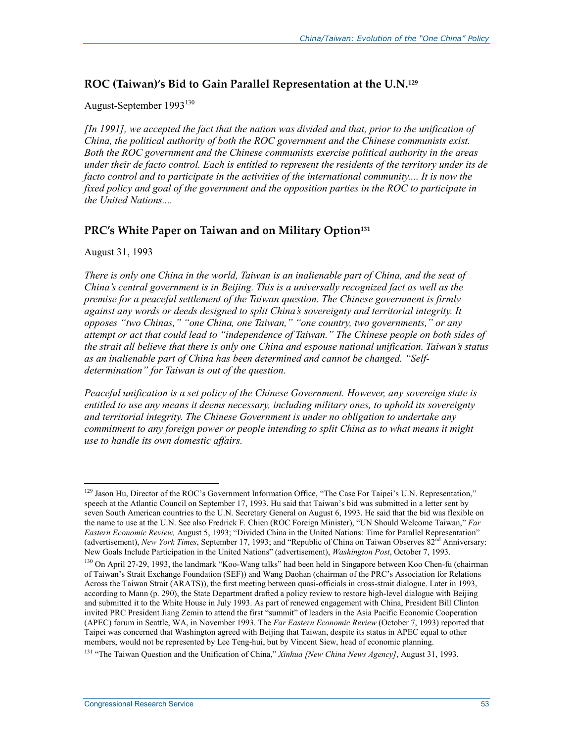# **ROC (Taiwan)'s Bid to Gain Parallel Representation at the U.N.129**

### August-September 1993<sup>130</sup>

*[In 1991], we accepted the fact that the nation was divided and that, prior to the unification of China, the political authority of both the ROC government and the Chinese communists exist. Both the ROC government and the Chinese communists exercise political authority in the areas under their de facto control. Each is entitled to represent the residents of the territory under its de facto control and to participate in the activities of the international community.... It is now the fixed policy and goal of the government and the opposition parties in the ROC to participate in the United Nations....*

# PRC's White Paper on Taiwan and on Military Option<sup>131</sup>

#### August 31, 1993

1

*There is only one China in the world, Taiwan is an inalienable part of China, and the seat of China's central government is in Beijing. This is a universally recognized fact as well as the premise for a peaceful settlement of the Taiwan question. The Chinese government is firmly against any words or deeds designed to split China's sovereignty and territorial integrity. It opposes "two Chinas," "one China, one Taiwan," "one country, two governments," or any attempt or act that could lead to "independence of Taiwan." The Chinese people on both sides of the strait all believe that there is only one China and espouse national unification. Taiwan's status as an inalienable part of China has been determined and cannot be changed. "Selfdetermination" for Taiwan is out of the question.* 

*Peaceful unification is a set policy of the Chinese Government. However, any sovereign state is entitled to use any means it deems necessary, including military ones, to uphold its sovereignty and territorial integrity. The Chinese Government is under no obligation to undertake any commitment to any foreign power or people intending to split China as to what means it might use to handle its own domestic affairs.* 

<sup>&</sup>lt;sup>129</sup> Jason Hu, Director of the ROC's Government Information Office, "The Case For Taipei's U.N. Representation," speech at the Atlantic Council on September 17, 1993. Hu said that Taiwan's bid was submitted in a letter sent by seven South American countries to the U.N. Secretary General on August 6, 1993. He said that the bid was flexible on the name to use at the U.N. See also Fredrick F. Chien (ROC Foreign Minister), "UN Should Welcome Taiwan," *Far Eastern Economic Review,* August 5, 1993; "Divided China in the United Nations: Time for Parallel Representation" (advertisement), *New York Times*, September 17, 1993; and "Republic of China on Taiwan Observes 82<sup>nd</sup> Anniversary: New Goals Include Participation in the United Nations" (advertisement), *Washington Post*, October 7, 1993.

<sup>130</sup> On April 27-29, 1993, the landmark "Koo-Wang talks" had been held in Singapore between Koo Chen-fu (chairman of Taiwan's Strait Exchange Foundation (SEF)) and Wang Daohan (chairman of the PRC's Association for Relations Across the Taiwan Strait (ARATS)), the first meeting between quasi-officials in cross-strait dialogue. Later in 1993, according to Mann (p. 290), the State Department drafted a policy review to restore high-level dialogue with Beijing and submitted it to the White House in July 1993. As part of renewed engagement with China, President Bill Clinton invited PRC President Jiang Zemin to attend the first "summit" of leaders in the Asia Pacific Economic Cooperation (APEC) forum in Seattle, WA, in November 1993. The *Far Eastern Economic Review* (October 7, 1993) reported that Taipei was concerned that Washington agreed with Beijing that Taiwan, despite its status in APEC equal to other members, would not be represented by Lee Teng-hui, but by Vincent Siew, head of economic planning.

<sup>131 &</sup>quot;The Taiwan Question and the Unification of China," *Xinhua [New China News Agency]*, August 31, 1993.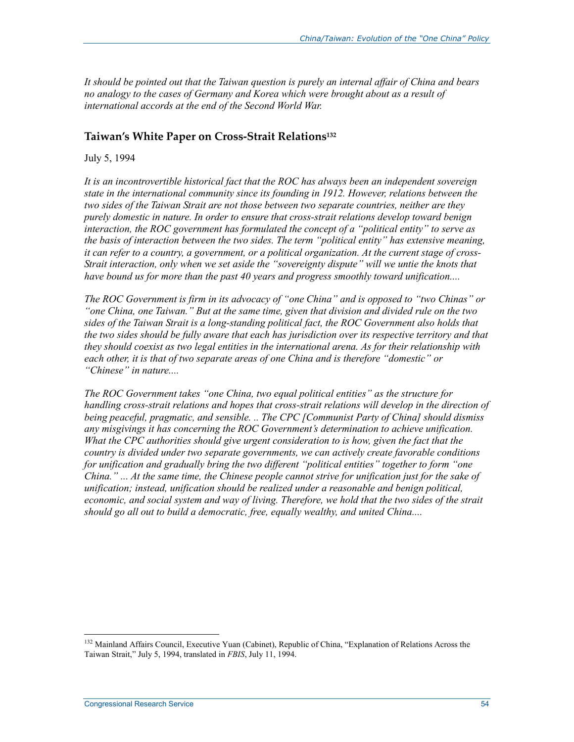*It should be pointed out that the Taiwan question is purely an internal affair of China and bears no analogy to the cases of Germany and Korea which were brought about as a result of international accords at the end of the Second World War.*

# **Taiwan's White Paper on Cross-Strait Relations132**

#### July 5, 1994

*It is an incontrovertible historical fact that the ROC has always been an independent sovereign state in the international community since its founding in 1912. However, relations between the two sides of the Taiwan Strait are not those between two separate countries, neither are they purely domestic in nature. In order to ensure that cross-strait relations develop toward benign interaction, the ROC government has formulated the concept of a "political entity" to serve as the basis of interaction between the two sides. The term "political entity" has extensive meaning, it can refer to a country, a government, or a political organization. At the current stage of cross-Strait interaction, only when we set aside the "sovereignty dispute" will we untie the knots that have bound us for more than the past 40 years and progress smoothly toward unification....* 

*The ROC Government is firm in its advocacy of "one China" and is opposed to "two Chinas" or "one China, one Taiwan." But at the same time, given that division and divided rule on the two sides of the Taiwan Strait is a long-standing political fact, the ROC Government also holds that the two sides should be fully aware that each has jurisdiction over its respective territory and that they should coexist as two legal entities in the international arena. As for their relationship with each other, it is that of two separate areas of one China and is therefore "domestic" or "Chinese" in nature....* 

*The ROC Government takes "one China, two equal political entities" as the structure for handling cross-strait relations and hopes that cross-strait relations will develop in the direction of being peaceful, pragmatic, and sensible. .. The CPC [Communist Party of China] should dismiss any misgivings it has concerning the ROC Government's determination to achieve unification. What the CPC authorities should give urgent consideration to is how, given the fact that the country is divided under two separate governments, we can actively create favorable conditions for unification and gradually bring the two different "political entities" together to form "one China." ... At the same time, the Chinese people cannot strive for unification just for the sake of unification; instead, unification should be realized under a reasonable and benign political, economic, and social system and way of living. Therefore, we hold that the two sides of the strait should go all out to build a democratic, free, equally wealthy, and united China....* 

<sup>&</sup>lt;sup>132</sup> Mainland Affairs Council, Executive Yuan (Cabinet), Republic of China, "Explanation of Relations Across the Taiwan Strait," July 5, 1994, translated in *FBIS*, July 11, 1994.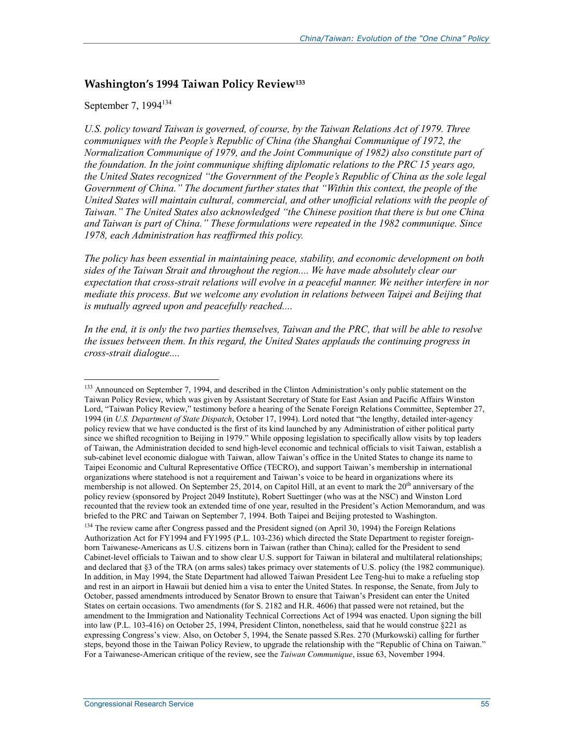### **Washington's 1994 Taiwan Policy Review133**

### September 7, 1994<sup>134</sup>

1

*U.S. policy toward Taiwan is governed, of course, by the Taiwan Relations Act of 1979. Three communiques with the People's Republic of China (the Shanghai Communique of 1972, the Normalization Communique of 1979, and the Joint Communique of 1982) also constitute part of the foundation. In the joint communique shifting diplomatic relations to the PRC 15 years ago, the United States recognized "the Government of the People's Republic of China as the sole legal Government of China." The document further states that "Within this context, the people of the United States will maintain cultural, commercial, and other unofficial relations with the people of Taiwan." The United States also acknowledged "the Chinese position that there is but one China and Taiwan is part of China." These formulations were repeated in the 1982 communique. Since 1978, each Administration has reaffirmed this policy.* 

*The policy has been essential in maintaining peace, stability, and economic development on both sides of the Taiwan Strait and throughout the region.... We have made absolutely clear our expectation that cross-strait relations will evolve in a peaceful manner. We neither interfere in nor mediate this process. But we welcome any evolution in relations between Taipei and Beijing that is mutually agreed upon and peacefully reached....* 

In the end, it is only the two parties themselves, Taiwan and the PRC, that will be able to resolve *the issues between them. In this regard, the United States applauds the continuing progress in cross-strait dialogue....* 

<sup>134</sup> The review came after Congress passed and the President signed (on April 30, 1994) the Foreign Relations Authorization Act for FY1994 and FY1995 (P.L. 103-236) which directed the State Department to register foreignborn Taiwanese-Americans as U.S. citizens born in Taiwan (rather than China); called for the President to send Cabinet-level officials to Taiwan and to show clear U.S. support for Taiwan in bilateral and multilateral relationships; and declared that §3 of the TRA (on arms sales) takes primacy over statements of U.S. policy (the 1982 communique). In addition, in May 1994, the State Department had allowed Taiwan President Lee Teng-hui to make a refueling stop and rest in an airport in Hawaii but denied him a visa to enter the United States. In response, the Senate, from July to October, passed amendments introduced by Senator Brown to ensure that Taiwan's President can enter the United States on certain occasions. Two amendments (for S. 2182 and H.R. 4606) that passed were not retained, but the amendment to the Immigration and Nationality Technical Corrections Act of 1994 was enacted. Upon signing the bill into law (P.L. 103-416) on October 25, 1994, President Clinton, nonetheless, said that he would construe §221 as expressing Congress's view. Also, on October 5, 1994, the Senate passed S.Res. 270 (Murkowski) calling for further steps, beyond those in the Taiwan Policy Review, to upgrade the relationship with the "Republic of China on Taiwan." For a Taiwanese-American critique of the review, see the *Taiwan Communique*, issue 63, November 1994.

<sup>&</sup>lt;sup>133</sup> Announced on September 7, 1994, and described in the Clinton Administration's only public statement on the Taiwan Policy Review, which was given by Assistant Secretary of State for East Asian and Pacific Affairs Winston Lord, "Taiwan Policy Review," testimony before a hearing of the Senate Foreign Relations Committee, September 27, 1994 (in *U.S. Department of State Dispatch*, October 17, 1994). Lord noted that "the lengthy, detailed inter-agency policy review that we have conducted is the first of its kind launched by any Administration of either political party since we shifted recognition to Beijing in 1979." While opposing legislation to specifically allow visits by top leaders of Taiwan, the Administration decided to send high-level economic and technical officials to visit Taiwan, establish a sub-cabinet level economic dialogue with Taiwan, allow Taiwan's office in the United States to change its name to Taipei Economic and Cultural Representative Office (TECRO), and support Taiwan's membership in international organizations where statehood is not a requirement and Taiwan's voice to be heard in organizations where its membership is not allowed. On September 25, 2014, on Capitol Hill, at an event to mark the  $20<sup>th</sup>$  anniversary of the policy review (sponsored by Project 2049 Institute), Robert Suettinger (who was at the NSC) and Winston Lord recounted that the review took an extended time of one year, resulted in the President's Action Memorandum, and was briefed to the PRC and Taiwan on September 7, 1994. Both Taipei and Beijing protested to Washington.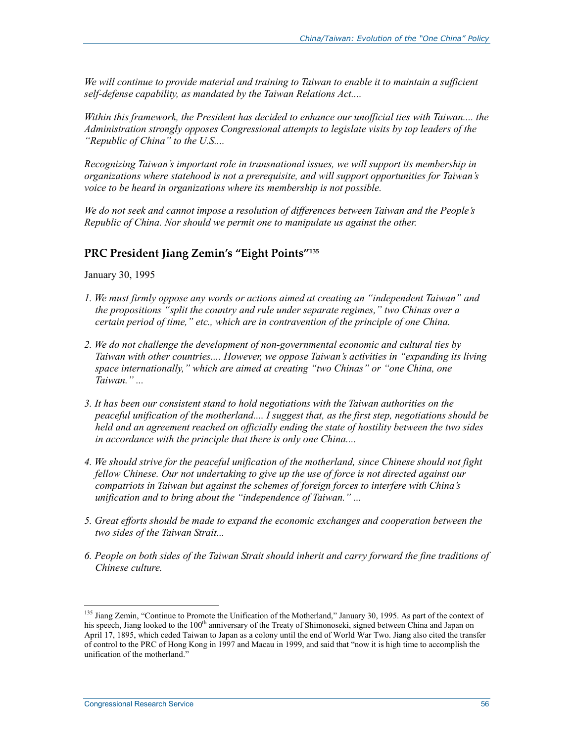We will continue to provide material and training to Taiwan to enable it to maintain a sufficient *self-defense capability, as mandated by the Taiwan Relations Act....* 

*Within this framework, the President has decided to enhance our unofficial ties with Taiwan.... the Administration strongly opposes Congressional attempts to legislate visits by top leaders of the "Republic of China" to the U.S....* 

*Recognizing Taiwan's important role in transnational issues, we will support its membership in organizations where statehood is not a prerequisite, and will support opportunities for Taiwan's voice to be heard in organizations where its membership is not possible.* 

*We do not seek and cannot impose a resolution of differences between Taiwan and the People's Republic of China. Nor should we permit one to manipulate us against the other.*

### **PRC President Jiang Zemin's "Eight Points"135**

January 30, 1995

- *1. We must firmly oppose any words or actions aimed at creating an "independent Taiwan" and the propositions "split the country and rule under separate regimes," two Chinas over a certain period of time," etc., which are in contravention of the principle of one China.*
- *2. We do not challenge the development of non-governmental economic and cultural ties by Taiwan with other countries.... However, we oppose Taiwan's activities in "expanding its living space internationally," which are aimed at creating "two Chinas" or "one China, one Taiwan." ...*
- *3. It has been our consistent stand to hold negotiations with the Taiwan authorities on the peaceful unification of the motherland.... I suggest that, as the first step, negotiations should be held and an agreement reached on officially ending the state of hostility between the two sides in accordance with the principle that there is only one China....*
- *4. We should strive for the peaceful unification of the motherland, since Chinese should not fight fellow Chinese. Our not undertaking to give up the use of force is not directed against our compatriots in Taiwan but against the schemes of foreign forces to interfere with China's unification and to bring about the "independence of Taiwan." ...*
- *5. Great efforts should be made to expand the economic exchanges and cooperation between the two sides of the Taiwan Strait...*
- *6. People on both sides of the Taiwan Strait should inherit and carry forward the fine traditions of Chinese culture.*

<sup>&</sup>lt;sup>135</sup> Jiang Zemin, "Continue to Promote the Unification of the Motherland," January 30, 1995. As part of the context of his speech, Jiang looked to the 100<sup>th</sup> anniversary of the Treaty of Shimonoseki, signed between China and Japan on April 17, 1895, which ceded Taiwan to Japan as a colony until the end of World War Two. Jiang also cited the transfer of control to the PRC of Hong Kong in 1997 and Macau in 1999, and said that "now it is high time to accomplish the unification of the motherland."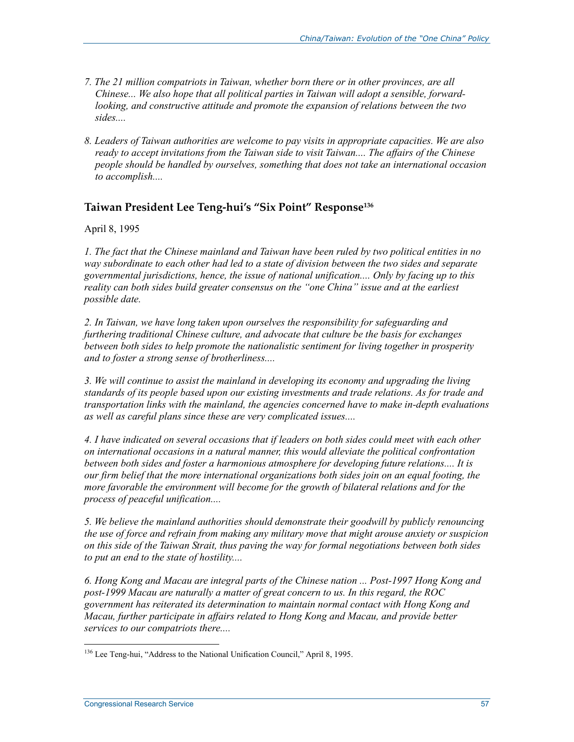- *7. The 21 million compatriots in Taiwan, whether born there or in other provinces, are all Chinese... We also hope that all political parties in Taiwan will adopt a sensible, forwardlooking, and constructive attitude and promote the expansion of relations between the two sides....*
- *8. Leaders of Taiwan authorities are welcome to pay visits in appropriate capacities. We are also ready to accept invitations from the Taiwan side to visit Taiwan.... The affairs of the Chinese people should be handled by ourselves, something that does not take an international occasion to accomplish....*

# **Taiwan President Lee Teng-hui's "Six Point" Response136**

April 8, 1995

*1. The fact that the Chinese mainland and Taiwan have been ruled by two political entities in no way subordinate to each other had led to a state of division between the two sides and separate governmental jurisdictions, hence, the issue of national unification.... Only by facing up to this reality can both sides build greater consensus on the "one China" issue and at the earliest possible date.* 

*2. In Taiwan, we have long taken upon ourselves the responsibility for safeguarding and furthering traditional Chinese culture, and advocate that culture be the basis for exchanges between both sides to help promote the nationalistic sentiment for living together in prosperity and to foster a strong sense of brotherliness....* 

*3. We will continue to assist the mainland in developing its economy and upgrading the living standards of its people based upon our existing investments and trade relations. As for trade and transportation links with the mainland, the agencies concerned have to make in-depth evaluations as well as careful plans since these are very complicated issues....* 

*4. I have indicated on several occasions that if leaders on both sides could meet with each other on international occasions in a natural manner, this would alleviate the political confrontation between both sides and foster a harmonious atmosphere for developing future relations.... It is our firm belief that the more international organizations both sides join on an equal footing, the more favorable the environment will become for the growth of bilateral relations and for the process of peaceful unification....* 

*5. We believe the mainland authorities should demonstrate their goodwill by publicly renouncing the use of force and refrain from making any military move that might arouse anxiety or suspicion on this side of the Taiwan Strait, thus paving the way for formal negotiations between both sides to put an end to the state of hostility....* 

*6. Hong Kong and Macau are integral parts of the Chinese nation ... Post-1997 Hong Kong and post-1999 Macau are naturally a matter of great concern to us. In this regard, the ROC government has reiterated its determination to maintain normal contact with Hong Kong and Macau, further participate in affairs related to Hong Kong and Macau, and provide better services to our compatriots there....*

<sup>&</sup>lt;u>.</u> <sup>136</sup> Lee Teng-hui, "Address to the National Unification Council," April 8, 1995.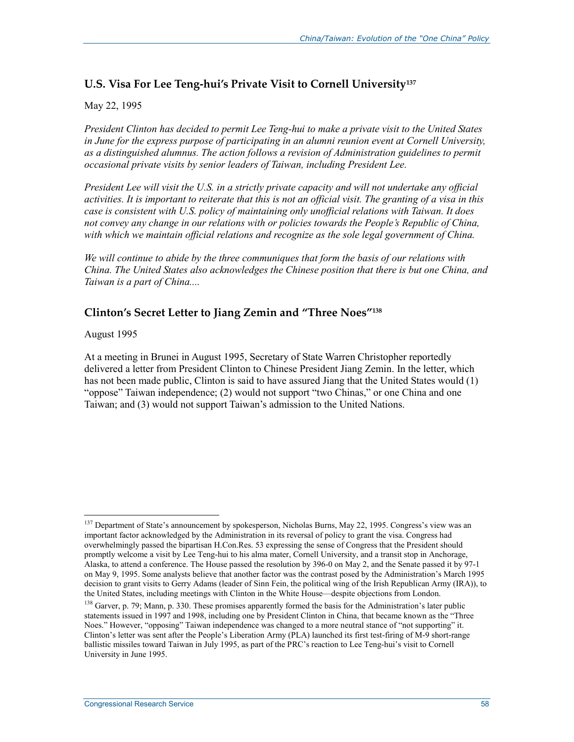# **U.S. Visa For Lee Teng-hui's Private Visit to Cornell University137**

### May 22, 1995

*President Clinton has decided to permit Lee Teng-hui to make a private visit to the United States in June for the express purpose of participating in an alumni reunion event at Cornell University,*  as a distinguished alumnus. The action follows a revision of Administration guidelines to permit *occasional private visits by senior leaders of Taiwan, including President Lee.* 

*President Lee will visit the U.S. in a strictly private capacity and will not undertake any official activities. It is important to reiterate that this is not an official visit. The granting of a visa in this case is consistent with U.S. policy of maintaining only unofficial relations with Taiwan. It does not convey any change in our relations with or policies towards the People's Republic of China,*  with which we maintain official relations and recognize as the sole legal government of China.

*We will continue to abide by the three communiques that form the basis of our relations with China. The United States also acknowledges the Chinese position that there is but one China, and Taiwan is a part of China....*

### **Clinton's Secret Letter to Jiang Zemin and "Three Noes"138**

August 1995

<u>.</u>

At a meeting in Brunei in August 1995, Secretary of State Warren Christopher reportedly delivered a letter from President Clinton to Chinese President Jiang Zemin. In the letter, which has not been made public, Clinton is said to have assured Jiang that the United States would (1) "oppose" Taiwan independence; (2) would not support "two Chinas," or one China and one Taiwan; and (3) would not support Taiwan's admission to the United Nations.

<sup>&</sup>lt;sup>137</sup> Department of State's announcement by spokesperson, Nicholas Burns, May 22, 1995. Congress's view was an important factor acknowledged by the Administration in its reversal of policy to grant the visa. Congress had overwhelmingly passed the bipartisan H.Con.Res. 53 expressing the sense of Congress that the President should promptly welcome a visit by Lee Teng-hui to his alma mater, Cornell University, and a transit stop in Anchorage, Alaska, to attend a conference. The House passed the resolution by 396-0 on May 2, and the Senate passed it by 97-1 on May 9, 1995. Some analysts believe that another factor was the contrast posed by the Administration's March 1995 decision to grant visits to Gerry Adams (leader of Sinn Fein, the political wing of the Irish Republican Army (IRA)), to the United States, including meetings with Clinton in the White House—despite objections from London.

<sup>&</sup>lt;sup>138</sup> Garver, p. 79; Mann, p. 330. These promises apparently formed the basis for the Administration's later public statements issued in 1997 and 1998, including one by President Clinton in China, that became known as the "Three Noes." However, "opposing" Taiwan independence was changed to a more neutral stance of "not supporting" it. Clinton's letter was sent after the People's Liberation Army (PLA) launched its first test-firing of M-9 short-range ballistic missiles toward Taiwan in July 1995, as part of the PRC's reaction to Lee Teng-hui's visit to Cornell University in June 1995.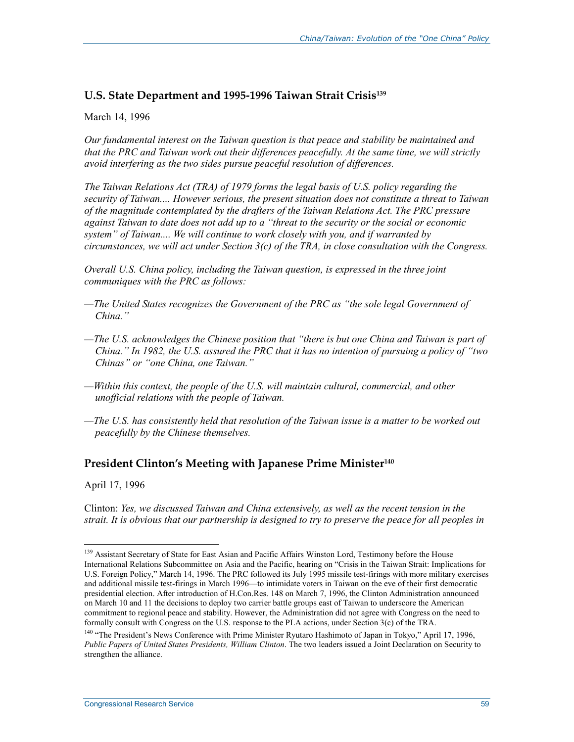### **U.S. State Department and 1995-1996 Taiwan Strait Crisis139**

#### March 14, 1996

*Our fundamental interest on the Taiwan question is that peace and stability be maintained and that the PRC and Taiwan work out their differences peacefully. At the same time, we will strictly avoid interfering as the two sides pursue peaceful resolution of differences.* 

*The Taiwan Relations Act (TRA) of 1979 forms the legal basis of U.S. policy regarding the security of Taiwan.... However serious, the present situation does not constitute a threat to Taiwan of the magnitude contemplated by the drafters of the Taiwan Relations Act. The PRC pressure against Taiwan to date does not add up to a "threat to the security or the social or economic system" of Taiwan.... We will continue to work closely with you, and if warranted by circumstances, we will act under Section 3(c) of the TRA, in close consultation with the Congress.* 

*Overall U.S. China policy, including the Taiwan question, is expressed in the three joint communiques with the PRC as follows:* 

- *—The United States recognizes the Government of the PRC as "the sole legal Government of China."*
- *—The U.S. acknowledges the Chinese position that "there is but one China and Taiwan is part of China." In 1982, the U.S. assured the PRC that it has no intention of pursuing a policy of "two Chinas" or "one China, one Taiwan."*
- *—Within this context, the people of the U.S. will maintain cultural, commercial, and other unofficial relations with the people of Taiwan.*
- *—The U.S. has consistently held that resolution of the Taiwan issue is a matter to be worked out peacefully by the Chinese themselves.*

# **President Clinton's Meeting with Japanese Prime Minister140**

April 17, 1996

<u>.</u>

Clinton: *Yes, we discussed Taiwan and China extensively, as well as the recent tension in the strait. It is obvious that our partnership is designed to try to preserve the peace for all peoples in* 

<sup>&</sup>lt;sup>139</sup> Assistant Secretary of State for East Asian and Pacific Affairs Winston Lord, Testimony before the House International Relations Subcommittee on Asia and the Pacific, hearing on "Crisis in the Taiwan Strait: Implications for U.S. Foreign Policy," March 14, 1996. The PRC followed its July 1995 missile test-firings with more military exercises and additional missile test-firings in March 1996—to intimidate voters in Taiwan on the eve of their first democratic presidential election. After introduction of H.Con.Res. 148 on March 7, 1996, the Clinton Administration announced on March 10 and 11 the decisions to deploy two carrier battle groups east of Taiwan to underscore the American commitment to regional peace and stability. However, the Administration did not agree with Congress on the need to formally consult with Congress on the U.S. response to the PLA actions, under Section 3(c) of the TRA.

<sup>&</sup>lt;sup>140</sup> "The President's News Conference with Prime Minister Ryutaro Hashimoto of Japan in Tokyo," April 17, 1996, *Public Papers of United States Presidents, William Clinton*. The two leaders issued a Joint Declaration on Security to strengthen the alliance.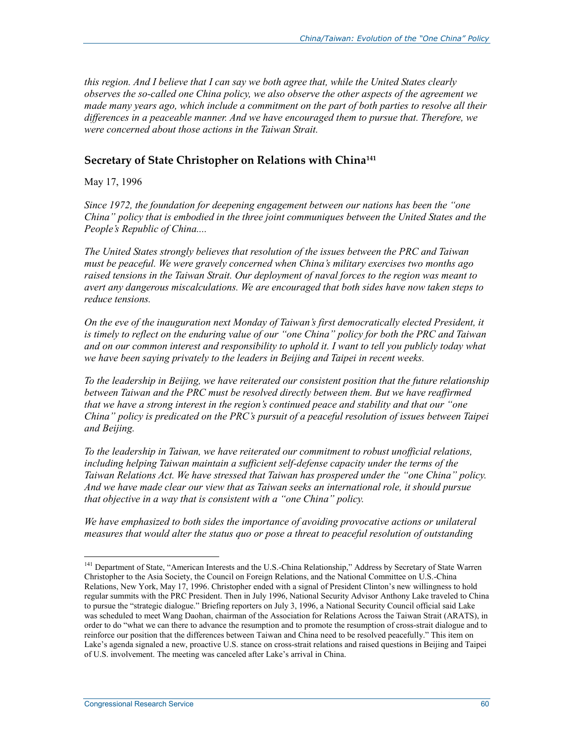*this region. And I believe that I can say we both agree that, while the United States clearly observes the so-called one China policy, we also observe the other aspects of the agreement we made many years ago, which include a commitment on the part of both parties to resolve all their differences in a peaceable manner. And we have encouraged them to pursue that. Therefore, we were concerned about those actions in the Taiwan Strait.*

# **Secretary of State Christopher on Relations with China141**

May 17, 1996

*Since 1972, the foundation for deepening engagement between our nations has been the "one China" policy that is embodied in the three joint communiques between the United States and the People's Republic of China....* 

*The United States strongly believes that resolution of the issues between the PRC and Taiwan must be peaceful. We were gravely concerned when China's military exercises two months ago raised tensions in the Taiwan Strait. Our deployment of naval forces to the region was meant to avert any dangerous miscalculations. We are encouraged that both sides have now taken steps to reduce tensions.* 

*On the eve of the inauguration next Monday of Taiwan's first democratically elected President, it*  is timely to reflect on the enduring value of our "one China" policy for both the PRC and Taiwan *and on our common interest and responsibility to uphold it. I want to tell you publicly today what we have been saying privately to the leaders in Beijing and Taipei in recent weeks.* 

*To the leadership in Beijing, we have reiterated our consistent position that the future relationship between Taiwan and the PRC must be resolved directly between them. But we have reaffirmed that we have a strong interest in the region's continued peace and stability and that our "one China" policy is predicated on the PRC's pursuit of a peaceful resolution of issues between Taipei and Beijing.* 

*To the leadership in Taiwan, we have reiterated our commitment to robust unofficial relations,*  including helping Taiwan maintain a sufficient self-defense capacity under the terms of the *Taiwan Relations Act. We have stressed that Taiwan has prospered under the "one China" policy. And we have made clear our view that as Taiwan seeks an international role, it should pursue that objective in a way that is consistent with a "one China" policy.* 

*We have emphasized to both sides the importance of avoiding provocative actions or unilateral measures that would alter the status quo or pose a threat to peaceful resolution of outstanding* 

<sup>&</sup>lt;sup>141</sup> Department of State, "American Interests and the U.S.-China Relationship," Address by Secretary of State Warren Christopher to the Asia Society, the Council on Foreign Relations, and the National Committee on U.S.-China Relations, New York, May 17, 1996. Christopher ended with a signal of President Clinton's new willingness to hold regular summits with the PRC President. Then in July 1996, National Security Advisor Anthony Lake traveled to China to pursue the "strategic dialogue." Briefing reporters on July 3, 1996, a National Security Council official said Lake was scheduled to meet Wang Daohan, chairman of the Association for Relations Across the Taiwan Strait (ARATS), in order to do "what we can there to advance the resumption and to promote the resumption of cross-strait dialogue and to reinforce our position that the differences between Taiwan and China need to be resolved peacefully." This item on Lake's agenda signaled a new, proactive U.S. stance on cross-strait relations and raised questions in Beijing and Taipei of U.S. involvement. The meeting was canceled after Lake's arrival in China.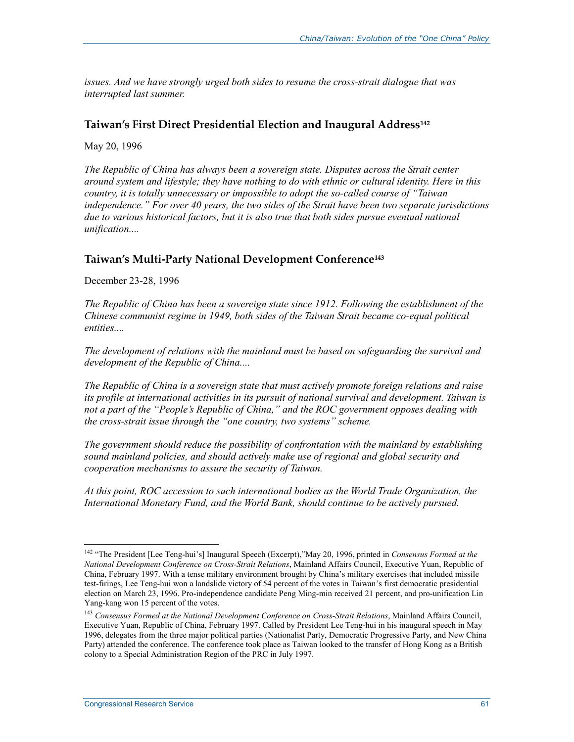*issues. And we have strongly urged both sides to resume the cross-strait dialogue that was interrupted last summer.*

### Taiwan's First Direct Presidential Election and Inaugural Address<sup>142</sup>

May 20, 1996

*The Republic of China has always been a sovereign state. Disputes across the Strait center around system and lifestyle; they have nothing to do with ethnic or cultural identity. Here in this country, it is totally unnecessary or impossible to adopt the so-called course of "Taiwan independence." For over 40 years, the two sides of the Strait have been two separate jurisdictions due to various historical factors, but it is also true that both sides pursue eventual national unification....*

### **Taiwan's Multi-Party National Development Conference143**

December 23-28, 1996

*The Republic of China has been a sovereign state since 1912. Following the establishment of the Chinese communist regime in 1949, both sides of the Taiwan Strait became co-equal political entities....* 

*The development of relations with the mainland must be based on safeguarding the survival and development of the Republic of China....* 

*The Republic of China is a sovereign state that must actively promote foreign relations and raise its profile at international activities in its pursuit of national survival and development. Taiwan is not a part of the "People's Republic of China," and the ROC government opposes dealing with the cross-strait issue through the "one country, two systems" scheme.* 

*The government should reduce the possibility of confrontation with the mainland by establishing sound mainland policies, and should actively make use of regional and global security and cooperation mechanisms to assure the security of Taiwan.* 

*At this point, ROC accession to such international bodies as the World Trade Organization, the International Monetary Fund, and the World Bank, should continue to be actively pursued.* 

<u>.</u>

<sup>142 &</sup>quot;The President [Lee Teng-hui's] Inaugural Speech (Excerpt),"May 20, 1996, printed in *Consensus Formed at the National Development Conference on Cross-Strait Relations*, Mainland Affairs Council, Executive Yuan, Republic of China, February 1997. With a tense military environment brought by China's military exercises that included missile test-firings, Lee Teng-hui won a landslide victory of 54 percent of the votes in Taiwan's first democratic presidential election on March 23, 1996. Pro-independence candidate Peng Ming-min received 21 percent, and pro-unification Lin Yang-kang won 15 percent of the votes.

<sup>&</sup>lt;sup>143</sup> Consensus Formed at the National Development Conference on Cross-Strait Relations, Mainland Affairs Council, Executive Yuan, Republic of China, February 1997. Called by President Lee Teng-hui in his inaugural speech in May 1996, delegates from the three major political parties (Nationalist Party, Democratic Progressive Party, and New China Party) attended the conference. The conference took place as Taiwan looked to the transfer of Hong Kong as a British colony to a Special Administration Region of the PRC in July 1997.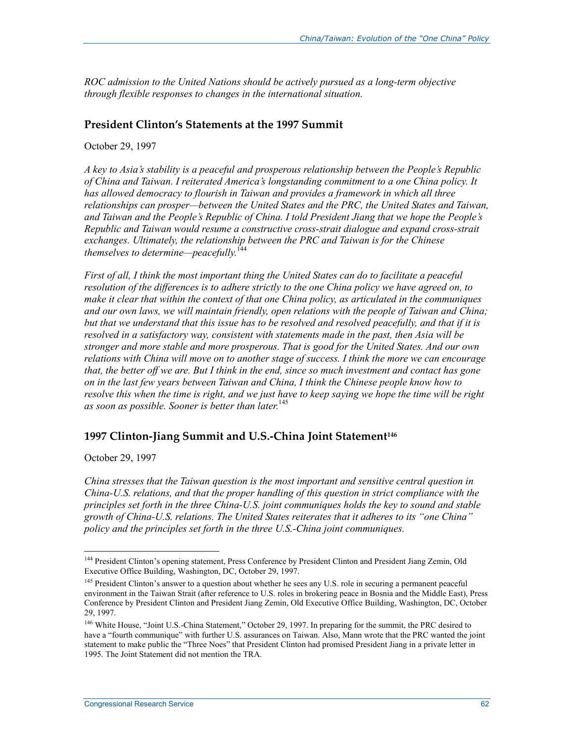*ROC admission to the United Nations should be actively pursued as a long-term objective through flexible responses to changes in the international situation.*

### **President Clinton's Statements at the 1997 Summit**

October 29, 1997

*A key to Asia's stability is a peaceful and prosperous relationship between the People's Republic of China and Taiwan. I reiterated America's longstanding commitment to a one China policy. It has allowed democracy to flourish in Taiwan and provides a framework in which all three relationships can prosper—between the United States and the PRC, the United States and Taiwan, and Taiwan and the People's Republic of China. I told President Jiang that we hope the People's Republic and Taiwan would resume a constructive cross-strait dialogue and expand cross-strait exchanges. Ultimately, the relationship between the PRC and Taiwan is for the Chinese themselves to determine—peacefully.*<sup>144</sup>

*First of all, I think the most important thing the United States can do to facilitate a peaceful resolution of the differences is to adhere strictly to the one China policy we have agreed on, to make it clear that within the context of that one China policy, as articulated in the communiques and our own laws, we will maintain friendly, open relations with the people of Taiwan and China; but that we understand that this issue has to be resolved and resolved peacefully, and that if it is resolved in a satisfactory way, consistent with statements made in the past, then Asia will be stronger and more stable and more prosperous. That is good for the United States. And our own relations with China will move on to another stage of success. I think the more we can encourage that, the better off we are. But I think in the end, since so much investment and contact has gone on in the last few years between Taiwan and China, I think the Chinese people know how to resolve this when the time is right, and we just have to keep saying we hope the time will be right as soon as possible. Sooner is better than later.*<sup>145</sup>

# **1997 Clinton-Jiang Summit and U.S.-China Joint Statement146**

October 29, 1997

1

*China stresses that the Taiwan question is the most important and sensitive central question in China-U.S. relations, and that the proper handling of this question in strict compliance with the principles set forth in the three China-U.S. joint communiques holds the key to sound and stable growth of China-U.S. relations. The United States reiterates that it adheres to its "one China" policy and the principles set forth in the three U.S.-China joint communiques.*

<sup>&</sup>lt;sup>144</sup> President Clinton's opening statement, Press Conference by President Clinton and President Jiang Zemin, Old Executive Office Building, Washington, DC, October 29, 1997.

<sup>&</sup>lt;sup>145</sup> President Clinton's answer to a question about whether he sees any U.S. role in securing a permanent peaceful environment in the Taiwan Strait (after reference to U.S. roles in brokering peace in Bosnia and the Middle East), Press Conference by President Clinton and President Jiang Zemin, Old Executive Office Building, Washington, DC, October 29, 1997.

<sup>&</sup>lt;sup>146</sup> White House, "Joint U.S.-China Statement," October 29, 1997. In preparing for the summit, the PRC desired to have a "fourth communique" with further U.S. assurances on Taiwan. Also, Mann wrote that the PRC wanted the joint statement to make public the "Three Noes" that President Clinton had promised President Jiang in a private letter in 1995. The Joint Statement did not mention the TRA.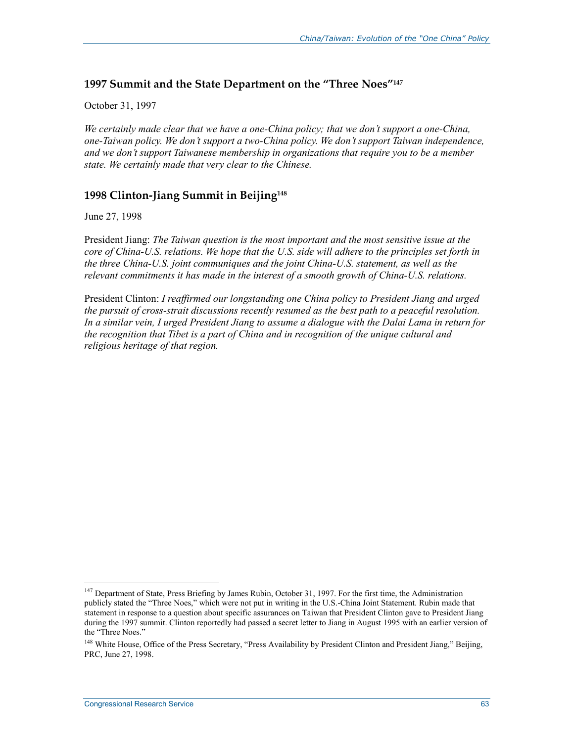### **1997 Summit and the State Department on the "Three Noes"147**

October 31, 1997

*We certainly made clear that we have a one-China policy; that we don't support a one-China, one-Taiwan policy. We don't support a two-China policy. We don't support Taiwan independence, and we don't support Taiwanese membership in organizations that require you to be a member state. We certainly made that very clear to the Chinese.*

# **1998 Clinton-Jiang Summit in Beijing148**

June 27, 1998

President Jiang: *The Taiwan question is the most important and the most sensitive issue at the core of China-U.S. relations. We hope that the U.S. side will adhere to the principles set forth in the three China-U.S. joint communiques and the joint China-U.S. statement, as well as the relevant commitments it has made in the interest of a smooth growth of China-U.S. relations.*

President Clinton: *I reaffirmed our longstanding one China policy to President Jiang and urged the pursuit of cross-strait discussions recently resumed as the best path to a peaceful resolution. In a similar vein, I urged President Jiang to assume a dialogue with the Dalai Lama in return for the recognition that Tibet is a part of China and in recognition of the unique cultural and religious heritage of that region.* 

<sup>&</sup>lt;sup>147</sup> Department of State, Press Briefing by James Rubin, October 31, 1997. For the first time, the Administration publicly stated the "Three Noes," which were not put in writing in the U.S.-China Joint Statement. Rubin made that statement in response to a question about specific assurances on Taiwan that President Clinton gave to President Jiang during the 1997 summit. Clinton reportedly had passed a secret letter to Jiang in August 1995 with an earlier version of the "Three Noes."

<sup>&</sup>lt;sup>148</sup> White House, Office of the Press Secretary, "Press Availability by President Clinton and President Jiang," Beijing, PRC, June 27, 1998.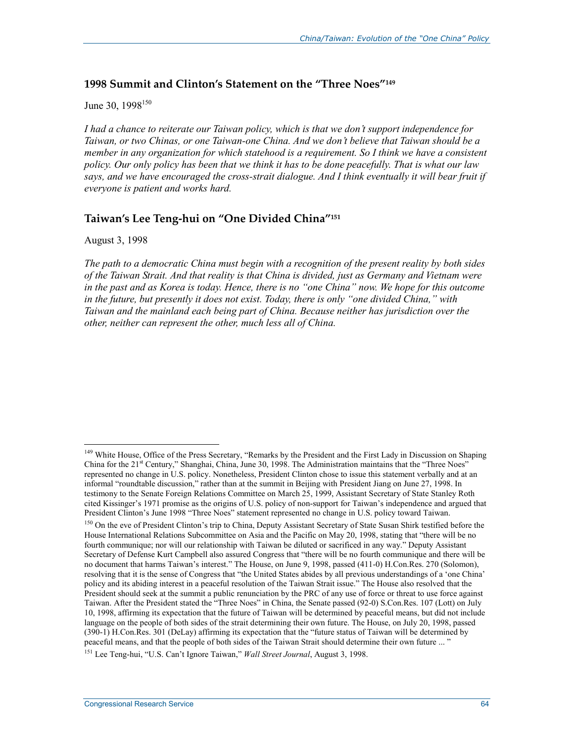### **1998 Summit and Clinton's Statement on the "Three Noes"149**

June 30, 1998<sup>150</sup>

*I had a chance to reiterate our Taiwan policy, which is that we don't support independence for Taiwan, or two Chinas, or one Taiwan-one China. And we don't believe that Taiwan should be a member in any organization for which statehood is a requirement. So I think we have a consistent policy. Our only policy has been that we think it has to be done peacefully. That is what our law says, and we have encouraged the cross-strait dialogue. And I think eventually it will bear fruit if everyone is patient and works hard.*

#### **Taiwan's Lee Teng-hui on "One Divided China"151**

August 3, 1998

<u>.</u>

*The path to a democratic China must begin with a recognition of the present reality by both sides of the Taiwan Strait. And that reality is that China is divided, just as Germany and Vietnam were in the past and as Korea is today. Hence, there is no "one China" now. We hope for this outcome in the future, but presently it does not exist. Today, there is only "one divided China," with Taiwan and the mainland each being part of China. Because neither has jurisdiction over the other, neither can represent the other, much less all of China.*

<sup>&</sup>lt;sup>149</sup> White House, Office of the Press Secretary, "Remarks by the President and the First Lady in Discussion on Shaping China for the  $21^{st}$  Century," Shanghai, China, June 30, 1998. The Administration maintains that the "Three Noes" represented no change in U.S. policy. Nonetheless, President Clinton chose to issue this statement verbally and at an informal "roundtable discussion," rather than at the summit in Beijing with President Jiang on June 27, 1998. In testimony to the Senate Foreign Relations Committee on March 25, 1999, Assistant Secretary of State Stanley Roth cited Kissinger's 1971 promise as the origins of U.S. policy of non-support for Taiwan's independence and argued that President Clinton's June 1998 "Three Noes" statement represented no change in U.S. policy toward Taiwan.

<sup>&</sup>lt;sup>150</sup> On the eve of President Clinton's trip to China, Deputy Assistant Secretary of State Susan Shirk testified before the House International Relations Subcommittee on Asia and the Pacific on May 20, 1998, stating that "there will be no fourth communique; nor will our relationship with Taiwan be diluted or sacrificed in any way." Deputy Assistant Secretary of Defense Kurt Campbell also assured Congress that "there will be no fourth communique and there will be no document that harms Taiwan's interest." The House, on June 9, 1998, passed (411-0) H.Con.Res. 270 (Solomon), resolving that it is the sense of Congress that "the United States abides by all previous understandings of a 'one China' policy and its abiding interest in a peaceful resolution of the Taiwan Strait issue." The House also resolved that the President should seek at the summit a public renunciation by the PRC of any use of force or threat to use force against Taiwan. After the President stated the "Three Noes" in China, the Senate passed (92-0) S.Con.Res. 107 (Lott) on July 10, 1998, affirming its expectation that the future of Taiwan will be determined by peaceful means, but did not include language on the people of both sides of the strait determining their own future. The House, on July 20, 1998, passed (390-1) H.Con.Res. 301 (DeLay) affirming its expectation that the "future status of Taiwan will be determined by peaceful means, and that the people of both sides of the Taiwan Strait should determine their own future ... "

<sup>151</sup> Lee Teng-hui, "U.S. Can't Ignore Taiwan," *Wall Street Journal*, August 3, 1998.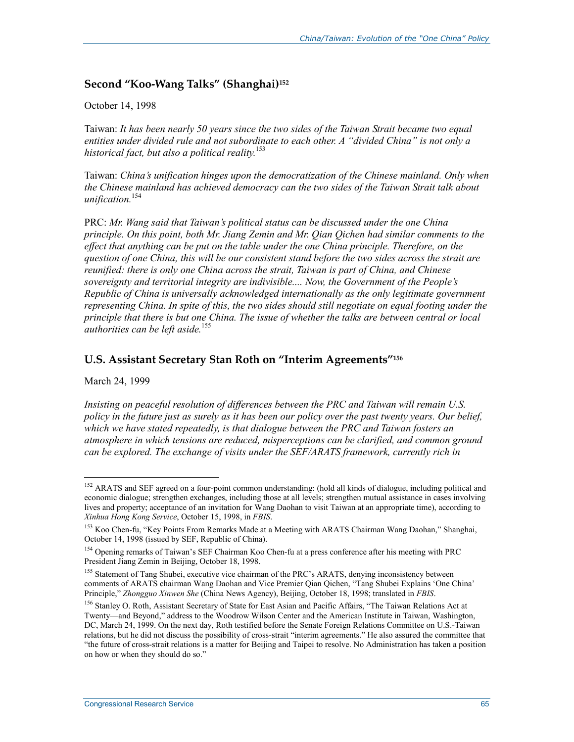# **Second "Koo-Wang Talks" (Shanghai)152**

October 14, 1998

Taiwan: *It has been nearly 50 years since the two sides of the Taiwan Strait became two equal entities under divided rule and not subordinate to each other. A "divided China" is not only a historical fact, but also a political reality.*<sup>153</sup>

Taiwan: *China's unification hinges upon the democratization of the Chinese mainland. Only when the Chinese mainland has achieved democracy can the two sides of the Taiwan Strait talk about unification.*<sup>154</sup>

PRC: *Mr. Wang said that Taiwan's political status can be discussed under the one China principle. On this point, both Mr. Jiang Zemin and Mr. Qian Qichen had similar comments to the effect that anything can be put on the table under the one China principle. Therefore, on the question of one China, this will be our consistent stand before the two sides across the strait are reunified: there is only one China across the strait, Taiwan is part of China, and Chinese sovereignty and territorial integrity are indivisible.... Now, the Government of the People's Republic of China is universally acknowledged internationally as the only legitimate government representing China. In spite of this, the two sides should still negotiate on equal footing under the principle that there is but one China. The issue of whether the talks are between central or local authorities can be left aside.*<sup>155</sup>

### **U.S. Assistant Secretary Stan Roth on "Interim Agreements"156**

March 24, 1999

1

*Insisting on peaceful resolution of differences between the PRC and Taiwan will remain U.S. policy in the future just as surely as it has been our policy over the past twenty years. Our belief, which we have stated repeatedly, is that dialogue between the PRC and Taiwan fosters an atmosphere in which tensions are reduced, misperceptions can be clarified, and common ground can be explored. The exchange of visits under the SEF/ARATS framework, currently rich in* 

<sup>&</sup>lt;sup>152</sup> ARATS and SEF agreed on a four-point common understanding: (hold all kinds of dialogue, including political and economic dialogue; strengthen exchanges, including those at all levels; strengthen mutual assistance in cases involving lives and property; acceptance of an invitation for Wang Daohan to visit Taiwan at an appropriate time), according to *Xinhua Hong Kong Service*, October 15, 1998, in *FBIS*.

<sup>&</sup>lt;sup>153</sup> Koo Chen-fu, "Key Points From Remarks Made at a Meeting with ARATS Chairman Wang Daohan," Shanghai, October 14, 1998 (issued by SEF, Republic of China).

<sup>&</sup>lt;sup>154</sup> Opening remarks of Taiwan's SEF Chairman Koo Chen-fu at a press conference after his meeting with PRC President Jiang Zemin in Beijing, October 18, 1998.

<sup>&</sup>lt;sup>155</sup> Statement of Tang Shubei, executive vice chairman of the PRC's ARATS, denying inconsistency between comments of ARATS chairman Wang Daohan and Vice Premier Qian Qichen, "Tang Shubei Explains 'One China' Principle," *Zhongguo Xinwen She* (China News Agency), Beijing, October 18, 1998; translated in *FBIS*.

<sup>&</sup>lt;sup>156</sup> Stanley O. Roth, Assistant Secretary of State for East Asian and Pacific Affairs, "The Taiwan Relations Act at Twenty—and Beyond," address to the Woodrow Wilson Center and the American Institute in Taiwan, Washington, DC, March 24, 1999. On the next day, Roth testified before the Senate Foreign Relations Committee on U.S.-Taiwan relations, but he did not discuss the possibility of cross-strait "interim agreements." He also assured the committee that "the future of cross-strait relations is a matter for Beijing and Taipei to resolve. No Administration has taken a position on how or when they should do so."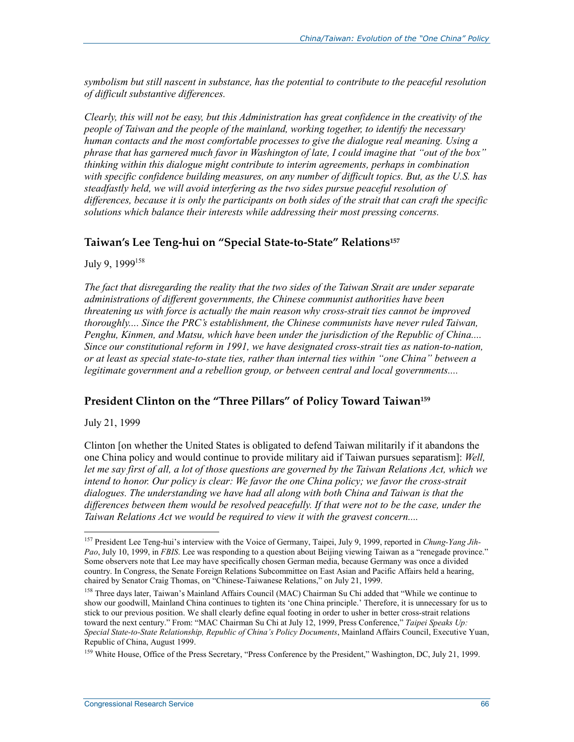*symbolism but still nascent in substance, has the potential to contribute to the peaceful resolution of difficult substantive differences.* 

*Clearly, this will not be easy, but this Administration has great confidence in the creativity of the people of Taiwan and the people of the mainland, working together, to identify the necessary human contacts and the most comfortable processes to give the dialogue real meaning. Using a phrase that has garnered much favor in Washington of late, I could imagine that "out of the box" thinking within this dialogue might contribute to interim agreements, perhaps in combination with specific confidence building measures, on any number of difficult topics. But, as the U.S. has steadfastly held, we will avoid interfering as the two sides pursue peaceful resolution of differences, because it is only the participants on both sides of the strait that can craft the specific solutions which balance their interests while addressing their most pressing concerns.*

# **Taiwan's Lee Teng-hui on "Special State-to-State" Relations157**

July 9, 1999<sup>158</sup>

*The fact that disregarding the reality that the two sides of the Taiwan Strait are under separate administrations of different governments, the Chinese communist authorities have been threatening us with force is actually the main reason why cross-strait ties cannot be improved thoroughly.... Since the PRC's establishment, the Chinese communists have never ruled Taiwan, Penghu, Kinmen, and Matsu, which have been under the jurisdiction of the Republic of China.... Since our constitutional reform in 1991, we have designated cross-strait ties as nation-to-nation, or at least as special state-to-state ties, rather than internal ties within "one China" between a legitimate government and a rebellion group, or between central and local governments....*

# President Clinton on the "Three Pillars" of Policy Toward Taiwan<sup>159</sup>

July 21, 1999

1

Clinton [on whether the United States is obligated to defend Taiwan militarily if it abandons the one China policy and would continue to provide military aid if Taiwan pursues separatism]: *Well, let me say first of all, a lot of those questions are governed by the Taiwan Relations Act, which we intend to honor. Our policy is clear: We favor the one China policy; we favor the cross-strait dialogues. The understanding we have had all along with both China and Taiwan is that the*  differences between them would be resolved peacefully. If that were not to be the case, under the *Taiwan Relations Act we would be required to view it with the gravest concern....*

<sup>157</sup> President Lee Teng-hui's interview with the Voice of Germany, Taipei, July 9, 1999, reported in *Chung-Yang Jih-Pao*, July 10, 1999, in *FBIS*. Lee was responding to a question about Beijing viewing Taiwan as a "renegade province." Some observers note that Lee may have specifically chosen German media, because Germany was once a divided country. In Congress, the Senate Foreign Relations Subcommittee on East Asian and Pacific Affairs held a hearing, chaired by Senator Craig Thomas, on "Chinese-Taiwanese Relations," on July 21, 1999.

<sup>&</sup>lt;sup>158</sup> Three days later, Taiwan's Mainland Affairs Council (MAC) Chairman Su Chi added that "While we continue to show our goodwill, Mainland China continues to tighten its 'one China principle.' Therefore, it is unnecessary for us to stick to our previous position. We shall clearly define equal footing in order to usher in better cross-strait relations toward the next century." From: "MAC Chairman Su Chi at July 12, 1999, Press Conference," *Taipei Speaks Up: Special State-to-State Relationship, Republic of China's Policy Documents*, Mainland Affairs Council, Executive Yuan, Republic of China, August 1999.

<sup>&</sup>lt;sup>159</sup> White House, Office of the Press Secretary, "Press Conference by the President," Washington, DC, July 21, 1999.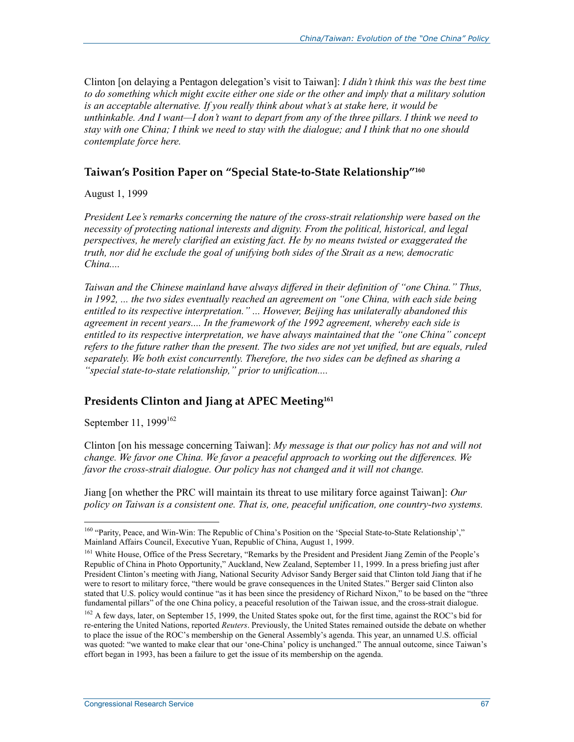Clinton [on delaying a Pentagon delegation's visit to Taiwan]: *I didn't think this was the best time to do something which might excite either one side or the other and imply that a military solution is an acceptable alternative. If you really think about what's at stake here, it would be unthinkable. And I want—I don't want to depart from any of the three pillars. I think we need to stay with one China; I think we need to stay with the dialogue; and I think that no one should contemplate force here.*

# **Taiwan's Position Paper on "Special State-to-State Relationship"160**

August 1, 1999

*President Lee's remarks concerning the nature of the cross-strait relationship were based on the necessity of protecting national interests and dignity. From the political, historical, and legal perspectives, he merely clarified an existing fact. He by no means twisted or exaggerated the truth, nor did he exclude the goal of unifying both sides of the Strait as a new, democratic China....* 

*Taiwan and the Chinese mainland have always differed in their definition of "one China." Thus, in 1992, ... the two sides eventually reached an agreement on "one China, with each side being entitled to its respective interpretation." ... However, Beijing has unilaterally abandoned this agreement in recent years.... In the framework of the 1992 agreement, whereby each side is entitled to its respective interpretation, we have always maintained that the "one China" concept refers to the future rather than the present. The two sides are not yet unified, but are equals, ruled separately. We both exist concurrently. Therefore, the two sides can be defined as sharing a "special state-to-state relationship," prior to unification....*

# **Presidents Clinton and Jiang at APEC Meeting161**

September 11, 1999 $^{162}$ 

<u>.</u>

Clinton [on his message concerning Taiwan]: *My message is that our policy has not and will not change. We favor one China. We favor a peaceful approach to working out the differences. We favor the cross-strait dialogue. Our policy has not changed and it will not change.*

Jiang [on whether the PRC will maintain its threat to use military force against Taiwan]: *Our policy on Taiwan is a consistent one. That is, one, peaceful unification, one country-two systems.* 

<sup>&</sup>lt;sup>160</sup> "Parity, Peace, and Win-Win: The Republic of China's Position on the 'Special State-to-State Relationship'," Mainland Affairs Council, Executive Yuan, Republic of China, August 1, 1999.

<sup>&</sup>lt;sup>161</sup> White House, Office of the Press Secretary, "Remarks by the President and President Jiang Zemin of the People's Republic of China in Photo Opportunity," Auckland, New Zealand, September 11, 1999. In a press briefing just after President Clinton's meeting with Jiang, National Security Advisor Sandy Berger said that Clinton told Jiang that if he were to resort to military force, "there would be grave consequences in the United States." Berger said Clinton also stated that U.S. policy would continue "as it has been since the presidency of Richard Nixon," to be based on the "three fundamental pillars" of the one China policy, a peaceful resolution of the Taiwan issue, and the cross-strait dialogue.

<sup>&</sup>lt;sup>162</sup> A few days, later, on September 15, 1999, the United States spoke out, for the first time, against the ROC's bid for re-entering the United Nations, reported *Reuters*. Previously, the United States remained outside the debate on whether to place the issue of the ROC's membership on the General Assembly's agenda. This year, an unnamed U.S. official was quoted: "we wanted to make clear that our 'one-China' policy is unchanged." The annual outcome, since Taiwan's effort began in 1993, has been a failure to get the issue of its membership on the agenda.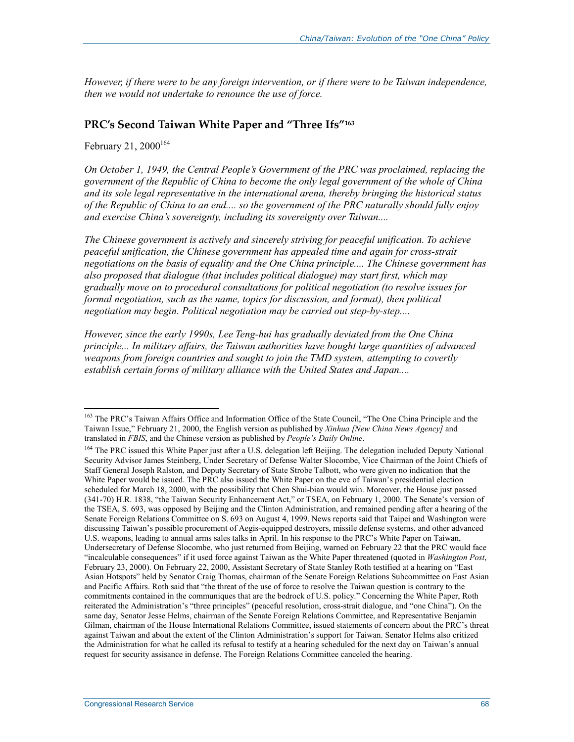*However, if there were to be any foreign intervention, or if there were to be Taiwan independence, then we would not undertake to renounce the use of force.*

### **PRC's Second Taiwan White Paper and "Three Ifs"163**

February 21, 2000<sup>164</sup>

1

*On October 1, 1949, the Central People's Government of the PRC was proclaimed, replacing the government of the Republic of China to become the only legal government of the whole of China and its sole legal representative in the international arena, thereby bringing the historical status of the Republic of China to an end.... so the government of the PRC naturally should fully enjoy and exercise China's sovereignty, including its sovereignty over Taiwan....* 

*The Chinese government is actively and sincerely striving for peaceful unification. To achieve peaceful unification, the Chinese government has appealed time and again for cross-strait negotiations on the basis of equality and the One China principle.... The Chinese government has also proposed that dialogue (that includes political dialogue) may start first, which may gradually move on to procedural consultations for political negotiation (to resolve issues for formal negotiation, such as the name, topics for discussion, and format), then political negotiation may begin. Political negotiation may be carried out step-by-step....* 

*However, since the early 1990s, Lee Teng-hui has gradually deviated from the One China principle... In military affairs, the Taiwan authorities have bought large quantities of advanced weapons from foreign countries and sought to join the TMD system, attempting to covertly establish certain forms of military alliance with the United States and Japan....* 

<sup>&</sup>lt;sup>163</sup> The PRC's Taiwan Affairs Office and Information Office of the State Council, "The One China Principle and the Taiwan Issue," February 21, 2000, the English version as published by *Xinhua [New China News Agency]* and translated in *FBIS*, and the Chinese version as published by *People's Daily Online*.

<sup>&</sup>lt;sup>164</sup> The PRC issued this White Paper just after a U.S. delegation left Beijing. The delegation included Deputy National Security Advisor James Steinberg, Under Secretary of Defense Walter Slocombe, Vice Chairman of the Joint Chiefs of Staff General Joseph Ralston, and Deputy Secretary of State Strobe Talbott, who were given no indication that the White Paper would be issued. The PRC also issued the White Paper on the eve of Taiwan's presidential election scheduled for March 18, 2000, with the possibility that Chen Shui-bian would win. Moreover, the House just passed (341-70) H.R. 1838, "the Taiwan Security Enhancement Act," or TSEA, on February 1, 2000. The Senate's version of the TSEA, S. 693, was opposed by Beijing and the Clinton Administration, and remained pending after a hearing of the Senate Foreign Relations Committee on S. 693 on August 4, 1999. News reports said that Taipei and Washington were discussing Taiwan's possible procurement of Aegis-equipped destroyers, missile defense systems, and other advanced U.S. weapons, leading to annual arms sales talks in April. In his response to the PRC's White Paper on Taiwan, Undersecretary of Defense Slocombe, who just returned from Beijing, warned on February 22 that the PRC would face "incalculable consequences" if it used force against Taiwan as the White Paper threatened (quoted in *Washington Post*, February 23, 2000). On February 22, 2000, Assistant Secretary of State Stanley Roth testified at a hearing on "East Asian Hotspots" held by Senator Craig Thomas, chairman of the Senate Foreign Relations Subcommittee on East Asian and Pacific Affairs. Roth said that "the threat of the use of force to resolve the Taiwan question is contrary to the commitments contained in the communiques that are the bedrock of U.S. policy." Concerning the White Paper, Roth reiterated the Administration's "three principles" (peaceful resolution, cross-strait dialogue, and "one China"). On the same day, Senator Jesse Helms, chairman of the Senate Foreign Relations Committee, and Representative Benjamin Gilman, chairman of the House International Relations Committee, issued statements of concern about the PRC's threat against Taiwan and about the extent of the Clinton Administration's support for Taiwan. Senator Helms also critized the Administration for what he called its refusal to testify at a hearing scheduled for the next day on Taiwan's annual request for security assisance in defense. The Foreign Relations Committee canceled the hearing.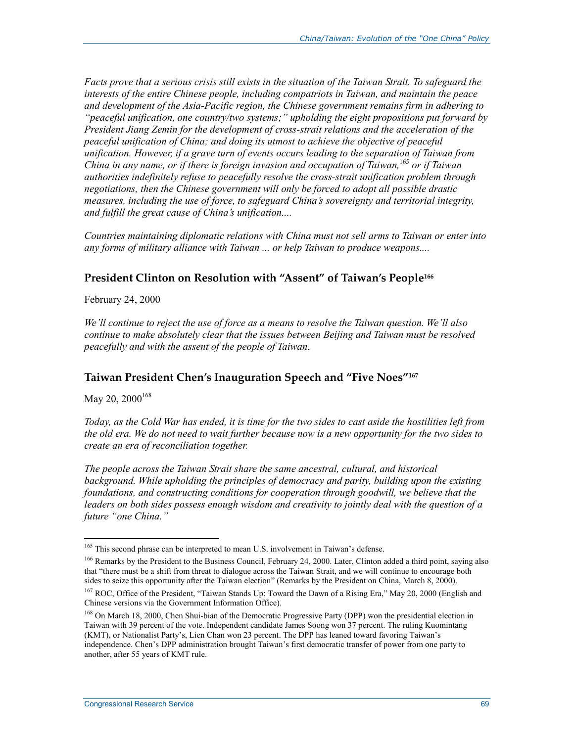*Facts prove that a serious crisis still exists in the situation of the Taiwan Strait. To safeguard the interests of the entire Chinese people, including compatriots in Taiwan, and maintain the peace and development of the Asia-Pacific region, the Chinese government remains firm in adhering to "peaceful unification, one country/two systems;" upholding the eight propositions put forward by President Jiang Zemin for the development of cross-strait relations and the acceleration of the peaceful unification of China; and doing its utmost to achieve the objective of peaceful unification. However, if a grave turn of events occurs leading to the separation of Taiwan from China in any name, or if there is foreign invasion and occupation of Taiwan,*<sup>165</sup> *or if Taiwan authorities indefinitely refuse to peacefully resolve the cross-strait unification problem through negotiations, then the Chinese government will only be forced to adopt all possible drastic measures, including the use of force, to safeguard China's sovereignty and territorial integrity, and fulfill the great cause of China's unification....* 

*Countries maintaining diplomatic relations with China must not sell arms to Taiwan or enter into any forms of military alliance with Taiwan ... or help Taiwan to produce weapons....*

# **President Clinton on Resolution with "Assent" of Taiwan's People166**

February 24, 2000

*We'll continue to reject the use of force as a means to resolve the Taiwan question. We'll also continue to make absolutely clear that the issues between Beijing and Taiwan must be resolved peacefully and with the assent of the people of Taiwan*.

# **Taiwan President Chen's Inauguration Speech and "Five Noes"167**

May 20, 2000<sup>168</sup>

*Today, as the Cold War has ended, it is time for the two sides to cast aside the hostilities left from the old era. We do not need to wait further because now is a new opportunity for the two sides to create an era of reconciliation together.* 

*The people across the Taiwan Strait share the same ancestral, cultural, and historical background. While upholding the principles of democracy and parity, building upon the existing foundations, and constructing conditions for cooperation through goodwill, we believe that the leaders on both sides possess enough wisdom and creativity to jointly deal with the question of a future "one China."* 

<sup>&</sup>lt;u>.</u> <sup>165</sup> This second phrase can be interpreted to mean U.S. involvement in Taiwan's defense.

<sup>166</sup> Remarks by the President to the Business Council, February 24, 2000. Later, Clinton added a third point, saying also that "there must be a shift from threat to dialogue across the Taiwan Strait, and we will continue to encourage both sides to seize this opportunity after the Taiwan election" (Remarks by the President on China, March 8, 2000). <sup>167</sup> ROC, Office of the President, "Taiwan Stands Up: Toward the Dawn of a Rising Era," May 20, 2000 (English and Chinese versions via the Government Information Office).

<sup>&</sup>lt;sup>168</sup> On March 18, 2000, Chen Shui-bian of the Democratic Progressive Party (DPP) won the presidential election in Taiwan with 39 percent of the vote. Independent candidate James Soong won 37 percent. The ruling Kuomintang (KMT), or Nationalist Party's, Lien Chan won 23 percent. The DPP has leaned toward favoring Taiwan's independence. Chen's DPP administration brought Taiwan's first democratic transfer of power from one party to another, after 55 years of KMT rule.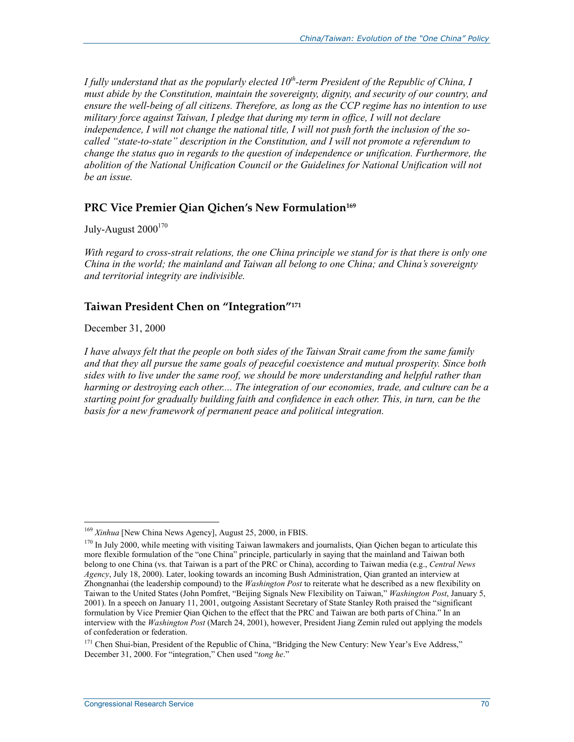*I fully understand that as the popularly elected 10<sup>th</sup>-term President of the Republic of China, I must abide by the Constitution, maintain the sovereignty, dignity, and security of our country, and ensure the well-being of all citizens. Therefore, as long as the CCP regime has no intention to use military force against Taiwan, I pledge that during my term in office, I will not declare independence, I will not change the national title, I will not push forth the inclusion of the socalled "state-to-state" description in the Constitution, and I will not promote a referendum to change the status quo in regards to the question of independence or unification. Furthermore, the abolition of the National Unification Council or the Guidelines for National Unification will not be an issue.*

# PRC Vice Premier Qian Qichen's New Formulation<sup>169</sup>

July-August 2000<sup>170</sup>

*With regard to cross-strait relations, the one China principle we stand for is that there is only one China in the world; the mainland and Taiwan all belong to one China; and China's sovereignty and territorial integrity are indivisible.*

# **Taiwan President Chen on "Integration"171**

December 31, 2000

*I have always felt that the people on both sides of the Taiwan Strait came from the same family and that they all pursue the same goals of peaceful coexistence and mutual prosperity. Since both sides with to live under the same roof, we should be more understanding and helpful rather than harming or destroying each other.... The integration of our economies, trade, and culture can be a starting point for gradually building faith and confidence in each other. This, in turn, can be the basis for a new framework of permanent peace and political integration.* 

<sup>&</sup>lt;u>.</u> <sup>169</sup> *Xinhua* [New China News Agency], August 25, 2000, in FBIS.

<sup>&</sup>lt;sup>170</sup> In July 2000, while meeting with visiting Taiwan lawmakers and journalists, Qian Qichen began to articulate this more flexible formulation of the "one China" principle, particularly in saying that the mainland and Taiwan both belong to one China (vs. that Taiwan is a part of the PRC or China), according to Taiwan media (e.g., *Central News Agency*, July 18, 2000). Later, looking towards an incoming Bush Administration, Qian granted an interview at Zhongnanhai (the leadership compound) to the *Washington Post* to reiterate what he described as a new flexibility on Taiwan to the United States (John Pomfret, "Beijing Signals New Flexibility on Taiwan," *Washington Post*, January 5, 2001). In a speech on January 11, 2001, outgoing Assistant Secretary of State Stanley Roth praised the "significant formulation by Vice Premier Qian Qichen to the effect that the PRC and Taiwan are both parts of China." In an interview with the *Washington Post* (March 24, 2001), however, President Jiang Zemin ruled out applying the models of confederation or federation.

<sup>&</sup>lt;sup>171</sup> Chen Shui-bian, President of the Republic of China, "Bridging the New Century: New Year's Eve Address," December 31, 2000. For "integration," Chen used "*tong he*."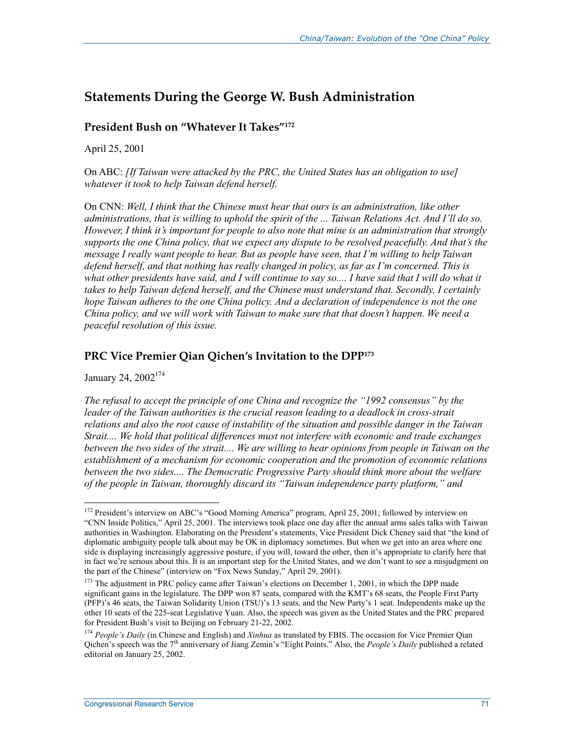# **Statements During the George W. Bush Administration**

## **President Bush on "Whatever It Takes"172**

April 25, 2001

On ABC: *[If Taiwan were attacked by the PRC, the United States has an obligation to use] whatever it took to help Taiwan defend herself.*

On CNN: *Well, I think that the Chinese must hear that ours is an administration, like other administrations, that is willing to uphold the spirit of the ... Taiwan Relations Act. And I'll do so. However, I think it's important for people to also note that mine is an administration that strongly supports the one China policy, that we expect any dispute to be resolved peacefully. And that's the message I really want people to hear. But as people have seen, that I'm willing to help Taiwan defend herself, and that nothing has really changed in policy, as far as I'm concerned. This is*  what other presidents have said, and I will continue to say so.... I have said that I will do what it *takes to help Taiwan defend herself, and the Chinese must understand that. Secondly, I certainly hope Taiwan adheres to the one China policy. And a declaration of independence is not the one China policy, and we will work with Taiwan to make sure that that doesn't happen. We need a peaceful resolution of this issue.*

# **PRC Vice Premier Qian Qichen's Invitation to the DPP173**

January 24, 2002<sup>174</sup>

1

*The refusal to accept the principle of one China and recognize the "1992 consensus" by the*  leader of the Taiwan authorities is the crucial reason leading to a deadlock in cross-strait *relations and also the root cause of instability of the situation and possible danger in the Taiwan Strait.... We hold that political differences must not interfere with economic and trade exchanges*  between the two sides of the strait.... We are willing to hear opinions from people in Taiwan on the *establishment of a mechanism for economic cooperation and the promotion of economic relations between the two sides.... The Democratic Progressive Party should think more about the welfare of the people in Taiwan, thoroughly discard its "Taiwan independence party platform," and* 

<sup>&</sup>lt;sup>172</sup> President's interview on ABC's "Good Morning America" program, April 25, 2001; followed by interview on "CNN Inside Politics," April 25, 2001. The interviews took place one day after the annual arms sales talks with Taiwan authorities in Washington. Elaborating on the President's statements, Vice President Dick Cheney said that "the kind of diplomatic ambiguity people talk about may be OK in diplomacy sometimes. But when we get into an area where one side is displaying increasingly aggressive posture, if you will, toward the other, then it's appropriate to clarify here that in fact we're serious about this. It is an important step for the United States, and we don't want to see a misjudgment on the part of the Chinese" (interview on "Fox News Sunday," April 29, 2001).

<sup>&</sup>lt;sup>173</sup> The adjustment in PRC policy came after Taiwan's elections on December 1, 2001, in which the DPP made significant gains in the legislature. The DPP won 87 seats, compared with the KMT's 68 seats, the People First Party (PFP)'s 46 seats, the Taiwan Solidarity Union (TSU)'s 13 seats, and the New Party's 1 seat. Independents make up the other 10 seats of the 225-seat Legislative Yuan. Also, the speech was given as the United States and the PRC prepared for President Bush's visit to Beijing on February 21-22, 2002.

<sup>&</sup>lt;sup>174</sup> People's Daily (in Chinese and English) and *Xinhua* as translated by FBIS. The occasion for Vice Premier Qian Qichen's speech was the 7th anniversary of Jiang Zemin's "Eight Points." Also, the *People's Daily* published a related editorial on January 25, 2002.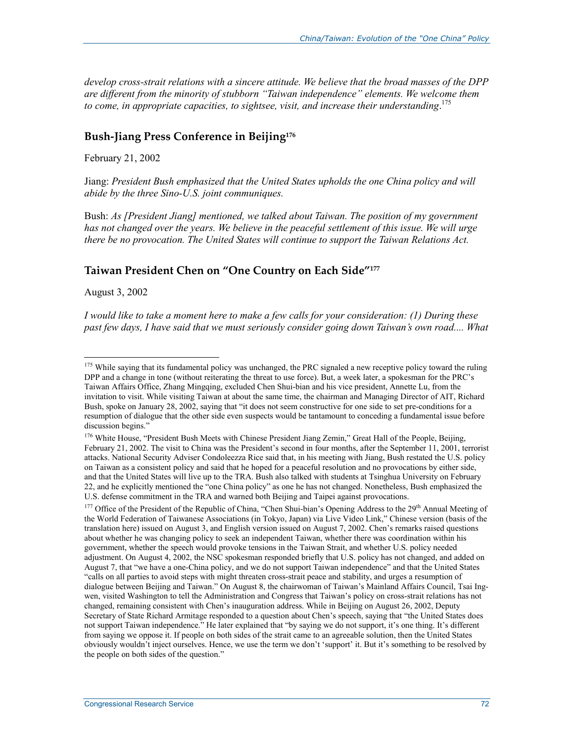*develop cross-strait relations with a sincere attitude. We believe that the broad masses of the DPP are different from the minority of stubborn "Taiwan independence" elements. We welcome them to come, in appropriate capacities, to sightsee, visit, and increase their understanding*. 175

# **Bush-Jiang Press Conference in Beijing176**

#### February 21, 2002

Jiang: *President Bush emphasized that the United States upholds the one China policy and will abide by the three Sino-U.S. joint communiques.*

Bush: *As [President Jiang] mentioned, we talked about Taiwan. The position of my government has not changed over the years. We believe in the peaceful settlement of this issue. We will urge there be no provocation. The United States will continue to support the Taiwan Relations Act.*

# **Taiwan President Chen on "One Country on Each Side"177**

August 3, 2002

1

*I would like to take a moment here to make a few calls for your consideration: (1) During these past few days, I have said that we must seriously consider going down Taiwan's own road.... What* 

<sup>&</sup>lt;sup>175</sup> While saying that its fundamental policy was unchanged, the PRC signaled a new receptive policy toward the ruling DPP and a change in tone (without reiterating the threat to use force). But, a week later, a spokesman for the PRC's Taiwan Affairs Office, Zhang Mingqing, excluded Chen Shui-bian and his vice president, Annette Lu, from the invitation to visit. While visiting Taiwan at about the same time, the chairman and Managing Director of AIT, Richard Bush, spoke on January 28, 2002, saying that "it does not seem constructive for one side to set pre-conditions for a resumption of dialogue that the other side even suspects would be tantamount to conceding a fundamental issue before discussion begins."

<sup>&</sup>lt;sup>176</sup> White House, "President Bush Meets with Chinese President Jiang Zemin," Great Hall of the People, Beijing, February 21, 2002. The visit to China was the President's second in four months, after the September 11, 2001, terrorist attacks. National Security Adviser Condoleezza Rice said that, in his meeting with Jiang, Bush restated the U.S. policy on Taiwan as a consistent policy and said that he hoped for a peaceful resolution and no provocations by either side, and that the United States will live up to the TRA. Bush also talked with students at Tsinghua University on February 22, and he explicitly mentioned the "one China policy" as one he has not changed. Nonetheless, Bush emphasized the U.S. defense commitment in the TRA and warned both Beijing and Taipei against provocations.

<sup>&</sup>lt;sup>177</sup> Office of the President of the Republic of China, "Chen Shui-bian's Opening Address to the  $29<sup>th</sup>$  Annual Meeting of the World Federation of Taiwanese Associations (in Tokyo, Japan) via Live Video Link," Chinese version (basis of the translation here) issued on August 3, and English version issued on August 7, 2002. Chen's remarks raised questions about whether he was changing policy to seek an independent Taiwan, whether there was coordination within his government, whether the speech would provoke tensions in the Taiwan Strait, and whether U.S. policy needed adjustment. On August 4, 2002, the NSC spokesman responded briefly that U.S. policy has not changed, and added on August 7, that "we have a one-China policy, and we do not support Taiwan independence" and that the United States "calls on all parties to avoid steps with might threaten cross-strait peace and stability, and urges a resumption of dialogue between Beijing and Taiwan." On August 8, the chairwoman of Taiwan's Mainland Affairs Council, Tsai Ingwen, visited Washington to tell the Administration and Congress that Taiwan's policy on cross-strait relations has not changed, remaining consistent with Chen's inauguration address. While in Beijing on August 26, 2002, Deputy Secretary of State Richard Armitage responded to a question about Chen's speech, saying that "the United States does not support Taiwan independence." He later explained that "by saying we do not support, it's one thing. It's different from saying we oppose it. If people on both sides of the strait came to an agreeable solution, then the United States obviously wouldn't inject ourselves. Hence, we use the term we don't 'support' it. But it's something to be resolved by the people on both sides of the question."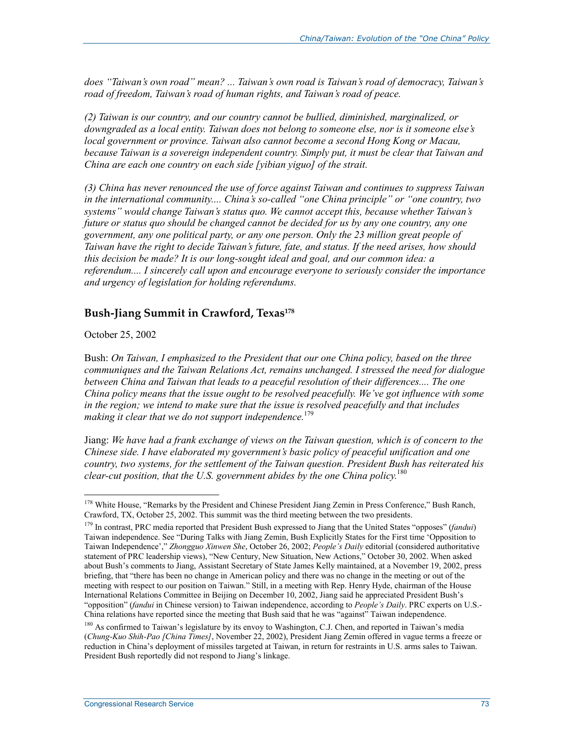*does "Taiwan's own road" mean? ... Taiwan's own road is Taiwan's road of democracy, Taiwan's road of freedom, Taiwan's road of human rights, and Taiwan's road of peace.* 

*(2) Taiwan is our country, and our country cannot be bullied, diminished, marginalized, or downgraded as a local entity. Taiwan does not belong to someone else, nor is it someone else's local government or province. Taiwan also cannot become a second Hong Kong or Macau, because Taiwan is a sovereign independent country. Simply put, it must be clear that Taiwan and China are each one country on each side [yibian yiguo] of the strait.* 

*(3) China has never renounced the use of force against Taiwan and continues to suppress Taiwan in the international community.... China's so-called "one China principle" or "one country, two systems" would change Taiwan's status quo. We cannot accept this, because whether Taiwan's future or status quo should be changed cannot be decided for us by any one country, any one government, any one political party, or any one person. Only the 23 million great people of Taiwan have the right to decide Taiwan's future, fate, and status. If the need arises, how should this decision be made? It is our long-sought ideal and goal, and our common idea: a referendum.... I sincerely call upon and encourage everyone to seriously consider the importance and urgency of legislation for holding referendums.*

# **Bush-Jiang Summit in Crawford, Texas178**

October 25, 2002

1

Bush: *On Taiwan, I emphasized to the President that our one China policy, based on the three communiques and the Taiwan Relations Act, remains unchanged. I stressed the need for dialogue between China and Taiwan that leads to a peaceful resolution of their differences.... The one China policy means that the issue ought to be resolved peacefully. We've got influence with some in the region; we intend to make sure that the issue is resolved peacefully and that includes making it clear that we do not support independence.*<sup>179</sup>

Jiang: *We have had a frank exchange of views on the Taiwan question, which is of concern to the Chinese side. I have elaborated my government's basic policy of peaceful unification and one country, two systems, for the settlement of the Taiwan question. President Bush has reiterated his clear-cut position, that the U.S. government abides by the one China policy.*<sup>180</sup>

<sup>&</sup>lt;sup>178</sup> White House, "Remarks by the President and Chinese President Jiang Zemin in Press Conference," Bush Ranch, Crawford, TX, October 25, 2002. This summit was the third meeting between the two presidents.

<sup>&</sup>lt;sup>179</sup> In contrast, PRC media reported that President Bush expressed to Jiang that the United States "opposes" (*fandui*) Taiwan independence. See "During Talks with Jiang Zemin, Bush Explicitly States for the First time 'Opposition to Taiwan Independence'," *Zhongguo Xinwen She*, October 26, 2002; *People's Daily* editorial (considered authoritative statement of PRC leadership views), "New Century, New Situation, New Actions," October 30, 2002. When asked about Bush's comments to Jiang, Assistant Secretary of State James Kelly maintained, at a November 19, 2002, press briefing, that "there has been no change in American policy and there was no change in the meeting or out of the meeting with respect to our position on Taiwan." Still, in a meeting with Rep. Henry Hyde, chairman of the House International Relations Committee in Beijing on December 10, 2002, Jiang said he appreciated President Bush's "opposition" (*fandui* in Chinese version) to Taiwan independence, according to *People's Daily*. PRC experts on U.S.- China relations have reported since the meeting that Bush said that he was "against" Taiwan independence.

<sup>&</sup>lt;sup>180</sup> As confirmed to Taiwan's legislature by its envoy to Washington, C.J. Chen, and reported in Taiwan's media (*Chung-Kuo Shih-Pao [China Times]*, November 22, 2002), President Jiang Zemin offered in vague terms a freeze or reduction in China's deployment of missiles targeted at Taiwan, in return for restraints in U.S. arms sales to Taiwan. President Bush reportedly did not respond to Jiang's linkage.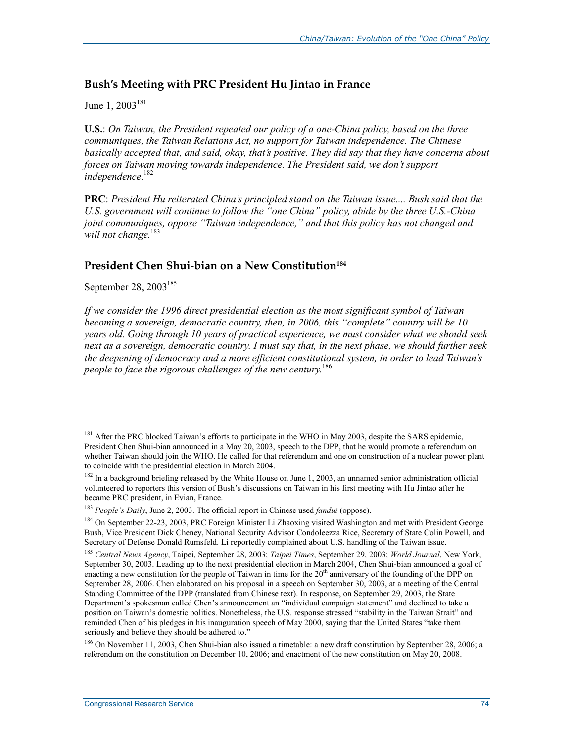# **Bush's Meeting with PRC President Hu Jintao in France**

June 1, 2003<sup>181</sup>

**U.S.**: *On Taiwan, the President repeated our policy of a one-China policy, based on the three communiques, the Taiwan Relations Act, no support for Taiwan independence. The Chinese basically accepted that, and said, okay, that's positive. They did say that they have concerns about forces on Taiwan moving towards independence. The President said, we don't support independence.*<sup>182</sup>

**PRC**: *President Hu reiterated China's principled stand on the Taiwan issue.... Bush said that the U.S. government will continue to follow the "one China" policy, abide by the three U.S.-China joint communiques, oppose "Taiwan independence," and that this policy has not changed and will not change.*<sup>183</sup>

# **President Chen Shui-bian on a New Constitution184**

September 28, 2003<sup>185</sup>

*If we consider the 1996 direct presidential election as the most significant symbol of Taiwan becoming a sovereign, democratic country, then, in 2006, this "complete" country will be 10 years old. Going through 10 years of practical experience, we must consider what we should seek next as a sovereign, democratic country. I must say that, in the next phase, we should further seek the deepening of democracy and a more efficient constitutional system, in order to lead Taiwan's people to face the rigorous challenges of the new century.*<sup>186</sup>

<sup>1</sup> <sup>181</sup> After the PRC blocked Taiwan's efforts to participate in the WHO in May 2003, despite the SARS epidemic, President Chen Shui-bian announced in a May 20, 2003, speech to the DPP, that he would promote a referendum on whether Taiwan should join the WHO. He called for that referendum and one on construction of a nuclear power plant to coincide with the presidential election in March 2004.

<sup>&</sup>lt;sup>182</sup> In a background briefing released by the White House on June 1, 2003, an unnamed senior administration official volunteered to reporters this version of Bush's discussions on Taiwan in his first meeting with Hu Jintao after he became PRC president, in Evian, France.

<sup>183</sup> *People's Daily*, June 2, 2003. The official report in Chinese used *fandui* (oppose).

<sup>184</sup> On September 22-23, 2003, PRC Foreign Minister Li Zhaoxing visited Washington and met with President George Bush, Vice President Dick Cheney, National Security Advisor Condoleezza Rice, Secretary of State Colin Powell, and Secretary of Defense Donald Rumsfeld. Li reportedly complained about U.S. handling of the Taiwan issue.

<sup>185</sup> *Central News Agency*, Taipei, September 28, 2003; *Taipei Times*, September 29, 2003; *World Journal*, New York, September 30, 2003. Leading up to the next presidential election in March 2004, Chen Shui-bian announced a goal of enacting a new constitution for the people of Taiwan in time for the  $20<sup>th</sup>$  anniversary of the founding of the DPP on September 28, 2006. Chen elaborated on his proposal in a speech on September 30, 2003, at a meeting of the Central Standing Committee of the DPP (translated from Chinese text). In response, on September 29, 2003, the State Department's spokesman called Chen's announcement an "individual campaign statement" and declined to take a position on Taiwan's domestic politics. Nonetheless, the U.S. response stressed "stability in the Taiwan Strait" and reminded Chen of his pledges in his inauguration speech of May 2000, saying that the United States "take them seriously and believe they should be adhered to."

<sup>&</sup>lt;sup>186</sup> On November 11, 2003, Chen Shui-bian also issued a timetable: a new draft constitution by September 28, 2006; a referendum on the constitution on December 10, 2006; and enactment of the new constitution on May 20, 2008.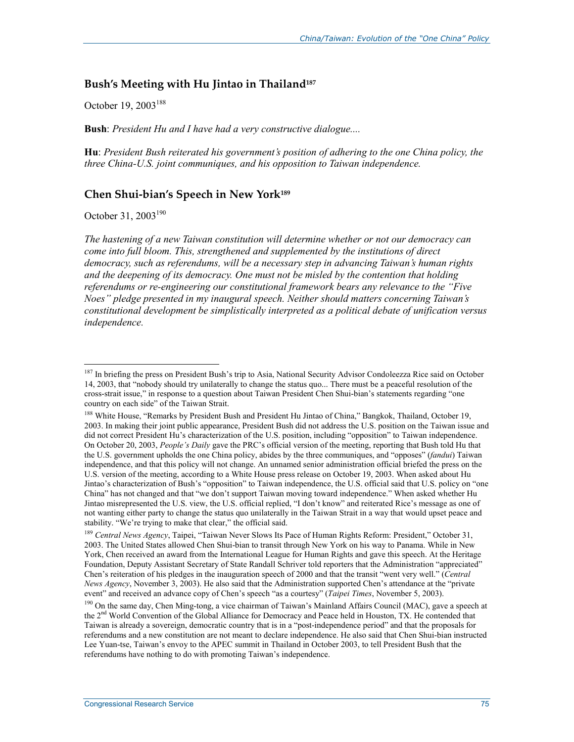# **Bush's Meeting with Hu Jintao in Thailand187**

October 19, 2003<sup>188</sup>

**Bush**: *President Hu and I have had a very constructive dialogue....*

**Hu**: *President Bush reiterated his government's position of adhering to the one China policy, the three China-U.S. joint communiques, and his opposition to Taiwan independence.*

# **Chen Shui-bian's Speech in New York189**

October 31,  $2003^{190}$ 

1

*The hastening of a new Taiwan constitution will determine whether or not our democracy can come into full bloom. This, strengthened and supplemented by the institutions of direct democracy, such as referendums, will be a necessary step in advancing Taiwan's human rights and the deepening of its democracy. One must not be misled by the contention that holding referendums or re-engineering our constitutional framework bears any relevance to the "Five Noes" pledge presented in my inaugural speech. Neither should matters concerning Taiwan's constitutional development be simplistically interpreted as a political debate of unification versus independence.*

<sup>&</sup>lt;sup>187</sup> In briefing the press on President Bush's trip to Asia, National Security Advisor Condoleezza Rice said on October 14, 2003, that "nobody should try unilaterally to change the status quo... There must be a peaceful resolution of the cross-strait issue," in response to a question about Taiwan President Chen Shui-bian's statements regarding "one country on each side" of the Taiwan Strait.

<sup>&</sup>lt;sup>188</sup> White House, "Remarks by President Bush and President Hu Jintao of China," Bangkok, Thailand, October 19, 2003. In making their joint public appearance, President Bush did not address the U.S. position on the Taiwan issue and did not correct President Hu's characterization of the U.S. position, including "opposition" to Taiwan independence. On October 20, 2003, *People's Daily* gave the PRC's official version of the meeting, reporting that Bush told Hu that the U.S. government upholds the one China policy, abides by the three communiques, and "opposes" (*fandui*) Taiwan independence, and that this policy will not change. An unnamed senior administration official briefed the press on the U.S. version of the meeting, according to a White House press release on October 19, 2003. When asked about Hu Jintao's characterization of Bush's "opposition" to Taiwan independence, the U.S. official said that U.S. policy on "one China" has not changed and that "we don't support Taiwan moving toward independence." When asked whether Hu Jintao misrepresented the U.S. view, the U.S. official replied, "I don't know" and reiterated Rice's message as one of not wanting either party to change the status quo unilaterally in the Taiwan Strait in a way that would upset peace and stability. "We're trying to make that clear," the official said.

<sup>189</sup> *Central News Agency*, Taipei, "Taiwan Never Slows Its Pace of Human Rights Reform: President," October 31, 2003. The United States allowed Chen Shui-bian to transit through New York on his way to Panama. While in New York, Chen received an award from the International League for Human Rights and gave this speech. At the Heritage Foundation, Deputy Assistant Secretary of State Randall Schriver told reporters that the Administration "appreciated" Chen's reiteration of his pledges in the inauguration speech of 2000 and that the transit "went very well." (*Central News Agency*, November 3, 2003). He also said that the Administration supported Chen's attendance at the "private event" and received an advance copy of Chen's speech "as a courtesy" (*Taipei Times*, November 5, 2003).

<sup>&</sup>lt;sup>190</sup> On the same day, Chen Ming-tong, a vice chairman of Taiwan's Mainland Affairs Council (MAC), gave a speech at the 2<sup>nd</sup> World Convention of the Global Alliance for Democracy and Peace held in Houston, TX. He contended that Taiwan is already a sovereign, democratic country that is in a "post-independence period" and that the proposals for referendums and a new constitution are not meant to declare independence. He also said that Chen Shui-bian instructed Lee Yuan-tse, Taiwan's envoy to the APEC summit in Thailand in October 2003, to tell President Bush that the referendums have nothing to do with promoting Taiwan's independence.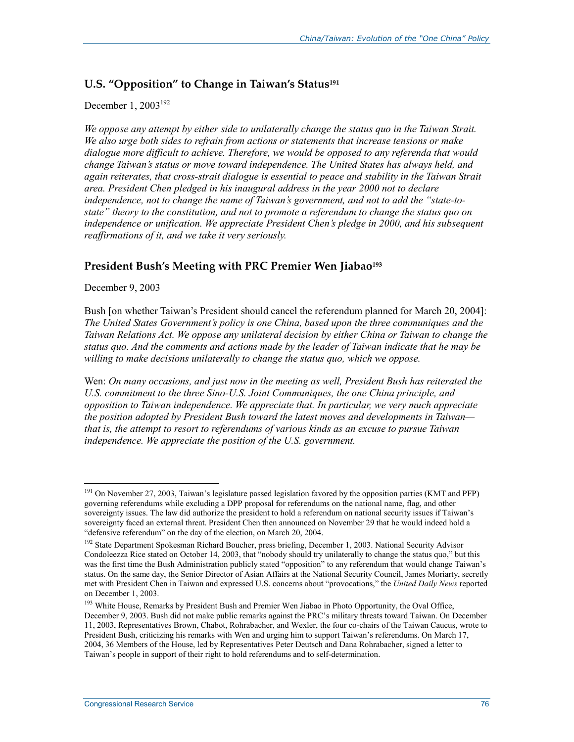# U.S. "Opposition" to Change in Taiwan's Status<sup>191</sup>

#### December 1,  $2003^{192}$

*We oppose any attempt by either side to unilaterally change the status quo in the Taiwan Strait. We also urge both sides to refrain from actions or statements that increase tensions or make dialogue more difficult to achieve. Therefore, we would be opposed to any referenda that would change Taiwan's status or move toward independence. The United States has always held, and again reiterates, that cross-strait dialogue is essential to peace and stability in the Taiwan Strait area. President Chen pledged in his inaugural address in the year 2000 not to declare independence, not to change the name of Taiwan's government, and not to add the "state-tostate" theory to the constitution, and not to promote a referendum to change the status quo on independence or unification. We appreciate President Chen's pledge in 2000, and his subsequent reaffirmations of it, and we take it very seriously.*

# President Bush's Meeting with PRC Premier Wen Jiabao<sup>193</sup>

December 9, 2003

1

Bush [on whether Taiwan's President should cancel the referendum planned for March 20, 2004]: *The United States Government's policy is one China, based upon the three communiques and the Taiwan Relations Act. We oppose any unilateral decision by either China or Taiwan to change the status quo. And the comments and actions made by the leader of Taiwan indicate that he may be willing to make decisions unilaterally to change the status quo, which we oppose.*

Wen: *On many occasions, and just now in the meeting as well, President Bush has reiterated the U.S. commitment to the three Sino-U.S. Joint Communiques, the one China principle, and opposition to Taiwan independence. We appreciate that. In particular, we very much appreciate the position adopted by President Bush toward the latest moves and developments in Taiwan that is, the attempt to resort to referendums of various kinds as an excuse to pursue Taiwan independence. We appreciate the position of the U.S. government.*

 $191$  On November 27, 2003, Taiwan's legislature passed legislation favored by the opposition parties (KMT and PFP) governing referendums while excluding a DPP proposal for referendums on the national name, flag, and other sovereignty issues. The law did authorize the president to hold a referendum on national security issues if Taiwan's sovereignty faced an external threat. President Chen then announced on November 29 that he would indeed hold a "defensive referendum" on the day of the election, on March 20, 2004.

<sup>&</sup>lt;sup>192</sup> State Department Spokesman Richard Boucher, press briefing, December 1, 2003. National Security Advisor Condoleezza Rice stated on October 14, 2003, that "nobody should try unilaterally to change the status quo," but this was the first time the Bush Administration publicly stated "opposition" to any referendum that would change Taiwan's status. On the same day, the Senior Director of Asian Affairs at the National Security Council, James Moriarty, secretly met with President Chen in Taiwan and expressed U.S. concerns about "provocations," the *United Daily News* reported on December 1, 2003.

<sup>&</sup>lt;sup>193</sup> White House, Remarks by President Bush and Premier Wen Jiabao in Photo Opportunity, the Oval Office, December 9, 2003. Bush did not make public remarks against the PRC's military threats toward Taiwan. On December 11, 2003, Representatives Brown, Chabot, Rohrabacher, and Wexler, the four co-chairs of the Taiwan Caucus, wrote to President Bush, criticizing his remarks with Wen and urging him to support Taiwan's referendums. On March 17, 2004, 36 Members of the House, led by Representatives Peter Deutsch and Dana Rohrabacher, signed a letter to Taiwan's people in support of their right to hold referendums and to self-determination.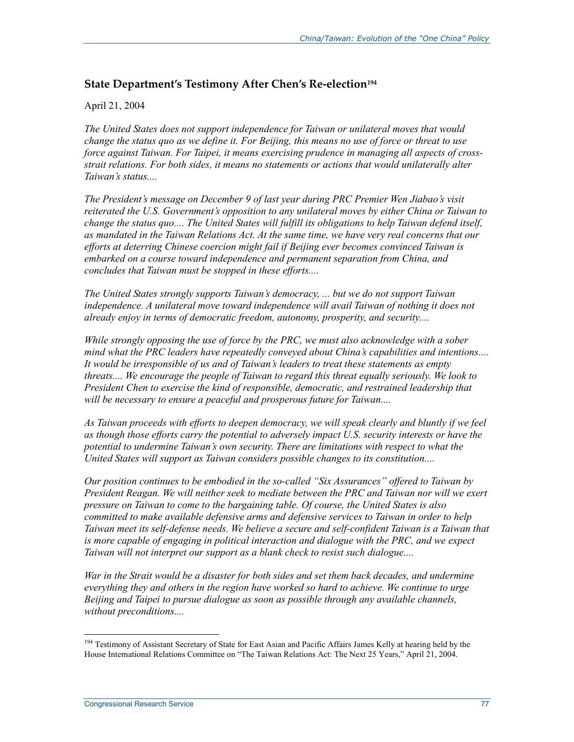# State Department's Testimony After Chen's Re-election<sup>194</sup>

#### April 21, 2004

*The United States does not support independence for Taiwan or unilateral moves that would change the status quo as we define it. For Beijing, this means no use of force or threat to use force against Taiwan. For Taipei, it means exercising prudence in managing all aspects of crossstrait relations. For both sides, it means no statements or actions that would unilaterally alter Taiwan's status....* 

*The President's message on December 9 of last year during PRC Premier Wen Jiabao's visit reiterated the U.S. Government's opposition to any unilateral moves by either China or Taiwan to change the status quo.... The United States will fulfill its obligations to help Taiwan defend itself, as mandated in the Taiwan Relations Act. At the same time, we have very real concerns that our efforts at deterring Chinese coercion might fail if Beijing ever becomes convinced Taiwan is embarked on a course toward independence and permanent separation from China, and concludes that Taiwan must be stopped in these efforts....*

*The United States strongly supports Taiwan's democracy, ... but we do not support Taiwan*  independence. A unilateral move toward independence will avail Taiwan of nothing it does not *already enjoy in terms of democratic freedom, autonomy, prosperity, and security....*

*While strongly opposing the use of force by the PRC, we must also acknowledge with a sober mind what the PRC leaders have repeatedly conveyed about China's capabilities and intentions.... It would be irresponsible of us and of Taiwan's leaders to treat these statements as empty threats.... We encourage the people of Taiwan to regard this threat equally seriously. We look to President Chen to exercise the kind of responsible, democratic, and restrained leadership that will be necessary to ensure a peaceful and prosperous future for Taiwan....*

*As Taiwan proceeds with efforts to deepen democracy, we will speak clearly and bluntly if we feel as though those efforts carry the potential to adversely impact U.S. security interests or have the potential to undermine Taiwan's own security. There are limitations with respect to what the United States will support as Taiwan considers possible changes to its constitution....*

*Our position continues to be embodied in the so-called "Six Assurances" offered to Taiwan by President Reagan. We will neither seek to mediate between the PRC and Taiwan nor will we exert pressure on Taiwan to come to the bargaining table. Of course, the United States is also committed to make available defensive arms and defensive services to Taiwan in order to help Taiwan meet its self-defense needs. We believe a secure and self-confident Taiwan is a Taiwan that is more capable of engaging in political interaction and dialogue with the PRC, and we expect Taiwan will not interpret our support as a blank check to resist such dialogue....*

*War in the Strait would be a disaster for both sides and set them back decades, and undermine everything they and others in the region have worked so hard to achieve. We continue to urge Beijing and Taipei to pursue dialogue as soon as possible through any available channels, without preconditions....*

1

<sup>&</sup>lt;sup>194</sup> Testimony of Assistant Secretary of State for East Asian and Pacific Affairs James Kelly at hearing held by the House International Relations Committee on "The Taiwan Relations Act: The Next 25 Years," April 21, 2004.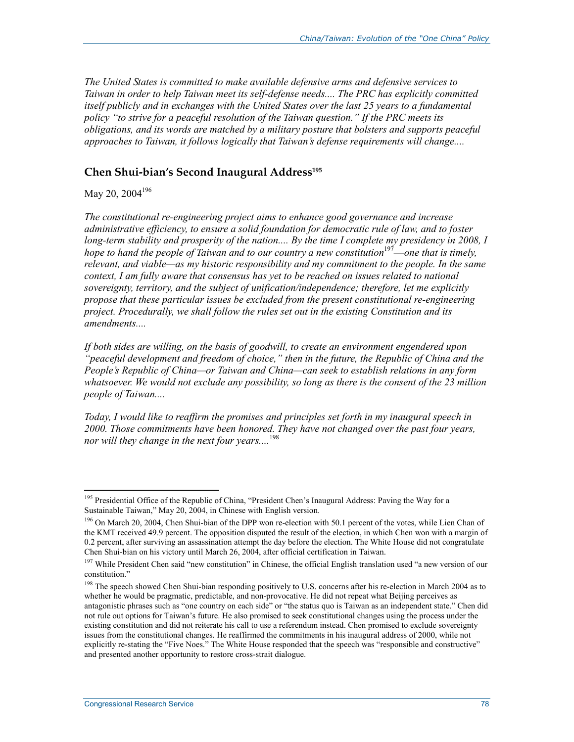*The United States is committed to make available defensive arms and defensive services to Taiwan in order to help Taiwan meet its self-defense needs.... The PRC has explicitly committed itself publicly and in exchanges with the United States over the last 25 years to a fundamental policy "to strive for a peaceful resolution of the Taiwan question." If the PRC meets its obligations, and its words are matched by a military posture that bolsters and supports peaceful approaches to Taiwan, it follows logically that Taiwan's defense requirements will change....*

# **Chen Shui-bian's Second Inaugural Address195**

May 20,  $2004^{196}$ 

*The constitutional re-engineering project aims to enhance good governance and increase administrative efficiency, to ensure a solid foundation for democratic rule of law, and to foster long-term stability and prosperity of the nation.... By the time I complete my presidency in 2008, I hope to hand the people of Taiwan and to our country a new constitution*<sup>197</sup>—*one that is timely, relevant, and viable—as my historic responsibility and my commitment to the people. In the same context, I am fully aware that consensus has yet to be reached on issues related to national sovereignty, territory, and the subject of unification/independence; therefore, let me explicitly propose that these particular issues be excluded from the present constitutional re-engineering project. Procedurally, we shall follow the rules set out in the existing Constitution and its amendments....* 

*If both sides are willing, on the basis of goodwill, to create an environment engendered upon "peaceful development and freedom of choice," then in the future, the Republic of China and the People's Republic of China—or Taiwan and China—can seek to establish relations in any form whatsoever. We would not exclude any possibility, so long as there is the consent of the 23 million people of Taiwan....* 

*Today, I would like to reaffirm the promises and principles set forth in my inaugural speech in 2000. Those commitments have been honored. They have not changed over the past four years, nor will they change in the next four years....*<sup>198</sup>

<sup>&</sup>lt;u>.</u> <sup>195</sup> Presidential Office of the Republic of China, "President Chen's Inaugural Address: Paving the Way for a Sustainable Taiwan," May 20, 2004, in Chinese with English version.

<sup>&</sup>lt;sup>196</sup> On March 20, 2004, Chen Shui-bian of the DPP won re-election with 50.1 percent of the votes, while Lien Chan of the KMT received 49.9 percent. The opposition disputed the result of the election, in which Chen won with a margin of 0.2 percent, after surviving an assassination attempt the day before the election. The White House did not congratulate Chen Shui-bian on his victory until March 26, 2004, after official certification in Taiwan.

<sup>&</sup>lt;sup>197</sup> While President Chen said "new constitution" in Chinese, the official English translation used "a new version of our constitution."

<sup>&</sup>lt;sup>198</sup> The speech showed Chen Shui-bian responding positively to U.S. concerns after his re-election in March 2004 as to whether he would be pragmatic, predictable, and non-provocative. He did not repeat what Beijing perceives as antagonistic phrases such as "one country on each side" or "the status quo is Taiwan as an independent state." Chen did not rule out options for Taiwan's future. He also promised to seek constitutional changes using the process under the existing constitution and did not reiterate his call to use a referendum instead. Chen promised to exclude sovereignty issues from the constitutional changes. He reaffirmed the commitments in his inaugural address of 2000, while not explicitly re-stating the "Five Noes." The White House responded that the speech was "responsible and constructive" and presented another opportunity to restore cross-strait dialogue.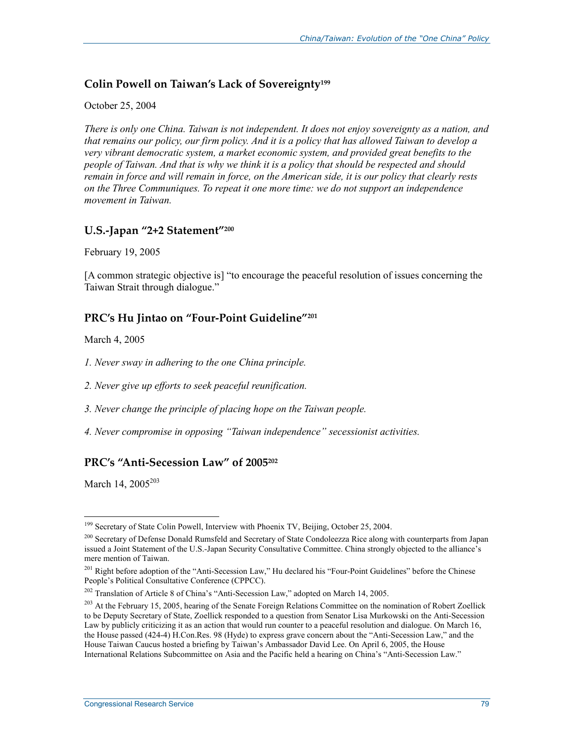# **Colin Powell on Taiwan's Lack of Sovereignty199**

October 25, 2004

*There is only one China. Taiwan is not independent. It does not enjoy sovereignty as a nation, and that remains our policy, our firm policy. And it is a policy that has allowed Taiwan to develop a very vibrant democratic system, a market economic system, and provided great benefits to the people of Taiwan. And that is why we think it is a policy that should be respected and should remain in force and will remain in force, on the American side, it is our policy that clearly rests on the Three Communiques. To repeat it one more time: we do not support an independence movement in Taiwan.* 

# **U.S.-Japan "2+2 Statement"200**

February 19, 2005

[A common strategic objective is] "to encourage the peaceful resolution of issues concerning the Taiwan Strait through dialogue."

## **PRC's Hu Jintao on "Four-Point Guideline"201**

March 4, 2005

*1. Never sway in adhering to the one China principle.* 

*2. Never give up efforts to seek peaceful reunification.* 

*3. Never change the principle of placing hope on the Taiwan people.* 

*4. Never compromise in opposing "Taiwan independence" secessionist activities.* 

# **PRC's "Anti-Secession Law" of 2005202**

March 14,  $2005^{203}$ 

<sup>&</sup>lt;u>.</u> <sup>199</sup> Secretary of State Colin Powell, Interview with Phoenix TV, Beijing, October 25, 2004.

<sup>&</sup>lt;sup>200</sup> Secretary of Defense Donald Rumsfeld and Secretary of State Condoleezza Rice along with counterparts from Japan issued a Joint Statement of the U.S.-Japan Security Consultative Committee. China strongly objected to the alliance's mere mention of Taiwan.

<sup>&</sup>lt;sup>201</sup> Right before adoption of the "Anti-Secession Law," Hu declared his "Four-Point Guidelines" before the Chinese People's Political Consultative Conference (CPPCC).

<sup>202</sup> Translation of Article 8 of China's "Anti-Secession Law," adopted on March 14, 2005.

<sup>&</sup>lt;sup>203</sup> At the February 15, 2005, hearing of the Senate Foreign Relations Committee on the nomination of Robert Zoellick to be Deputy Secretary of State, Zoellick responded to a question from Senator Lisa Murkowski on the Anti-Secession Law by publicly criticizing it as an action that would run counter to a peaceful resolution and dialogue. On March 16, the House passed (424-4) H.Con.Res. 98 (Hyde) to express grave concern about the "Anti-Secession Law," and the House Taiwan Caucus hosted a briefing by Taiwan's Ambassador David Lee. On April 6, 2005, the House International Relations Subcommittee on Asia and the Pacific held a hearing on China's "Anti-Secession Law."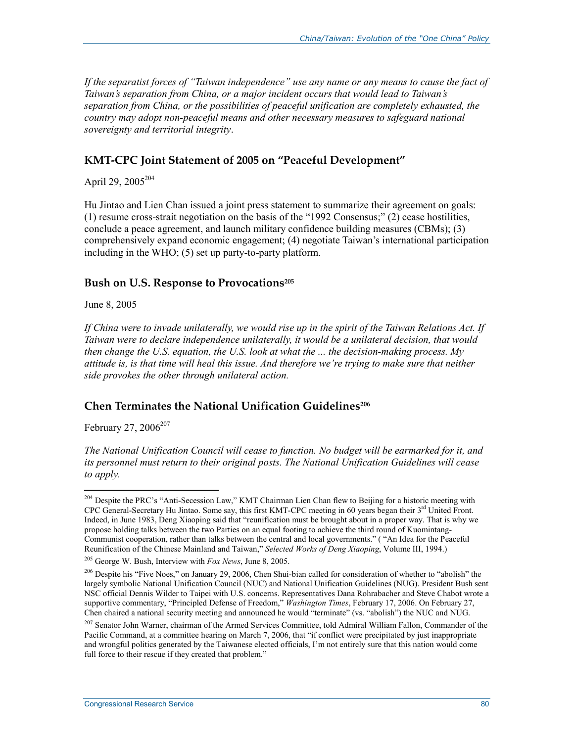*If the separatist forces of "Taiwan independence" use any name or any means to cause the fact of Taiwan's separation from China, or a major incident occurs that would lead to Taiwan's separation from China, or the possibilities of peaceful unification are completely exhausted, the country may adopt non-peaceful means and other necessary measures to safeguard national sovereignty and territorial integrity*.

# **KMT-CPC Joint Statement of 2005 on "Peaceful Development"**

April 29, 2005<sup>204</sup>

Hu Jintao and Lien Chan issued a joint press statement to summarize their agreement on goals: (1) resume cross-strait negotiation on the basis of the "1992 Consensus;" (2) cease hostilities, conclude a peace agreement, and launch military confidence building measures (CBMs); (3) comprehensively expand economic engagement; (4) negotiate Taiwan's international participation including in the WHO; (5) set up party-to-party platform.

## **Bush on U.S. Response to Provocations205**

June 8, 2005

*If China were to invade unilaterally, we would rise up in the spirit of the Taiwan Relations Act. If Taiwan were to declare independence unilaterally, it would be a unilateral decision, that would then change the U.S. equation, the U.S. look at what the ... the decision-making process. My attitude is, is that time will heal this issue. And therefore we're trying to make sure that neither side provokes the other through unilateral action.* 

# **Chen Terminates the National Unification Guidelines206**

February 27, 2006<sup>207</sup>

<u>.</u>

*The National Unification Council will cease to function. No budget will be earmarked for it, and its personnel must return to their original posts. The National Unification Guidelines will cease to apply.* 

<sup>&</sup>lt;sup>204</sup> Despite the PRC's "Anti-Secession Law," KMT Chairman Lien Chan flew to Beijing for a historic meeting with CPC General-Secretary Hu Jintao. Some say, this first KMT-CPC meeting in 60 years began their  $3^{rd}$  United Front. Indeed, in June 1983, Deng Xiaoping said that "reunification must be brought about in a proper way. That is why we propose holding talks between the two Parties on an equal footing to achieve the third round of Kuomintang-Communist cooperation, rather than talks between the central and local governments." ( "An Idea for the Peaceful Reunification of the Chinese Mainland and Taiwan," *Selected Works of Deng Xiaoping*, Volume III, 1994.)

<sup>205</sup> George W. Bush, Interview with *Fox News*, June 8, 2005.

<sup>&</sup>lt;sup>206</sup> Despite his "Five Noes," on January 29, 2006, Chen Shui-bian called for consideration of whether to "abolish" the largely symbolic National Unification Council (NUC) and National Unification Guidelines (NUG). President Bush sent NSC official Dennis Wilder to Taipei with U.S. concerns. Representatives Dana Rohrabacher and Steve Chabot wrote a supportive commentary, "Principled Defense of Freedom," *Washington Times*, February 17, 2006. On February 27, Chen chaired a national security meeting and announced he would "terminate" (vs. "abolish") the NUC and NUG.

<sup>&</sup>lt;sup>207</sup> Senator John Warner, chairman of the Armed Services Committee, told Admiral William Fallon, Commander of the Pacific Command, at a committee hearing on March 7, 2006, that "if conflict were precipitated by just inappropriate and wrongful politics generated by the Taiwanese elected officials, I'm not entirely sure that this nation would come full force to their rescue if they created that problem."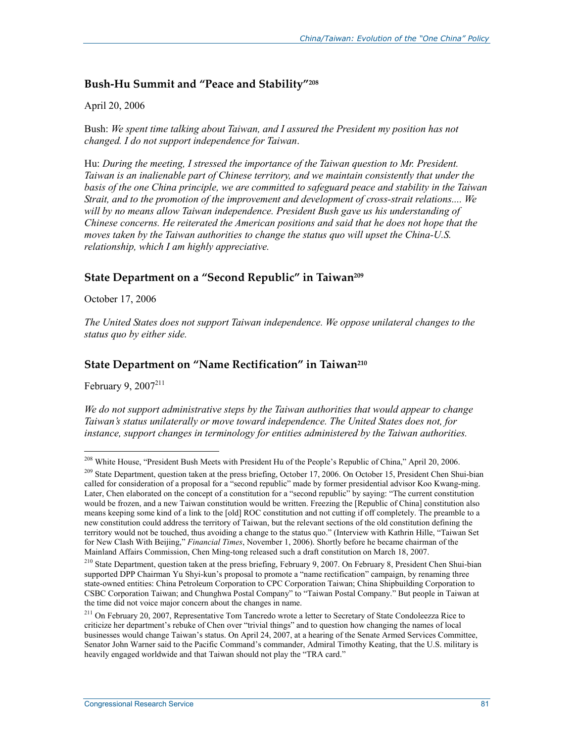# **Bush-Hu Summit and "Peace and Stability"208**

#### April 20, 2006

Bush: *We spent time talking about Taiwan, and I assured the President my position has not changed. I do not support independence for Taiwan*.

Hu: *During the meeting, I stressed the importance of the Taiwan question to Mr. President. Taiwan is an inalienable part of Chinese territory, and we maintain consistently that under the*  basis of the one China principle, we are committed to safeguard peace and stability in the Taiwan *Strait, and to the promotion of the improvement and development of cross-strait relations.... We will by no means allow Taiwan independence. President Bush gave us his understanding of Chinese concerns. He reiterated the American positions and said that he does not hope that the moves taken by the Taiwan authorities to change the status quo will upset the China-U.S. relationship, which I am highly appreciative.*

# **State Department on a "Second Republic" in Taiwan209**

October 17, 2006

*The United States does not support Taiwan independence. We oppose unilateral changes to the status quo by either side.*

## **State Department on "Name Rectification" in Taiwan210**

February 9, 2007 $^{211}$ 

*We do not support administrative steps by the Taiwan authorities that would appear to change Taiwan's status unilaterally or move toward independence. The United States does not, for instance, support changes in terminology for entities administered by the Taiwan authorities.* 

<sup>1</sup> <sup>208</sup> White House, "President Bush Meets with President Hu of the People's Republic of China," April 20, 2006.

<sup>&</sup>lt;sup>209</sup> State Department, question taken at the press briefing, October 17, 2006. On October 15, President Chen Shui-bian called for consideration of a proposal for a "second republic" made by former presidential advisor Koo Kwang-ming. Later, Chen elaborated on the concept of a constitution for a "second republic" by saying: "The current constitution would be frozen, and a new Taiwan constitution would be written. Freezing the [Republic of China] constitution also means keeping some kind of a link to the [old] ROC constitution and not cutting if off completely. The preamble to a new constitution could address the territory of Taiwan, but the relevant sections of the old constitution defining the territory would not be touched, thus avoiding a change to the status quo." (Interview with Kathrin Hille, "Taiwan Set for New Clash With Beijing," *Financial Times*, November 1, 2006). Shortly before he became chairman of the Mainland Affairs Commission, Chen Ming-tong released such a draft constitution on March 18, 2007.

<sup>210</sup> State Department, question taken at the press briefing, February 9, 2007. On February 8, President Chen Shui-bian supported DPP Chairman Yu Shyi-kun's proposal to promote a "name rectification" campaign, by renaming three state-owned entities: China Petroleum Corporation to CPC Corporation Taiwan; China Shipbuilding Corporation to CSBC Corporation Taiwan; and Chunghwa Postal Company" to "Taiwan Postal Company." But people in Taiwan at the time did not voice major concern about the changes in name.

<sup>&</sup>lt;sup>211</sup> On February 20, 2007, Representative Tom Tancredo wrote a letter to Secretary of State Condoleezza Rice to criticize her department's rebuke of Chen over "trivial things" and to question how changing the names of local businesses would change Taiwan's status. On April 24, 2007, at a hearing of the Senate Armed Services Committee, Senator John Warner said to the Pacific Command's commander, Admiral Timothy Keating, that the U.S. military is heavily engaged worldwide and that Taiwan should not play the "TRA card."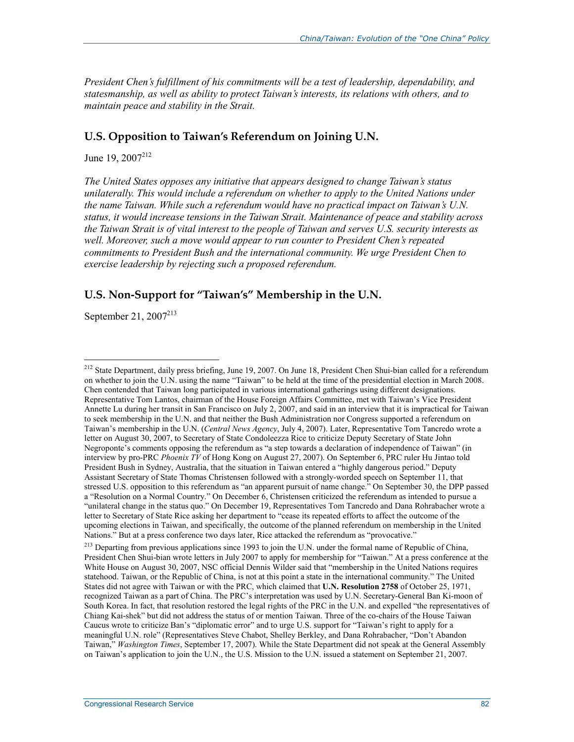*President Chen's fulfillment of his commitments will be a test of leadership, dependability, and statesmanship, as well as ability to protect Taiwan's interests, its relations with others, and to maintain peace and stability in the Strait.*

# **U.S. Opposition to Taiwan's Referendum on Joining U.N.**

June 19,  $2007^{212}$ 

*The United States opposes any initiative that appears designed to change Taiwan's status unilaterally. This would include a referendum on whether to apply to the United Nations under the name Taiwan. While such a referendum would have no practical impact on Taiwan's U.N. status, it would increase tensions in the Taiwan Strait. Maintenance of peace and stability across the Taiwan Strait is of vital interest to the people of Taiwan and serves U.S. security interests as well. Moreover, such a move would appear to run counter to President Chen's repeated commitments to President Bush and the international community. We urge President Chen to exercise leadership by rejecting such a proposed referendum.*

# **U.S. Non-Support for "Taiwan's" Membership in the U.N.**

September 21, 2007<sup>213</sup>

1

<sup>213</sup> Departing from previous applications since 1993 to join the U.N. under the formal name of Republic of China, President Chen Shui-bian wrote letters in July 2007 to apply for membership for "Taiwan." At a press conference at the White House on August 30, 2007, NSC official Dennis Wilder said that "membership in the United Nations requires statehood. Taiwan, or the Republic of China, is not at this point a state in the international community." The United States did not agree with Taiwan or with the PRC, which claimed that **U.N. Resolution 2758** of October 25, 1971, recognized Taiwan as a part of China. The PRC's interpretation was used by U.N. Secretary-General Ban Ki-moon of South Korea. In fact, that resolution restored the legal rights of the PRC in the U.N. and expelled "the representatives of Chiang Kai-shek" but did not address the status of or mention Taiwan. Three of the co-chairs of the House Taiwan Caucus wrote to criticize Ban's "diplomatic error" and to urge U.S. support for "Taiwan's right to apply for a meaningful U.N. role" (Representatives Steve Chabot, Shelley Berkley, and Dana Rohrabacher, "Don't Abandon Taiwan," *Washington Times*, September 17, 2007). While the State Department did not speak at the General Assembly on Taiwan's application to join the U.N., the U.S. Mission to the U.N. issued a statement on September 21, 2007.

<sup>&</sup>lt;sup>212</sup> State Department, daily press briefing, June 19, 2007. On June 18, President Chen Shui-bian called for a referendum on whether to join the U.N. using the name "Taiwan" to be held at the time of the presidential election in March 2008. Chen contended that Taiwan long participated in various international gatherings using different designations. Representative Tom Lantos, chairman of the House Foreign Affairs Committee, met with Taiwan's Vice President Annette Lu during her transit in San Francisco on July 2, 2007, and said in an interview that it is impractical for Taiwan to seek membership in the U.N. and that neither the Bush Administration nor Congress supported a referendum on Taiwan's membership in the U.N. (*Central News Agency*, July 4, 2007). Later, Representative Tom Tancredo wrote a letter on August 30, 2007, to Secretary of State Condoleezza Rice to criticize Deputy Secretary of State John Negroponte's comments opposing the referendum as "a step towards a declaration of independence of Taiwan" (in interview by pro-PRC *Phoenix TV* of Hong Kong on August 27, 2007). On September 6, PRC ruler Hu Jintao told President Bush in Sydney, Australia, that the situation in Taiwan entered a "highly dangerous period." Deputy Assistant Secretary of State Thomas Christensen followed with a strongly-worded speech on September 11, that stressed U.S. opposition to this referendum as "an apparent pursuit of name change." On September 30, the DPP passed a "Resolution on a Normal Country." On December 6, Christensen criticized the referendum as intended to pursue a "unilateral change in the status quo." On December 19, Representatives Tom Tancredo and Dana Rohrabacher wrote a letter to Secretary of State Rice asking her department to "cease its repeated efforts to affect the outcome of the upcoming elections in Taiwan, and specifically, the outcome of the planned referendum on membership in the United Nations." But at a press conference two days later, Rice attacked the referendum as "provocative."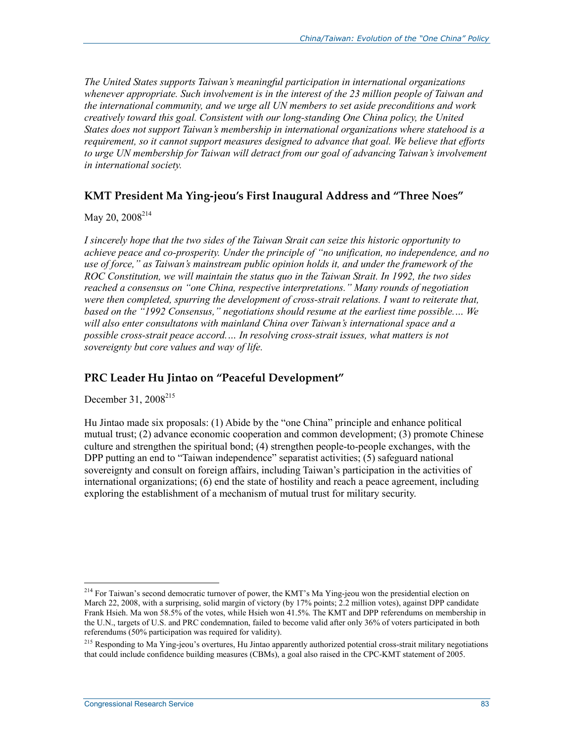*The United States supports Taiwan's meaningful participation in international organizations whenever appropriate. Such involvement is in the interest of the 23 million people of Taiwan and the international community, and we urge all UN members to set aside preconditions and work creatively toward this goal. Consistent with our long-standing One China policy, the United States does not support Taiwan's membership in international organizations where statehood is a requirement, so it cannot support measures designed to advance that goal. We believe that efforts to urge UN membership for Taiwan will detract from our goal of advancing Taiwan's involvement in international society.*

# **KMT President Ma Ying-jeou's First Inaugural Address and "Three Noes"**

May 20, 2008<sup>214</sup>

*I sincerely hope that the two sides of the Taiwan Strait can seize this historic opportunity to achieve peace and co-prosperity. Under the principle of "no unification, no independence, and no use of force," as Taiwan's mainstream public opinion holds it, and under the framework of the ROC Constitution, we will maintain the status quo in the Taiwan Strait. In 1992, the two sides reached a consensus on "one China, respective interpretations." Many rounds of negotiation were then completed, spurring the development of cross-strait relations. I want to reiterate that, based on the "1992 Consensus," negotiations should resume at the earliest time possible.… We will also enter consultatons with mainland China over Taiwan's international space and a possible cross-strait peace accord.… In resolving cross-strait issues, what matters is not sovereignty but core values and way of life.* 

# **PRC Leader Hu Jintao on "Peaceful Development"**

December 31, 2008<sup>215</sup>

Hu Jintao made six proposals: (1) Abide by the "one China" principle and enhance political mutual trust; (2) advance economic cooperation and common development; (3) promote Chinese culture and strengthen the spiritual bond; (4) strengthen people-to-people exchanges, with the DPP putting an end to "Taiwan independence" separatist activities; (5) safeguard national sovereignty and consult on foreign affairs, including Taiwan's participation in the activities of international organizations; (6) end the state of hostility and reach a peace agreement, including exploring the establishment of a mechanism of mutual trust for military security.

1

<sup>&</sup>lt;sup>214</sup> For Taiwan's second democratic turnover of power, the KMT's Ma Ying-jeou won the presidential election on March 22, 2008, with a surprising, solid margin of victory (by 17% points; 2.2 million votes), against DPP candidate Frank Hsieh. Ma won 58.5% of the votes, while Hsieh won 41.5%. The KMT and DPP referendums on membership in the U.N., targets of U.S. and PRC condemnation, failed to become valid after only 36% of voters participated in both referendums (50% participation was required for validity).

<sup>&</sup>lt;sup>215</sup> Responding to Ma Ying-jeou's overtures, Hu Jintao apparently authorized potential cross-strait military negotiations that could include confidence building measures (CBMs), a goal also raised in the CPC-KMT statement of 2005.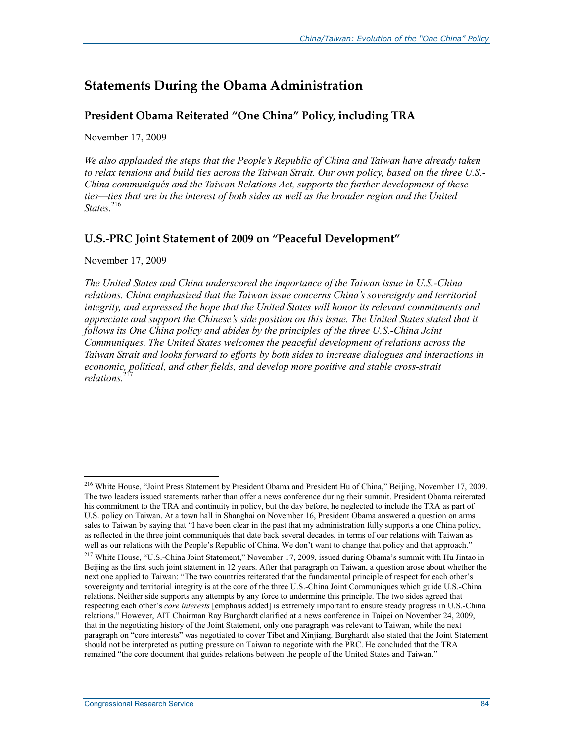# **Statements During the Obama Administration**

# **President Obama Reiterated "One China" Policy, including TRA**

November 17, 2009

*We also applauded the steps that the People's Republic of China and Taiwan have already taken to relax tensions and build ties across the Taiwan Strait. Our own policy, based on the three U.S.- China communiqués and the Taiwan Relations Act, supports the further development of these ties—ties that are in the interest of both sides as well as the broader region and the United States.*<sup>216</sup>

# **U.S.-PRC Joint Statement of 2009 on "Peaceful Development"**

November 17, 2009

1

*The United States and China underscored the importance of the Taiwan issue in U.S.-China relations. China emphasized that the Taiwan issue concerns China's sovereignty and territorial integrity, and expressed the hope that the United States will honor its relevant commitments and appreciate and support the Chinese's side position on this issue. The United States stated that it follows its One China policy and abides by the principles of the three U.S.-China Joint Communiques. The United States welcomes the peaceful development of relations across the Taiwan Strait and looks forward to efforts by both sides to increase dialogues and interactions in economic, political, and other fields, and develop more positive and stable cross-strait relations.*<sup>21</sup>

<sup>&</sup>lt;sup>216</sup> White House, "Joint Press Statement by President Obama and President Hu of China," Beijing, November 17, 2009. The two leaders issued statements rather than offer a news conference during their summit. President Obama reiterated his commitment to the TRA and continuity in policy, but the day before, he neglected to include the TRA as part of U.S. policy on Taiwan. At a town hall in Shanghai on November 16, President Obama answered a question on arms sales to Taiwan by saying that "I have been clear in the past that my administration fully supports a one China policy, as reflected in the three joint communiqués that date back several decades, in terms of our relations with Taiwan as well as our relations with the People's Republic of China. We don't want to change that policy and that approach."

<sup>217</sup> White House, "U.S.-China Joint Statement," November 17, 2009, issued during Obama's summit with Hu Jintao in Beijing as the first such joint statement in 12 years. After that paragraph on Taiwan, a question arose about whether the next one applied to Taiwan: "The two countries reiterated that the fundamental principle of respect for each other's sovereignty and territorial integrity is at the core of the three U.S.-China Joint Communiques which guide U.S.-China relations. Neither side supports any attempts by any force to undermine this principle. The two sides agreed that respecting each other's *core interests* [emphasis added] is extremely important to ensure steady progress in U.S.-China relations." However, AIT Chairman Ray Burghardt clarified at a news conference in Taipei on November 24, 2009, that in the negotiating history of the Joint Statement, only one paragraph was relevant to Taiwan, while the next paragraph on "core interests" was negotiated to cover Tibet and Xinjiang. Burghardt also stated that the Joint Statement should not be interpreted as putting pressure on Taiwan to negotiate with the PRC. He concluded that the TRA remained "the core document that guides relations between the people of the United States and Taiwan."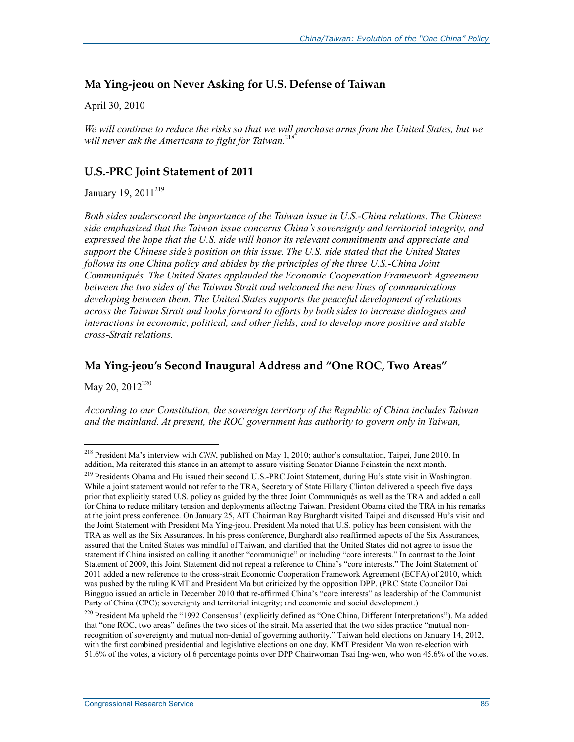# **Ma Ying-jeou on Never Asking for U.S. Defense of Taiwan**

April 30, 2010

*We will continue to reduce the risks so that we will purchase arms from the United States, but we will never ask the Americans to fight for Taiwan.*<sup>218</sup>

# **U.S.-PRC Joint Statement of 2011**

#### January 19, 2011<sup>219</sup>

*Both sides underscored the importance of the Taiwan issue in U.S.-China relations. The Chinese side emphasized that the Taiwan issue concerns China's sovereignty and territorial integrity, and expressed the hope that the U.S. side will honor its relevant commitments and appreciate and support the Chinese side's position on this issue. The U.S. side stated that the United States follows its one China policy and abides by the principles of the three U.S.-China Joint Communiqués. The United States applauded the Economic Cooperation Framework Agreement between the two sides of the Taiwan Strait and welcomed the new lines of communications developing between them. The United States supports the peaceful development of relations across the Taiwan Strait and looks forward to efforts by both sides to increase dialogues and interactions in economic, political, and other fields, and to develop more positive and stable cross-Strait relations.* 

# **Ma Ying-jeou's Second Inaugural Address and "One ROC, Two Areas"**

May 20, 2012<sup>220</sup>

<u>.</u>

*According to our Constitution, the sovereign territory of the Republic of China includes Taiwan and the mainland. At present, the ROC government has authority to govern only in Taiwan,* 

<sup>218</sup> President Ma's interview with *CNN*, published on May 1, 2010; author's consultation, Taipei, June 2010. In addition, Ma reiterated this stance in an attempt to assure visiting Senator Dianne Feinstein the next month.

<sup>&</sup>lt;sup>219</sup> Presidents Obama and Hu issued their second U.S.-PRC Joint Statement, during Hu's state visit in Washington. While a joint statement would not refer to the TRA, Secretary of State Hillary Clinton delivered a speech five days prior that explicitly stated U.S. policy as guided by the three Joint Communiqués as well as the TRA and added a call for China to reduce military tension and deployments affecting Taiwan. President Obama cited the TRA in his remarks at the joint press conference. On January 25, AIT Chairman Ray Burghardt visited Taipei and discussed Hu's visit and the Joint Statement with President Ma Ying-jeou. President Ma noted that U.S. policy has been consistent with the TRA as well as the Six Assurances. In his press conference, Burghardt also reaffirmed aspects of the Six Assurances, assured that the United States was mindful of Taiwan, and clarified that the United States did not agree to issue the statement if China insisted on calling it another "communique" or including "core interests." In contrast to the Joint Statement of 2009, this Joint Statement did not repeat a reference to China's "core interests." The Joint Statement of 2011 added a new reference to the cross-strait Economic Cooperation Framework Agreement (ECFA) of 2010, which was pushed by the ruling KMT and President Ma but criticized by the opposition DPP. (PRC State Councilor Dai Bingguo issued an article in December 2010 that re-affirmed China's "core interests" as leadership of the Communist Party of China (CPC); sovereignty and territorial integrity; and economic and social development.)

 $220$  President Ma upheld the "1992 Consensus" (explicitly defined as "One China, Different Interpretations"). Ma added that "one ROC, two areas" defines the two sides of the strait. Ma asserted that the two sides practice "mutual nonrecognition of sovereignty and mutual non-denial of governing authority." Taiwan held elections on January 14, 2012, with the first combined presidential and legislative elections on one day. KMT President Ma won re-election with 51.6% of the votes, a victory of 6 percentage points over DPP Chairwoman Tsai Ing-wen, who won 45.6% of the votes.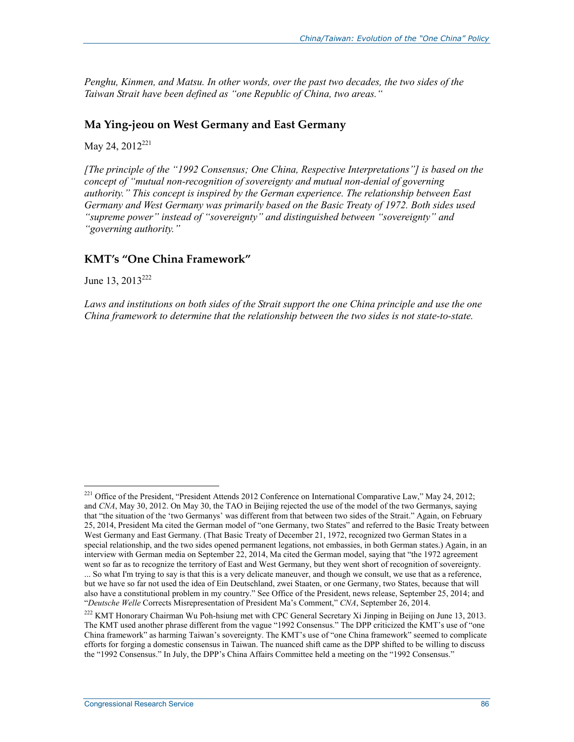*Penghu, Kinmen, and Matsu. In other words, over the past two decades, the two sides of the Taiwan Strait have been defined as "one Republic of China, two areas."* 

#### **Ma Ying-jeou on West Germany and East Germany**

May 24,  $2012^{221}$ 

*[The principle of the "1992 Consensus; One China, Respective Interpretations"] is based on the concept of "mutual non-recognition of sovereignty and mutual non-denial of governing authority." This concept is inspired by the German experience. The relationship between East Germany and West Germany was primarily based on the Basic Treaty of 1972. Both sides used "supreme power" instead of "sovereignty" and distinguished between "sovereignty" and "governing authority."* 

## **KMT's "One China Framework"**

June 13, 2013<sup>222</sup>

1

*Laws and institutions on both sides of the Strait support the one China principle and use the one China framework to determine that the relationship between the two sides is not state-to-state.* 

<sup>&</sup>lt;sup>221</sup> Office of the President, "President Attends 2012 Conference on International Comparative Law," May 24, 2012; and *CNA*, May 30, 2012. On May 30, the TAO in Beijing rejected the use of the model of the two Germanys, saying that "the situation of the 'two Germanys' was different from that between two sides of the Strait." Again, on February 25, 2014, President Ma cited the German model of "one Germany, two States" and referred to the Basic Treaty between West Germany and East Germany. (That Basic Treaty of December 21, 1972, recognized two German States in a special relationship, and the two sides opened permanent legations, not embassies, in both German states.) Again, in an interview with German media on September 22, 2014, Ma cited the German model, saying that "the 1972 agreement went so far as to recognize the territory of East and West Germany, but they went short of recognition of sovereignty. ... So what I'm trying to say is that this is a very delicate maneuver, and though we consult, we use that as a reference, but we have so far not used the idea of Ein Deutschland, zwei Staaten, or one Germany, two States, because that will also have a constitutional problem in my country." See Office of the President, news release, September 25, 2014; and "*Deutsche Welle* Corrects Misrepresentation of President Ma's Comment," *CNA*, September 26, 2014.

<sup>&</sup>lt;sup>222</sup> KMT Honorary Chairman Wu Poh-hsiung met with CPC General Secretary Xi Jinping in Beijing on June 13, 2013. The KMT used another phrase different from the vague "1992 Consensus." The DPP criticized the KMT's use of "one China framework" as harming Taiwan's sovereignty. The KMT's use of "one China framework" seemed to complicate efforts for forging a domestic consensus in Taiwan. The nuanced shift came as the DPP shifted to be willing to discuss the "1992 Consensus." In July, the DPP's China Affairs Committee held a meeting on the "1992 Consensus."